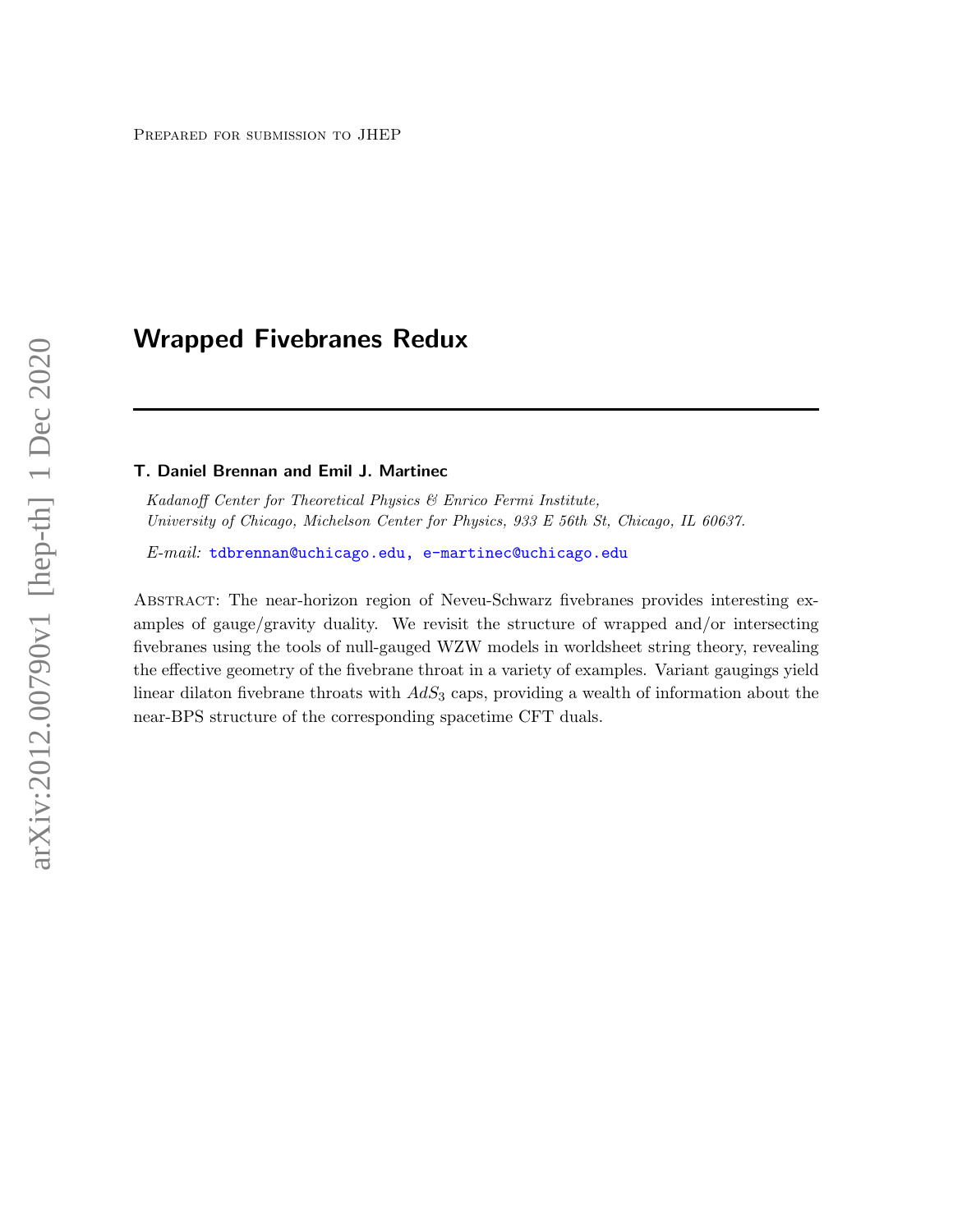# Wrapped Fivebranes Redux

#### T. Daniel Brennan and Emil J. Martinec

Kadanoff Center for Theoretical Physics & Enrico Fermi Institute, University of Chicago, Michelson Center for Physics, 933 E 56th St, Chicago, IL 60637.

 $E$ -mail: [tdbrennan@uchicago.edu, e-martinec@uchicago.edu](mailto:tdbrennan@uchicago.edu, e-martinec@uchicago.edu)

Abstract: The near-horizon region of Neveu-Schwarz fivebranes provides interesting examples of gauge/gravity duality. We revisit the structure of wrapped and/or intersecting fivebranes using the tools of null-gauged WZW models in worldsheet string theory, revealing the effective geometry of the fivebrane throat in a variety of examples. Variant gaugings yield linear dilaton fivebrane throats with  $AdS_3$  caps, providing a wealth of information about the near-BPS structure of the corresponding spacetime CFT duals.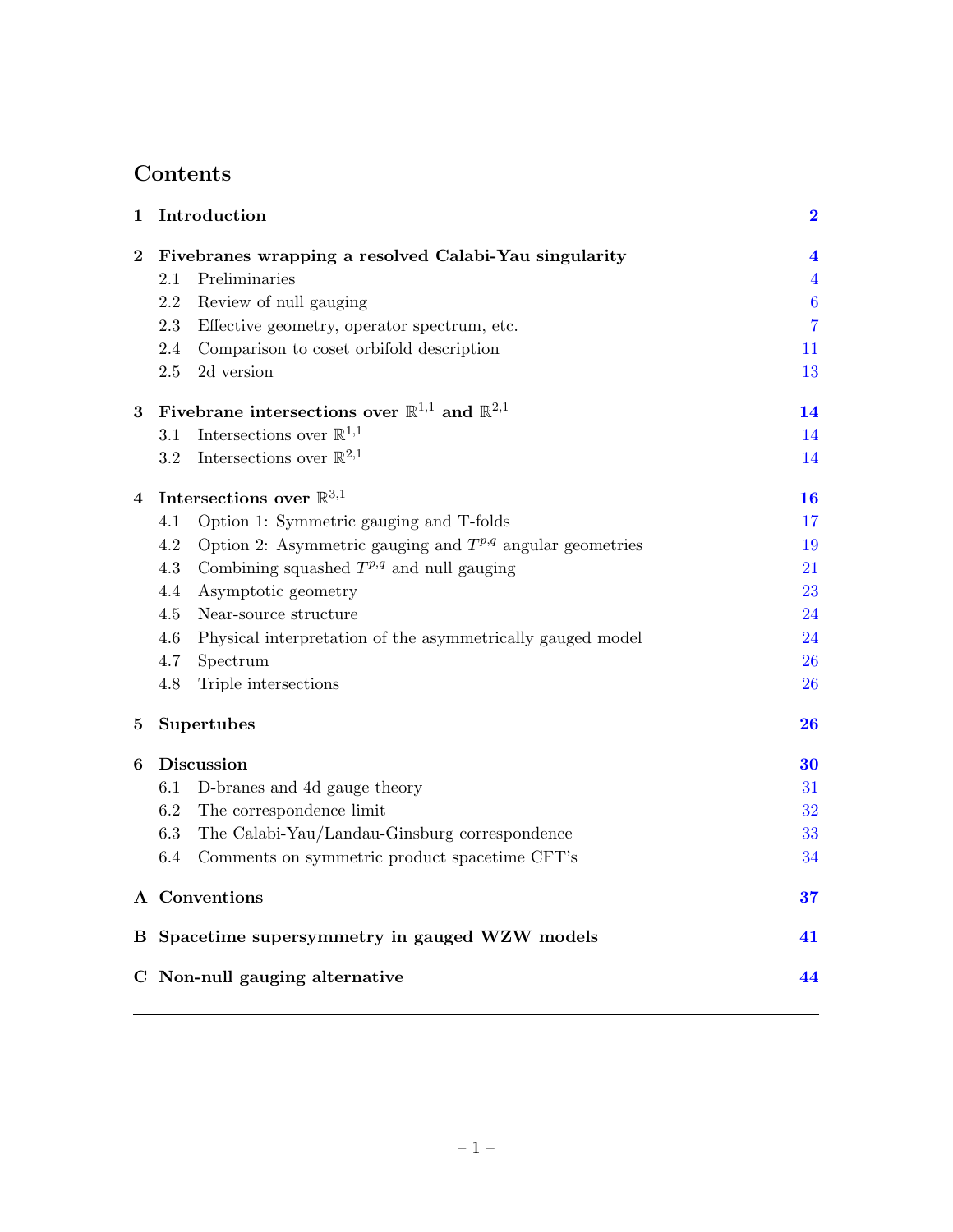# Contents

| $\mathbf 1$                    | Introduction                                                           |                  |  |  |  |  |  |  |  |  |
|--------------------------------|------------------------------------------------------------------------|------------------|--|--|--|--|--|--|--|--|
| $\bf{2}$                       | Fivebranes wrapping a resolved Calabi-Yau singularity                  |                  |  |  |  |  |  |  |  |  |
|                                | Preliminaries<br>2.1                                                   | $\overline{4}$   |  |  |  |  |  |  |  |  |
|                                | Review of null gauging<br>2.2                                          | $\boldsymbol{6}$ |  |  |  |  |  |  |  |  |
|                                | Effective geometry, operator spectrum, etc.<br>2.3                     | $\overline{7}$   |  |  |  |  |  |  |  |  |
|                                | 2.4<br>Comparison to coset orbifold description                        | 11               |  |  |  |  |  |  |  |  |
|                                | 2d version<br>2.5                                                      | 13               |  |  |  |  |  |  |  |  |
| 3                              | Fivebrane intersections over $\mathbb{R}^{1,1}$ and $\mathbb{R}^{2,1}$ |                  |  |  |  |  |  |  |  |  |
|                                | Intersections over $\mathbb{R}^{1,1}$<br>3.1                           |                  |  |  |  |  |  |  |  |  |
|                                | Intersections over $\mathbb{R}^{2,1}$<br>3.2                           | 14               |  |  |  |  |  |  |  |  |
| 4                              | Intersections over $\mathbb{R}^{3,1}$                                  |                  |  |  |  |  |  |  |  |  |
|                                | Option 1: Symmetric gauging and T-folds<br>4.1                         | 17               |  |  |  |  |  |  |  |  |
|                                | Option 2: Asymmetric gauging and $T^{p,q}$ angular geometries<br>4.2   | 19               |  |  |  |  |  |  |  |  |
|                                | Combining squashed $T^{p,q}$ and null gauging<br>4.3                   | 21               |  |  |  |  |  |  |  |  |
|                                | Asymptotic geometry<br>4.4                                             | 23               |  |  |  |  |  |  |  |  |
|                                | 4.5<br>Near-source structure                                           | 24               |  |  |  |  |  |  |  |  |
|                                | Physical interpretation of the asymmetrically gauged model<br>4.6      | 24               |  |  |  |  |  |  |  |  |
|                                | Spectrum<br>4.7                                                        | 26               |  |  |  |  |  |  |  |  |
|                                | Triple intersections<br>4.8                                            | 26               |  |  |  |  |  |  |  |  |
| 5                              | Supertubes                                                             | 26               |  |  |  |  |  |  |  |  |
| 6                              | Discussion                                                             |                  |  |  |  |  |  |  |  |  |
|                                | D-branes and 4d gauge theory<br>6.1                                    | 31               |  |  |  |  |  |  |  |  |
|                                | 6.2<br>The correspondence limit                                        | 32               |  |  |  |  |  |  |  |  |
|                                | The Calabi-Yau/Landau-Ginsburg correspondence<br>6.3                   | 33               |  |  |  |  |  |  |  |  |
|                                | 6.4<br>Comments on symmetric product spacetime CFT's                   | 34               |  |  |  |  |  |  |  |  |
|                                | A Conventions                                                          |                  |  |  |  |  |  |  |  |  |
|                                | B Spacetime supersymmetry in gauged WZW models<br>41                   |                  |  |  |  |  |  |  |  |  |
| C Non-null gauging alternative |                                                                        |                  |  |  |  |  |  |  |  |  |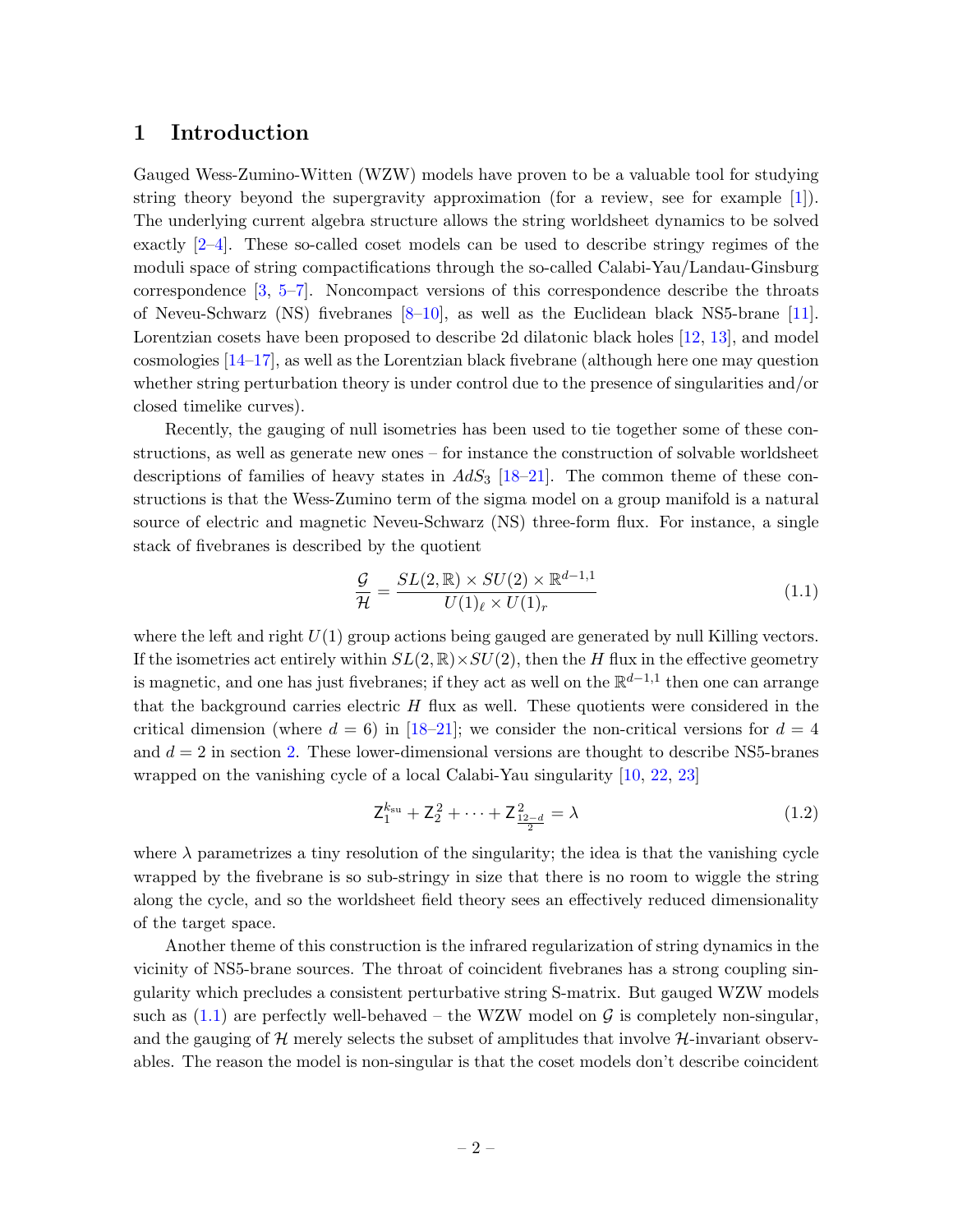### <span id="page-2-0"></span>1 Introduction

Gauged Wess-Zumino-Witten (WZW) models have proven to be a valuable tool for studying string theory beyond the supergravity approximation (for a review, see for example [\[1\]](#page-46-0)). The underlying current algebra structure allows the string worldsheet dynamics to be solved exactly [\[2–](#page-46-1)[4\]](#page-46-2). These so-called coset models can be used to describe stringy regimes of the moduli space of string compactifications through the so-called Calabi-Yau/Landau-Ginsburg correspondence [\[3,](#page-46-3) [5–](#page-46-4)[7\]](#page-46-5). Noncompact versions of this correspondence describe the throats of Neveu-Schwarz (NS) fivebranes [\[8](#page-46-6)[–10\]](#page-46-7), as well as the Euclidean black NS5-brane [\[11\]](#page-46-8). Lorentzian cosets have been proposed to describe 2d dilatonic black holes [\[12,](#page-46-9) [13\]](#page-46-10), and model cosmologies  $[14-17]$  $[14-17]$ , as well as the Lorentzian black fivebrane (although here one may question whether string perturbation theory is under control due to the presence of singularities and/or closed timelike curves).

Recently, the gauging of null isometries has been used to tie together some of these constructions, as well as generate new ones – for instance the construction of solvable worldsheet descriptions of families of heavy states in  $AdS_3$  [\[18–](#page-46-13)[21\]](#page-47-0). The common theme of these constructions is that the Wess-Zumino term of the sigma model on a group manifold is a natural source of electric and magnetic Neveu-Schwarz (NS) three-form flux. For instance, a single stack of fivebranes is described by the quotient

<span id="page-2-1"></span>
$$
\frac{\mathcal{G}}{\mathcal{H}} = \frac{SL(2,\mathbb{R}) \times SU(2) \times \mathbb{R}^{d-1,1}}{U(1)_{\ell} \times U(1)_{r}} \tag{1.1}
$$

where the left and right  $U(1)$  group actions being gauged are generated by null Killing vectors. If the isometries act entirely within  $SL(2,\mathbb{R})\times SU(2)$ , then the H flux in the effective geometry is magnetic, and one has just fivebranes; if they act as well on the  $\mathbb{R}^{d-1,1}$  then one can arrange that the background carries electric  $H$  flux as well. These quotients were considered in the critical dimension (where  $d = 6$ ) in [\[18](#page-46-13)[–21\]](#page-47-0); we consider the non-critical versions for  $d = 4$ and  $d = 2$  in section [2.](#page-4-0) These lower-dimensional versions are thought to describe NS5-branes wrapped on the vanishing cycle of a local Calabi-Yau singularity [\[10,](#page-46-7) [22,](#page-47-1) [23\]](#page-47-2)

$$
\mathsf{Z}_{1}^{k_{\rm su}} + \mathsf{Z}_{2}^{2} + \dots + \mathsf{Z}_{\frac{12-d}{2}}^{2} = \lambda \tag{1.2}
$$

where  $\lambda$  parametrizes a tiny resolution of the singularity; the idea is that the vanishing cycle wrapped by the fivebrane is so sub-stringy in size that there is no room to wiggle the string along the cycle, and so the worldsheet field theory sees an effectively reduced dimensionality of the target space.

Another theme of this construction is the infrared regularization of string dynamics in the vicinity of NS5-brane sources. The throat of coincident fivebranes has a strong coupling singularity which precludes a consistent perturbative string S-matrix. But gauged WZW models such as  $(1.1)$  are perfectly well-behaved – the WZW model on G is completely non-singular, and the gauging of  $\mathcal{H}$  merely selects the subset of amplitudes that involve  $\mathcal{H}$ -invariant observables. The reason the model is non-singular is that the coset models don't describe coincident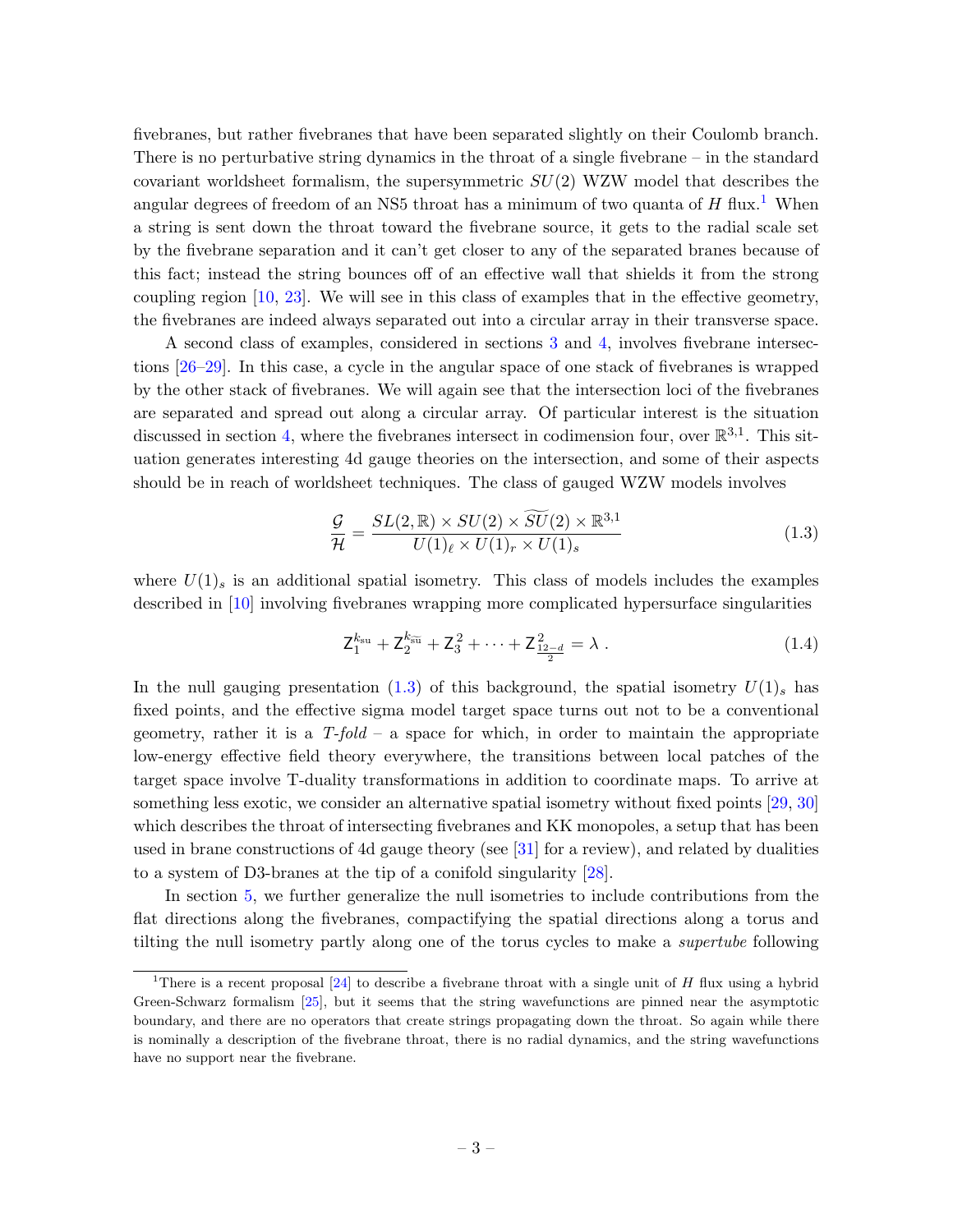fivebranes, but rather fivebranes that have been separated slightly on their Coulomb branch. There is no perturbative string dynamics in the throat of a single fivebrane – in the standard covariant worldsheet formalism, the supersymmetric  $SU(2)$  WZW model that describes the angular degrees of freedom of an NS5 throat has a minimum of two quanta of  $H$  flux.<sup>[1](#page-3-0)</sup> When a string is sent down the throat toward the fivebrane source, it gets to the radial scale set by the fivebrane separation and it can't get closer to any of the separated branes because of this fact; instead the string bounces off of an effective wall that shields it from the strong coupling region [\[10,](#page-46-7) [23\]](#page-47-2). We will see in this class of examples that in the effective geometry, the fivebranes are indeed always separated out into a circular array in their transverse space.

A second class of examples, considered in sections [3](#page-14-0) and [4,](#page-16-0) involves fivebrane intersections [\[26](#page-47-3)[–29\]](#page-47-4). In this case, a cycle in the angular space of one stack of fivebranes is wrapped by the other stack of fivebranes. We will again see that the intersection loci of the fivebranes are separated and spread out along a circular array. Of particular interest is the situation discussed in section [4,](#page-16-0) where the fivebranes intersect in codimension four, over  $\mathbb{R}^{3,1}$ . This situation generates interesting 4d gauge theories on the intersection, and some of their aspects should be in reach of worldsheet techniques. The class of gauged WZW models involves

<span id="page-3-1"></span>
$$
\frac{\mathcal{G}}{\mathcal{H}} = \frac{SL(2,\mathbb{R}) \times SU(2) \times \widetilde{SU}(2) \times \mathbb{R}^{3,1}}{U(1)_{\ell} \times U(1)_{r} \times U(1)_{s}}
$$
(1.3)

where  $U(1)$ <sub>s</sub> is an additional spatial isometry. This class of models includes the examples described in [\[10\]](#page-46-7) involving fivebranes wrapping more complicated hypersurface singularities

$$
Z_1^{k_{\rm su}} + Z_2^{k_{\rm su}} + Z_3^2 + \dots + Z_{\frac{12-d}{2}}^2 = \lambda \tag{1.4}
$$

In the null gauging presentation [\(1.3\)](#page-3-1) of this background, the spatial isometry  $U(1)$ <sub>s</sub> has fixed points, and the effective sigma model target space turns out not to be a conventional geometry, rather it is a  $T$ -fold – a space for which, in order to maintain the appropriate low-energy effective field theory everywhere, the transitions between local patches of the target space involve T-duality transformations in addition to coordinate maps. To arrive at something less exotic, we consider an alternative spatial isometry without fixed points [\[29,](#page-47-4) [30\]](#page-47-5) which describes the throat of intersecting fivebranes and KK monopoles, a setup that has been used in brane constructions of 4d gauge theory (see [\[31\]](#page-47-6) for a review), and related by dualities to a system of D3-branes at the tip of a conifold singularity [\[28\]](#page-47-7).

In section [5,](#page-26-2) we further generalize the null isometries to include contributions from the flat directions along the fivebranes, compactifying the spatial directions along a torus and tilting the null isometry partly along one of the torus cycles to make a supertube following

<span id="page-3-0"></span><sup>&</sup>lt;sup>1</sup>There is a recent proposal  $[24]$  to describe a fivebrane throat with a single unit of H flux using a hybrid Green-Schwarz formalism [\[25\]](#page-47-9), but it seems that the string wavefunctions are pinned near the asymptotic boundary, and there are no operators that create strings propagating down the throat. So again while there is nominally a description of the fivebrane throat, there is no radial dynamics, and the string wavefunctions have no support near the fivebrane.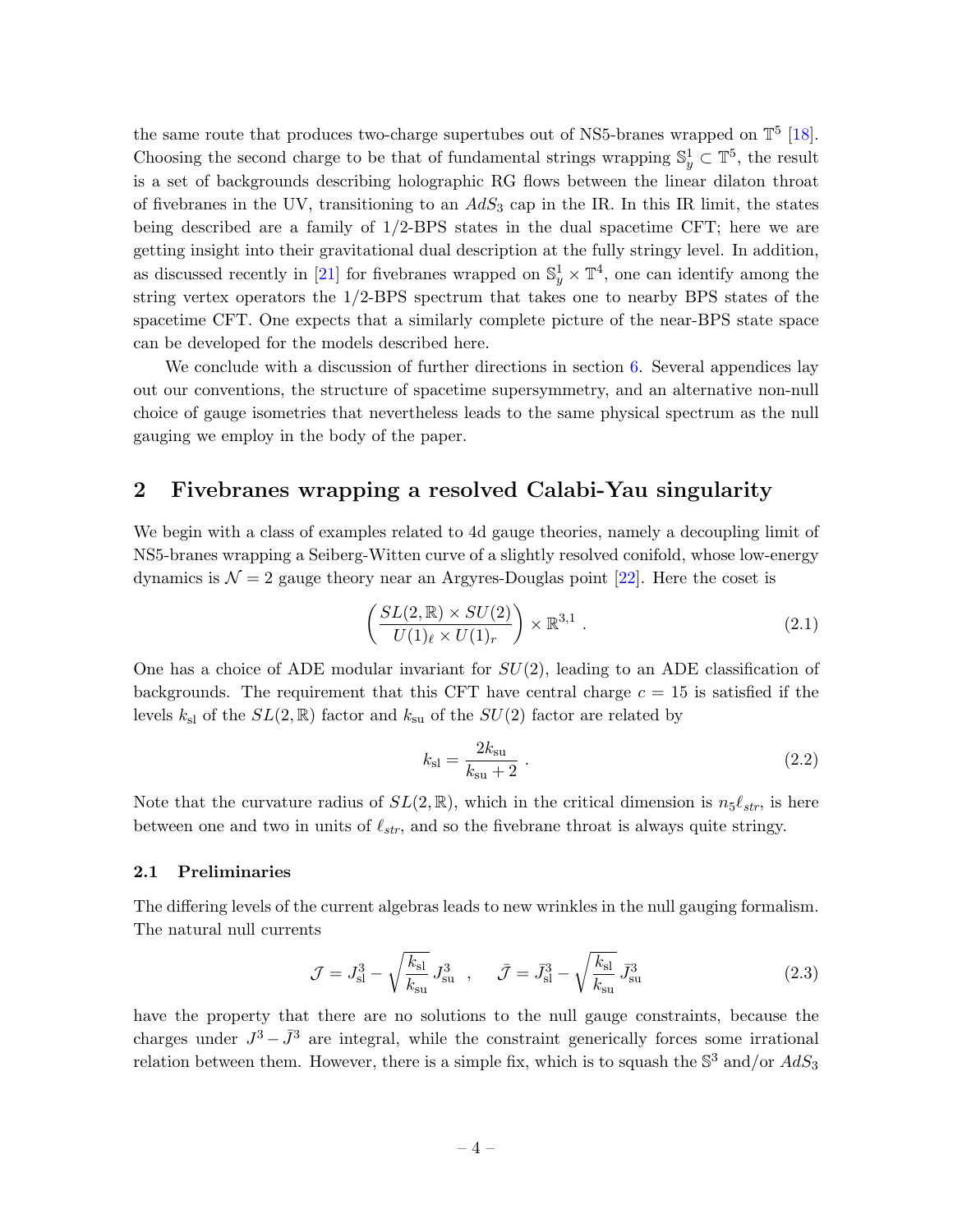the same route that produces two-charge supertubes out of NS5-branes wrapped on  $\mathbb{T}^5$  [\[18\]](#page-46-13). Choosing the second charge to be that of fundamental strings wrapping  $\mathbb{S}^1_y \subset \mathbb{T}^5$ , the result is a set of backgrounds describing holographic RG flows between the linear dilaton throat of fivebranes in the UV, transitioning to an  $AdS_3$  cap in the IR. In this IR limit, the states being described are a family of 1/2-BPS states in the dual spacetime CFT; here we are getting insight into their gravitational dual description at the fully stringy level. In addition, as discussed recently in [\[21\]](#page-47-0) for fivebranes wrapped on  $\mathbb{S}^1_y \times \mathbb{T}^4$ , one can identify among the string vertex operators the 1/2-BPS spectrum that takes one to nearby BPS states of the spacetime CFT. One expects that a similarly complete picture of the near-BPS state space can be developed for the models described here.

We conclude with a discussion of further directions in section [6.](#page-30-0) Several appendices lay out our conventions, the structure of spacetime supersymmetry, and an alternative non-null choice of gauge isometries that nevertheless leads to the same physical spectrum as the null gauging we employ in the body of the paper.

# <span id="page-4-0"></span>2 Fivebranes wrapping a resolved Calabi-Yau singularity

We begin with a class of examples related to 4d gauge theories, namely a decoupling limit of NS5-branes wrapping a Seiberg-Witten curve of a slightly resolved conifold, whose low-energy dynamics is  $\mathcal{N} = 2$  gauge theory near an Argyres-Douglas point [\[22\]](#page-47-1). Here the coset is

$$
\left(\frac{SL(2,\mathbb{R})\times SU(2)}{U(1)_{\ell}\times U(1)_{r}}\right)\times \mathbb{R}^{3,1} .
$$
\n(2.1)

One has a choice of ADE modular invariant for  $SU(2)$ , leading to an ADE classification of backgrounds. The requirement that this CFT have central charge  $c = 15$  is satisfied if the levels  $k_{\rm sl}$  of the  $SL(2,\mathbb{R})$  factor and  $k_{\rm su}$  of the  $SU(2)$  factor are related by

<span id="page-4-2"></span>
$$
k_{\rm sl} = \frac{2k_{\rm su}}{k_{\rm su} + 2} \ . \tag{2.2}
$$

Note that the curvature radius of  $SL(2,\mathbb{R})$ , which in the critical dimension is  $n_5\ell_{str}$ , is here between one and two in units of  $\ell_{str}$ , and so the fivebrane throat is always quite stringy.

#### <span id="page-4-1"></span>2.1 Preliminaries

The differing levels of the current algebras leads to new wrinkles in the null gauging formalism. The natural null currents

$$
\mathcal{J} = J_{\rm sl}^3 - \sqrt{\frac{k_{\rm sl}}{k_{\rm su}}} J_{\rm su}^3 \quad , \quad \bar{\mathcal{J}} = \bar{J}_{\rm sl}^3 - \sqrt{\frac{k_{\rm sl}}{k_{\rm su}}} \, \bar{J}_{\rm su}^3 \tag{2.3}
$$

have the property that there are no solutions to the null gauge constraints, because the charges under  $J^3 - \bar{J}^3$  are integral, while the constraint generically forces some irrational relation between them. However, there is a simple fix, which is to squash the  $\mathbb{S}^3$  and/or  $AdS_3$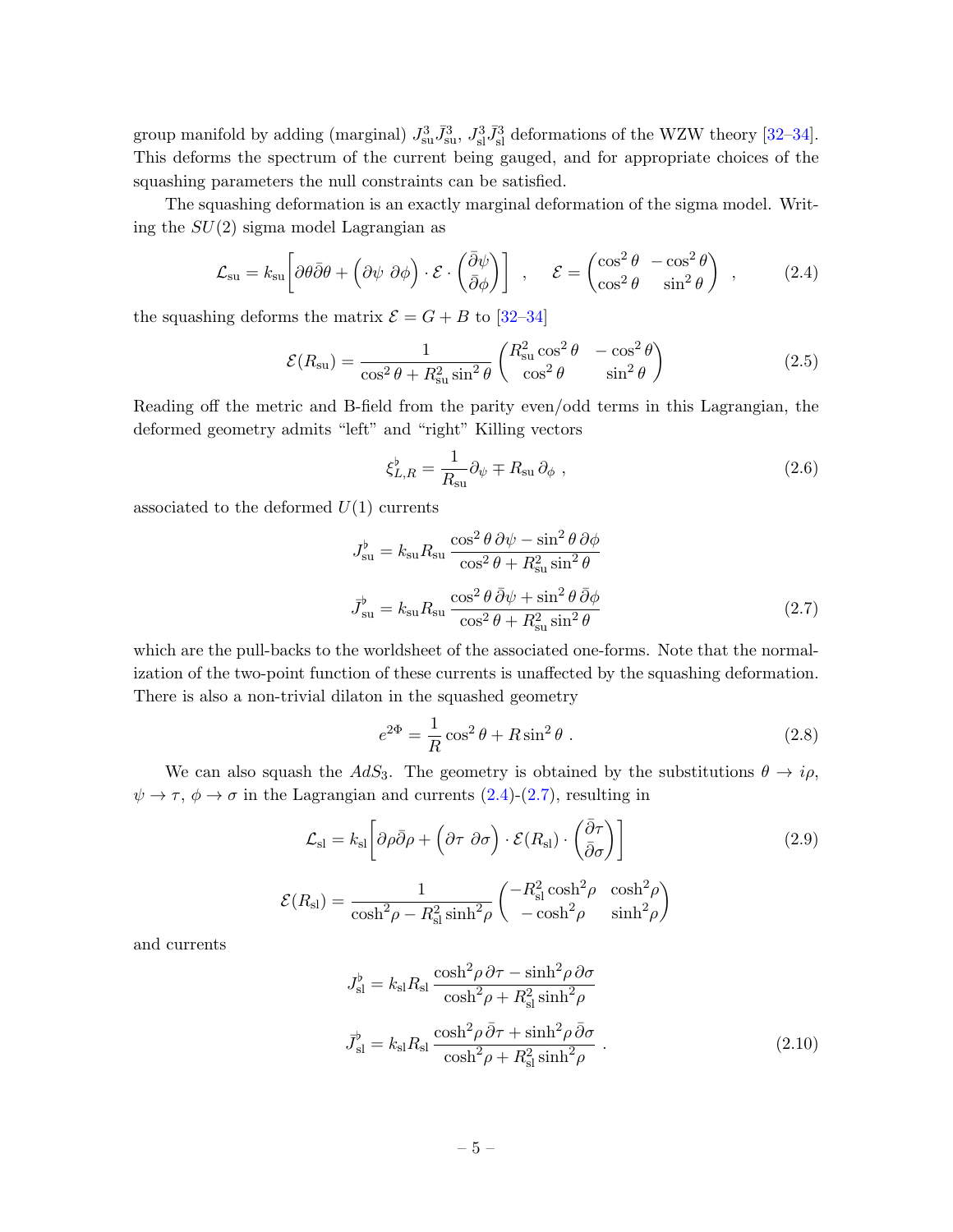group manifold by adding (marginal)  $J_{\rm su}^3 \bar{J}_{\rm su}^3$ ,  $J_{\rm sl}^3 \bar{J}_{\rm sl}^3$  deformations of the WZW theory [\[32–](#page-47-10)[34\]](#page-47-11). This deforms the spectrum of the current being gauged, and for appropriate choices of the squashing parameters the null constraints can be satisfied.

The squashing deformation is an exactly marginal deformation of the sigma model. Writing the  $SU(2)$  sigma model Lagrangian as

<span id="page-5-0"></span>
$$
\mathcal{L}_{\text{su}} = k_{\text{su}} \left[ \partial \theta \bar{\partial} \theta + \left( \partial \psi \ \partial \phi \right) \cdot \mathcal{E} \cdot \left( \frac{\bar{\partial} \psi}{\bar{\partial} \phi} \right) \right] , \quad \mathcal{E} = \begin{pmatrix} \cos^2 \theta & -\cos^2 \theta \\ \cos^2 \theta & \sin^2 \theta \end{pmatrix} , \quad (2.4)
$$

the squashing deforms the matrix  $\mathcal{E} = G + B$  to [\[32–](#page-47-10)[34\]](#page-47-11)

<span id="page-5-3"></span>
$$
\mathcal{E}(R_{\rm su}) = \frac{1}{\cos^2 \theta + R_{\rm su}^2 \sin^2 \theta} \begin{pmatrix} R_{\rm su}^2 \cos^2 \theta & -\cos^2 \theta \\ \cos^2 \theta & \sin^2 \theta \end{pmatrix}
$$
 (2.5)

Reading off the metric and B-field from the parity even/odd terms in this Lagrangian, the deformed geometry admits "left" and "right" Killing vectors

<span id="page-5-2"></span><span id="page-5-1"></span>
$$
\xi_{L,R}^{\flat} = \frac{1}{R_{\rm su}} \partial_{\psi} \mp R_{\rm su} \partial_{\phi} , \qquad (2.6)
$$

associated to the deformed  $U(1)$  currents

$$
J_{\text{su}}^{\flat} = k_{\text{su}} R_{\text{su}} \frac{\cos^2 \theta \, \partial \psi - \sin^2 \theta \, \partial \phi}{\cos^2 \theta + R_{\text{su}}^2 \sin^2 \theta}
$$

$$
\bar{J}_{\text{su}}^{\flat} = k_{\text{su}} R_{\text{su}} \frac{\cos^2 \theta \, \bar{\partial} \psi + \sin^2 \theta \, \bar{\partial} \phi}{\cos^2 \theta + R_{\text{su}}^2 \sin^2 \theta}
$$
(2.7)

which are the pull-backs to the worldsheet of the associated one-forms. Note that the normalization of the two-point function of these currents is unaffected by the squashing deformation. There is also a non-trivial dilaton in the squashed geometry

$$
e^{2\Phi} = \frac{1}{R}\cos^2\theta + R\sin^2\theta.
$$
 (2.8)

We can also squash the  $AdS_3$ . The geometry is obtained by the substitutions  $\theta \to i\rho$ ,  $\psi \to \tau$ ,  $\phi \to \sigma$  in the Lagrangian and currents [\(2.4\)](#page-5-0)-[\(2.7\)](#page-5-1), resulting in

$$
\mathcal{L}_{\rm sl} = k_{\rm sl} \left[ \partial \rho \bar{\partial} \rho + \left( \partial \tau \ \partial \sigma \right) \cdot \mathcal{E}(R_{\rm sl}) \cdot \left( \frac{\bar{\partial} \tau}{\bar{\partial} \sigma} \right) \right]
$$
\n
$$
\mathcal{E}(R_{\rm sl}) = \frac{1}{\cosh^2 \rho - R_{\rm sl}^2 \sinh^2 \rho} \begin{pmatrix} -R_{\rm sl}^2 \cosh^2 \rho & \cosh^2 \rho \\ -\cosh^2 \rho & \sinh^2 \rho \end{pmatrix}
$$
\n(2.9)

and currents

$$
J_{\rm sl}^{\flat} = k_{\rm sl} R_{\rm sl} \frac{\cosh^2 \rho \, \partial \tau - \sinh^2 \rho \, \partial \sigma}{\cosh^2 \rho + R_{\rm sl}^2 \sinh^2 \rho}
$$

$$
\bar{J}_{\rm sl}^{\flat} = k_{\rm sl} R_{\rm sl} \frac{\cosh^2 \rho \, \bar{\partial} \tau + \sinh^2 \rho \, \bar{\partial} \sigma}{\cosh^2 \rho + R_{\rm sl}^2 \sinh^2 \rho} \,. \tag{2.10}
$$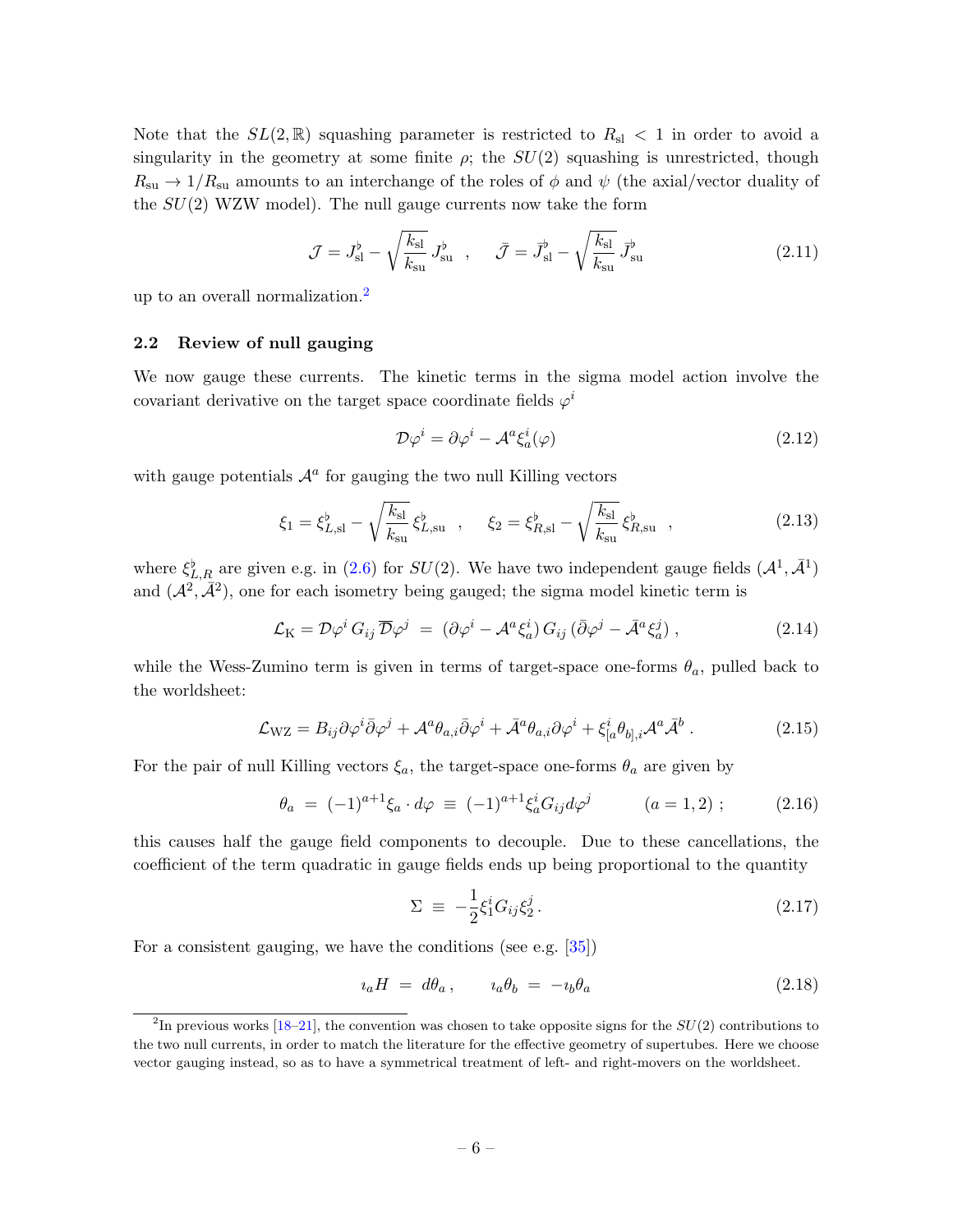Note that the  $SL(2,\mathbb{R})$  squashing parameter is restricted to  $R_{sl} < 1$  in order to avoid a singularity in the geometry at some finite  $\rho$ ; the  $SU(2)$  squashing is unrestricted, though  $R_{\rm su} \rightarrow 1/R_{\rm su}$  amounts to an interchange of the roles of  $\phi$  and  $\psi$  (the axial/vector duality of the  $SU(2)$  WZW model). The null gauge currents now take the form

$$
\mathcal{J} = J_{\rm sl}^{\flat} - \sqrt{\frac{k_{\rm sl}}{k_{\rm su}}} J_{\rm su}^{\flat} , \quad \bar{\mathcal{J}} = \bar{J}_{\rm sl}^{\flat} - \sqrt{\frac{k_{\rm sl}}{k_{\rm su}}} \bar{J}_{\rm su}^{\flat}
$$
 (2.11)

up to an overall normalization.[2](#page-6-1)

#### <span id="page-6-0"></span>2.2 Review of null gauging

We now gauge these currents. The kinetic terms in the sigma model action involve the covariant derivative on the target space coordinate fields  $\varphi^i$ 

$$
\mathcal{D}\varphi^i = \partial\varphi^i - \mathcal{A}^a \xi_a^i(\varphi) \tag{2.12}
$$

with gauge potentials  $A^a$  for gauging the two null Killing vectors

$$
\xi_1 = \xi_{L,\text{sl}}^{\flat} - \sqrt{\frac{k_{\text{sl}}}{k_{\text{su}}}} \xi_{L,\text{su}}^{\flat} , \quad \xi_2 = \xi_{R,\text{sl}}^{\flat} - \sqrt{\frac{k_{\text{sl}}}{k_{\text{su}}}} \xi_{R,\text{su}}^{\flat} , \qquad (2.13)
$$

where  $\xi_{L,R}^{\flat}$  are given e.g. in [\(2.6\)](#page-5-2) for  $SU(2)$ . We have two independent gauge fields  $(\mathcal{A}^1, \bar{\mathcal{A}}^1)$ and  $(\mathcal{A}^2, \bar{\mathcal{A}}^2)$ , one for each isometry being gauged; the sigma model kinetic term is

$$
\mathcal{L}_{\mathcal{K}} = \mathcal{D}\varphi^{i} G_{ij} \overline{\mathcal{D}}\varphi^{j} = (\partial \varphi^{i} - \mathcal{A}^{a} \xi_{a}^{i}) G_{ij} (\overline{\partial} \varphi^{j} - \overline{\mathcal{A}}^{a} \xi_{a}^{j}), \qquad (2.14)
$$

while the Wess-Zumino term is given in terms of target-space one-forms  $\theta_a$ , pulled back to the worldsheet:

$$
\mathcal{L}_{\rm WZ} = B_{ij}\partial\varphi^i\bar{\partial}\varphi^j + \mathcal{A}^a\theta_{a,i}\bar{\partial}\varphi^i + \bar{\mathcal{A}}^a\theta_{a,i}\partial\varphi^i + \xi^i_{[a}\theta_{b],i}\mathcal{A}^a\bar{\mathcal{A}}^b. \tag{2.15}
$$

For the pair of null Killing vectors  $\xi_a$ , the target-space one-forms  $\theta_a$  are given by

<span id="page-6-2"></span>
$$
\theta_a = (-1)^{a+1} \xi_a \cdot d\varphi \equiv (-1)^{a+1} \xi_a^i G_{ij} d\varphi^j \qquad (a = 1, 2) ; \qquad (2.16)
$$

this causes half the gauge field components to decouple. Due to these cancellations, the coefficient of the term quadratic in gauge fields ends up being proportional to the quantity

$$
\Sigma \equiv -\frac{1}{2}\xi_1^i G_{ij}\xi_2^j. \tag{2.17}
$$

For a consistent gauging, we have the conditions (see e.g. [\[35\]](#page-47-12))

$$
i_a H = d\theta_a, \qquad i_a \theta_b = -i_b \theta_a \tag{2.18}
$$

<span id="page-6-1"></span><sup>&</sup>lt;sup>2</sup>In previous works [\[18–](#page-46-13)[21\]](#page-47-0), the convention was chosen to take opposite signs for the  $SU(2)$  contributions to the two null currents, in order to match the literature for the effective geometry of supertubes. Here we choose vector gauging instead, so as to have a symmetrical treatment of left- and right-movers on the worldsheet.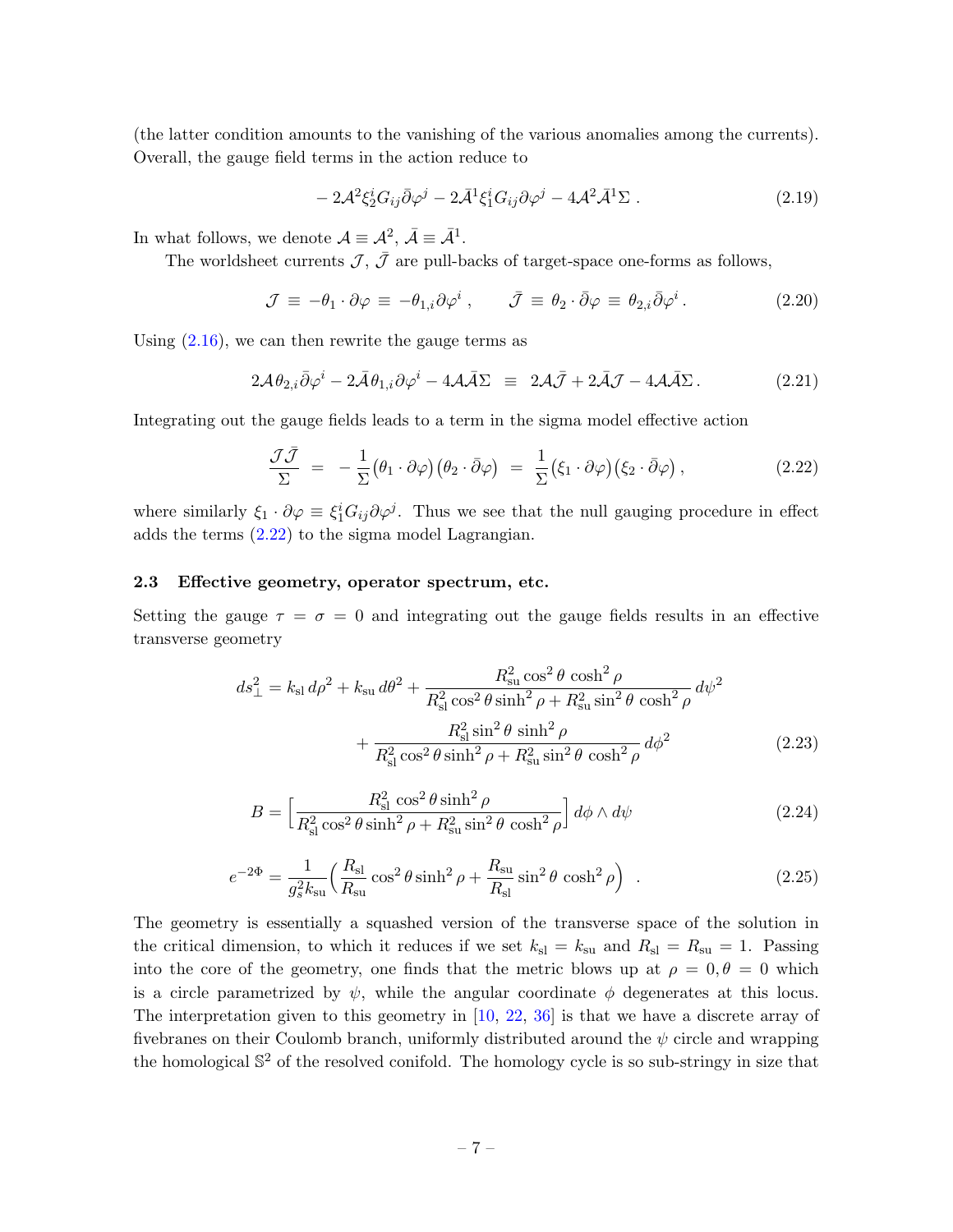(the latter condition amounts to the vanishing of the various anomalies among the currents). Overall, the gauge field terms in the action reduce to

$$
-2\mathcal{A}^2 \xi_2^i G_{ij} \bar{\partial} \varphi^j - 2\bar{\mathcal{A}}^1 \xi_1^i G_{ij} \partial \varphi^j - 4\mathcal{A}^2 \bar{\mathcal{A}}^1 \Sigma . \tag{2.19}
$$

In what follows, we denote  $\mathcal{A} \equiv \mathcal{A}^2$ ,  $\bar{\mathcal{A}} \equiv \bar{\mathcal{A}}^1$ .

The worldsheet currents  $\mathcal{J}, \bar{\mathcal{J}}$  are pull-backs of target-space one-forms as follows,

$$
\mathcal{J} \equiv -\theta_1 \cdot \partial \varphi \equiv -\theta_{1,i} \partial \varphi^i \,, \qquad \bar{\mathcal{J}} \equiv \theta_2 \cdot \bar{\partial} \varphi \equiv \theta_{2,i} \bar{\partial} \varphi^i \,. \tag{2.20}
$$

Using  $(2.16)$ , we can then rewrite the gauge terms as

$$
2\mathcal{A}\theta_{2,i}\bar{\partial}\varphi^{i}-2\bar{\mathcal{A}}\theta_{1,i}\partial\varphi^{i}-4\mathcal{A}\bar{\mathcal{A}}\Sigma \equiv 2\mathcal{A}\bar{\mathcal{J}}+2\bar{\mathcal{A}}\mathcal{J}-4\mathcal{A}\bar{\mathcal{A}}\Sigma.
$$
 (2.21)

Integrating out the gauge fields leads to a term in the sigma model effective action

<span id="page-7-1"></span>
$$
\frac{\mathcal{J}\bar{\mathcal{J}}}{\Sigma} = -\frac{1}{\Sigma} (\theta_1 \cdot \partial \varphi) (\theta_2 \cdot \bar{\partial} \varphi) = \frac{1}{\Sigma} (\xi_1 \cdot \partial \varphi) (\xi_2 \cdot \bar{\partial} \varphi) , \qquad (2.22)
$$

where similarly  $\xi_1 \cdot \partial \varphi \equiv \xi_1^i G_{ij} \partial \varphi^j$ . Thus we see that the null gauging procedure in effect adds the terms [\(2.22\)](#page-7-1) to the sigma model Lagrangian.

#### <span id="page-7-0"></span>2.3 Effective geometry, operator spectrum, etc.

Setting the gauge  $\tau = \sigma = 0$  and integrating out the gauge fields results in an effective transverse geometry

$$
ds_{\perp}^{2} = k_{\rm sl} d\rho^{2} + k_{\rm su} d\theta^{2} + \frac{R_{\rm su}^{2} \cos^{2} \theta \cosh^{2} \rho}{R_{\rm sl}^{2} \cos^{2} \theta \sinh^{2} \rho + R_{\rm su}^{2} \sin^{2} \theta \cosh^{2} \rho} d\psi^{2} + \frac{R_{\rm sl}^{2} \sin^{2} \theta \sinh^{2} \rho}{R_{\rm sl}^{2} \cos^{2} \theta \sinh^{2} \rho + R_{\rm su}^{2} \sin^{2} \theta \cosh^{2} \rho} d\phi^{2}
$$
(2.23)

<span id="page-7-3"></span><span id="page-7-2"></span>
$$
B = \left[\frac{R_{\rm sl}^2 \cos^2 \theta \sinh^2 \rho}{R_{\rm sl}^2 \cos^2 \theta \sinh^2 \rho + R_{\rm su}^2 \sin^2 \theta \cosh^2 \rho}\right] d\phi \wedge d\psi \tag{2.24}
$$

$$
e^{-2\Phi} = \frac{1}{g_s^2 k_{\rm su}} \left( \frac{R_{\rm sl}}{R_{\rm su}} \cos^2 \theta \sinh^2 \rho + \frac{R_{\rm su}}{R_{\rm sl}} \sin^2 \theta \cosh^2 \rho \right) \tag{2.25}
$$

The geometry is essentially a squashed version of the transverse space of the solution in the critical dimension, to which it reduces if we set  $k_{\rm sl} = k_{\rm su}$  and  $R_{\rm sl} = R_{\rm su} = 1$ . Passing into the core of the geometry, one finds that the metric blows up at  $\rho = 0, \theta = 0$  which is a circle parametrized by  $\psi$ , while the angular coordinate  $\phi$  degenerates at this locus. The interpretation given to this geometry in [\[10,](#page-46-7) [22,](#page-47-1) [36\]](#page-47-13) is that we have a discrete array of fivebranes on their Coulomb branch, uniformly distributed around the  $\psi$  circle and wrapping the homological  $\mathbb{S}^2$  of the resolved conifold. The homology cycle is so sub-stringy in size that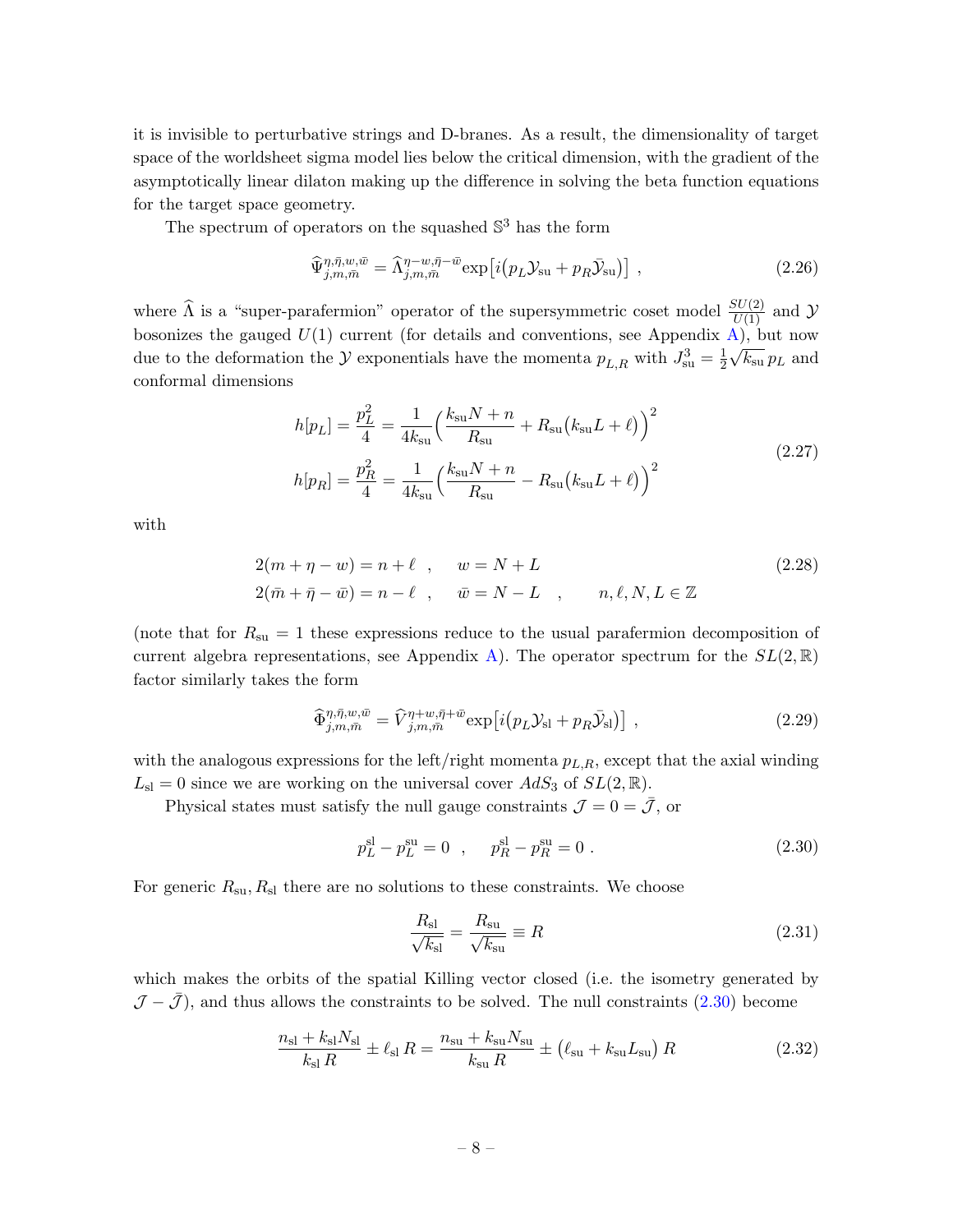it is invisible to perturbative strings and D-branes. As a result, the dimensionality of target space of the worldsheet sigma model lies below the critical dimension, with the gradient of the asymptotically linear dilaton making up the difference in solving the beta function equations for the target space geometry.

The spectrum of operators on the squashed  $\mathbb{S}^3$  has the form

<span id="page-8-1"></span>
$$
\widehat{\Psi}_{j,m,\bar{m}}^{\eta,\bar{\eta},w,\bar{w}} = \widehat{\Lambda}_{j,m,\bar{m}}^{\eta-w,\bar{\eta}-\bar{w}} \exp\left[i\left(p_L \mathcal{Y}_{\text{su}} + p_R \bar{\mathcal{Y}}_{\text{su}}\right)\right] \,,\tag{2.26}
$$

where  $\widehat{\Lambda}$  is a "super-parafermion" operator of the supersymmetric coset model  $\frac{SU(2)}{U(1)}$  and  $\mathcal{Y}$ bosonizes the gauged  $U(1)$  current (for details and conventions, see Appendix [A\)](#page-37-0), but now due to the deformation the  $\mathcal Y$  exponentials have the momenta  $p_{L,R}$  with  $J_{\rm su}^3 = \frac{1}{2}$  $\frac{1}{2}\sqrt{k_{\rm su}} p_L$  and conformal dimensions

<span id="page-8-3"></span>
$$
h[p_L] = \frac{p_L^2}{4} = \frac{1}{4k_{\rm su}} \left(\frac{k_{\rm su}N + n}{R_{\rm su}} + R_{\rm su}(k_{\rm su}L + \ell)\right)^2
$$
  
\n
$$
h[p_R] = \frac{p_R^2}{4} = \frac{1}{4k_{\rm su}} \left(\frac{k_{\rm su}N + n}{R_{\rm su}} - R_{\rm su}(k_{\rm su}L + \ell)\right)^2
$$
\n(2.27)

with

$$
2(m + \eta - w) = n + \ell \quad , \quad w = N + L
$$
  
\n
$$
2(\bar{m} + \bar{\eta} - \bar{w}) = n - \ell \quad , \quad \bar{w} = N - L \quad , \quad n, \ell, N, L \in \mathbb{Z}
$$
\n
$$
(2.28)
$$

(note that for  $R_{\rm su} = 1$  these expressions reduce to the usual parafermion decomposition of current algebra representations, see Appendix [A\)](#page-37-0). The operator spectrum for the  $SL(2,\mathbb{R})$ factor similarly takes the form

<span id="page-8-2"></span>
$$
\widehat{\Phi}_{j,m,\bar{m}}^{\eta,\bar{\eta},w,\bar{w}} = \widehat{V}_{j,m,\bar{m}}^{\eta+w,\bar{\eta}+\bar{w}} \exp\left[i\left(p_L \mathcal{Y}_{\rm sl} + p_R \bar{\mathcal{Y}}_{\rm sl}\right)\right] \,,\tag{2.29}
$$

with the analogous expressions for the left/right momenta  $p_{L,R}$ , except that the axial winding  $L_{\rm sl} = 0$  since we are working on the universal cover  $AdS_3$  of  $SL(2,\mathbb{R})$ .

Physical states must satisfy the null gauge constraints  $\mathcal{J} = 0 = \bar{\mathcal{J}}$ , or

$$
p_L^{\rm sl} - p_L^{\rm su} = 0 \quad , \qquad p_R^{\rm sl} - p_R^{\rm su} = 0 \tag{2.30}
$$

For generic  $R_{\rm su}, R_{\rm sl}$  there are no solutions to these constraints. We choose

<span id="page-8-0"></span>
$$
\frac{R_{\rm sl}}{\sqrt{k_{\rm sl}}} = \frac{R_{\rm su}}{\sqrt{k_{\rm su}}} \equiv R \tag{2.31}
$$

which makes the orbits of the spatial Killing vector closed (i.e. the isometry generated by  $\mathcal{J} - \bar{\mathcal{J}}$ , and thus allows the constraints to be solved. The null constraints [\(2.30\)](#page-8-0) become

$$
\frac{n_{\rm sl} + k_{\rm sl} N_{\rm sl}}{k_{\rm sl} R} \pm \ell_{\rm sl} R = \frac{n_{\rm su} + k_{\rm su} N_{\rm su}}{k_{\rm su} R} \pm (\ell_{\rm su} + k_{\rm su} L_{\rm su}) R \tag{2.32}
$$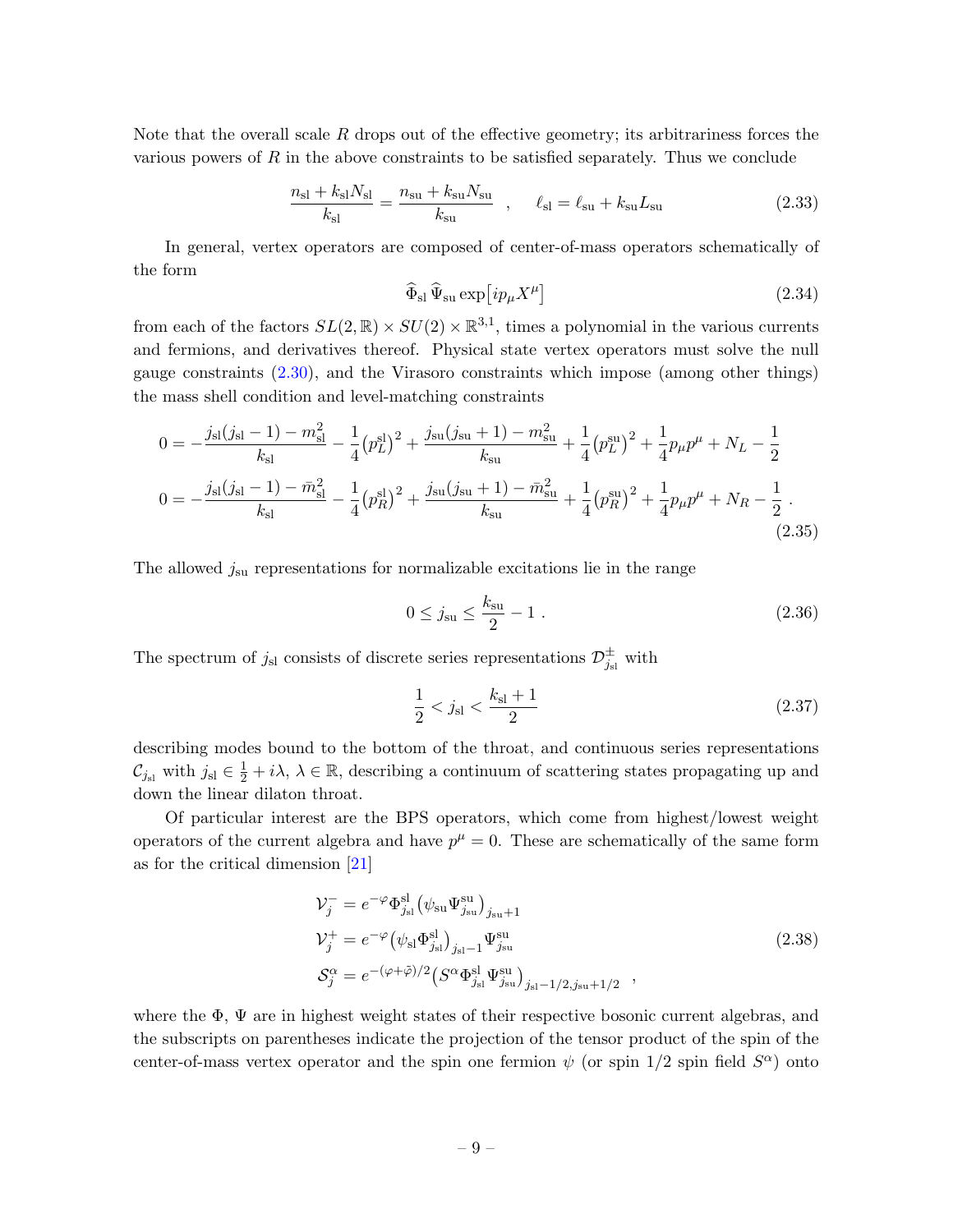Note that the overall scale  $R$  drops out of the effective geometry; its arbitrariness forces the various powers of  $R$  in the above constraints to be satisfied separately. Thus we conclude

$$
\frac{n_{\rm sl} + k_{\rm sl} N_{\rm sl}}{k_{\rm sl}} = \frac{n_{\rm su} + k_{\rm su} N_{\rm su}}{k_{\rm su}} , \quad \ell_{\rm sl} = \ell_{\rm su} + k_{\rm su} L_{\rm su}
$$
 (2.33)

In general, vertex operators are composed of center-of-mass operators schematically of the form

$$
\widehat{\Phi}_{\rm sl} \,\widehat{\Psi}_{\rm su} \exp\left[i p_{\mu} X^{\mu}\right] \tag{2.34}
$$

from each of the factors  $SL(2,\mathbb{R}) \times SU(2) \times \mathbb{R}^{3,1}$ , times a polynomial in the various currents and fermions, and derivatives thereof. Physical state vertex operators must solve the null gauge constraints [\(2.30\)](#page-8-0), and the Virasoro constraints which impose (among other things) the mass shell condition and level-matching constraints

$$
0 = -\frac{j_{\rm sl}(j_{\rm sl} - 1) - m_{\rm sl}^2}{k_{\rm sl}} - \frac{1}{4} (p_L^{\rm sl})^2 + \frac{j_{\rm su}(j_{\rm su} + 1) - m_{\rm su}^2}{k_{\rm su}} + \frac{1}{4} (p_L^{\rm su})^2 + \frac{1}{4} p_{\mu} p^{\mu} + N_L - \frac{1}{2}
$$
  

$$
0 = -\frac{j_{\rm sl}(j_{\rm sl} - 1) - \bar{m}_{\rm sl}^2}{k_{\rm sl}} - \frac{1}{4} (p_R^{\rm sl})^2 + \frac{j_{\rm su}(j_{\rm su} + 1) - \bar{m}_{\rm su}^2}{k_{\rm su}} + \frac{1}{4} (p_R^{\rm su})^2 + \frac{1}{4} p_{\mu} p^{\mu} + N_R - \frac{1}{2}.
$$
\n(2.35)

The allowed  $j_{\rm su}$  representations for normalizable excitations lie in the range

<span id="page-9-3"></span><span id="page-9-1"></span>
$$
0 \le j_{\rm su} \le \frac{k_{\rm su}}{2} - 1 \tag{2.36}
$$

The spectrum of  $j_{\rm sl}$  consists of discrete series representations  $\mathcal{D}^{\pm}_{j_{\rm sl}}$  with

<span id="page-9-2"></span><span id="page-9-0"></span>
$$
\frac{1}{2} < j_{\rm sl} < \frac{k_{\rm sl} + 1}{2} \tag{2.37}
$$

describing modes bound to the bottom of the throat, and continuous series representations  $\mathcal{C}_{j_{\rm sl}}$  with  $j_{\rm sl} \in \frac{1}{2} + i\lambda$ ,  $\lambda \in \mathbb{R}$ , describing a continuum of scattering states propagating up and down the linear dilaton throat.

Of particular interest are the BPS operators, which come from highest/lowest weight operators of the current algebra and have  $p^{\mu} = 0$ . These are schematically of the same form as for the critical dimension [\[21\]](#page-47-0)

$$
\mathcal{V}_j^- = e^{-\varphi} \Phi_{j_{\rm sl}}^{\rm sl} \left( \psi_{\rm su} \Psi_{j_{\rm su}}^{\rm su} \right)_{j_{\rm su}+1}
$$
  
\n
$$
\mathcal{V}_j^+ = e^{-\varphi} \left( \psi_{\rm sl} \Phi_{j_{\rm sl}}^{\rm sl} \right)_{j_{\rm sl}-1} \Psi_{j_{\rm su}}^{\rm su}
$$
  
\n
$$
\mathcal{S}_j^{\alpha} = e^{-(\varphi + \tilde{\varphi})/2} \left( S^{\alpha} \Phi_{j_{\rm sl}}^{\rm sl} \Psi_{j_{\rm su}}^{\rm su} \right)_{j_{\rm sl}-1/2, j_{\rm su}+1/2} ,
$$
\n(2.38)

where the  $\Phi$ ,  $\Psi$  are in highest weight states of their respective bosonic current algebras, and the subscripts on parentheses indicate the projection of the tensor product of the spin of the center-of-mass vertex operator and the spin one fermion  $\psi$  (or spin 1/2 spin field  $S^{\alpha}$ ) onto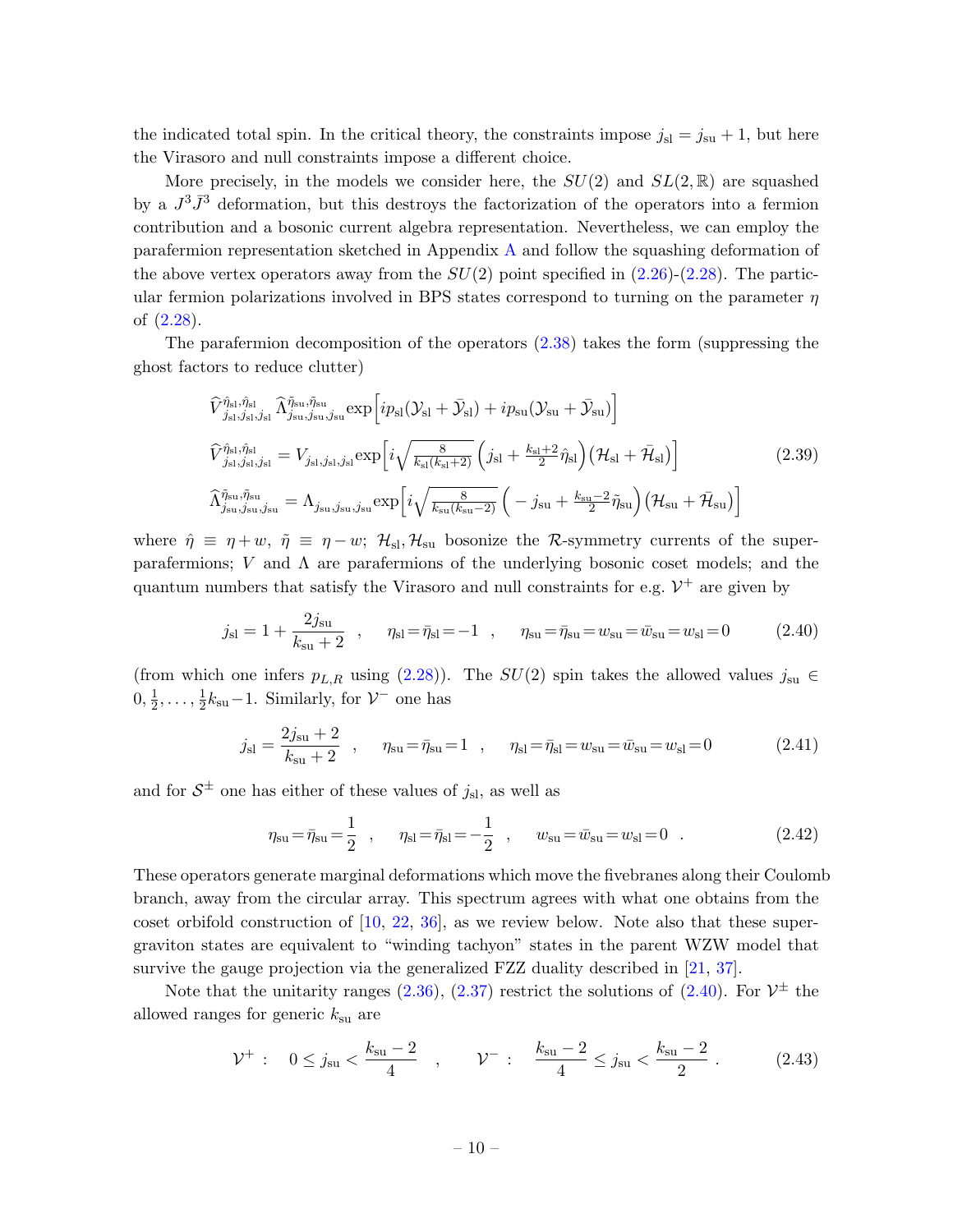the indicated total spin. In the critical theory, the constraints impose  $j_{sl} = j_{su} + 1$ , but here the Virasoro and null constraints impose a different choice.

More precisely, in the models we consider here, the  $SU(2)$  and  $SL(2,\mathbb{R})$  are squashed by a  $J^3\bar{J}^3$  deformation, but this destroys the factorization of the operators into a fermion contribution and a bosonic current algebra representation. Nevertheless, we can employ the parafermion representation sketched in Appendix [A](#page-37-0) and follow the squashing deformation of the above vertex operators away from the  $SU(2)$  point specified in  $(2.26)-(2.28)$  $(2.26)-(2.28)$ . The particular fermion polarizations involved in BPS states correspond to turning on the parameter  $\eta$ of [\(2.28\)](#page-8-2).

The parafermion decomposition of the operators [\(2.38\)](#page-9-0) takes the form (suppressing the ghost factors to reduce clutter)

<span id="page-10-2"></span>
$$
\hat{V}_{j_{\rm sl},j_{\rm sl}}^{\hat{\eta}_{\rm sl},\hat{\eta}_{\rm sl}} \hat{\Lambda}_{j_{\rm su},j_{\rm su},j_{\rm su}}^{\tilde{\eta}_{\rm su},\tilde{\eta}_{\rm su}} \exp\left[ip_{\rm sl}(\mathcal{Y}_{\rm sl} + \bar{\mathcal{Y}}_{\rm sl}) + ip_{\rm su}(\mathcal{Y}_{\rm su} + \bar{\mathcal{Y}}_{\rm su})\right]
$$
\n
$$
\hat{V}_{j_{\rm sl},j_{\rm sl},j_{\rm sl}}^{\hat{\eta}_{\rm sl},\hat{\eta}_{\rm sl}} = V_{j_{\rm sl},j_{\rm sl},j_{\rm sl}} \exp\left[i\sqrt{\frac{8}{k_{\rm sl}(k_{\rm sl}+2)}}\left(j_{\rm sl} + \frac{k_{\rm sl}+2}{2}\hat{\eta}_{\rm sl}\right)\left(\mathcal{H}_{\rm sl} + \bar{\mathcal{H}}_{\rm sl}\right)\right]
$$
\n
$$
\hat{\Lambda}_{j_{\rm su},j_{\rm su},j_{\rm su}}^{\tilde{\eta}_{\rm su},\tilde{\eta}_{\rm su}} = \Lambda_{j_{\rm su},j_{\rm su},j_{\rm su}} \exp\left[i\sqrt{\frac{8}{k_{\rm su}(k_{\rm su}-2)}}\left(-j_{\rm su} + \frac{k_{\rm su}-2}{2}\tilde{\eta}_{\rm su}\right)\left(\mathcal{H}_{\rm su} + \bar{\mathcal{H}}_{\rm su}\right)\right]
$$
\n(2.39)

where  $\hat{\eta} \equiv \eta + w$ ,  $\tilde{\eta} \equiv \eta - w$ ;  $\mathcal{H}_{\rm sl}$ ,  $\mathcal{H}_{\rm su}$  bosonize the R-symmetry currents of the superparafermions;  $V$  and  $\Lambda$  are parafermions of the underlying bosonic coset models; and the quantum numbers that satisfy the Virasoro and null constraints for e.g.  $\mathcal{V}^+$  are given by

$$
j_{\rm sl} = 1 + \frac{2j_{\rm su}}{k_{\rm su} + 2}
$$
,  $\eta_{\rm sl} = \bar{\eta}_{\rm sl} = -1$ ,  $\eta_{\rm su} = \bar{\eta}_{\rm su} = w_{\rm su} = w_{\rm sl} = 0$  (2.40)

(from which one infers  $p_{L,R}$  using [\(2.28\)](#page-8-2)). The  $SU(2)$  spin takes the allowed values  $j_{su} \in$  $0, \frac{1}{2}$  $\frac{1}{2}, \ldots, \frac{1}{2}$  $\frac{1}{2}k_{\rm su}-1$ . Similarly, for  $\mathcal{V}^-$  one has

$$
j_{\rm sl} = \frac{2j_{\rm su} + 2}{k_{\rm su} + 2} \quad , \qquad \eta_{\rm su} = \bar{\eta}_{\rm su} = 1 \quad , \qquad \eta_{\rm sl} = \bar{\eta}_{\rm sl} = w_{\rm su} = \bar{w}_{\rm su} = w_{\rm sl} = 0 \tag{2.41}
$$

and for  $S^{\pm}$  one has either of these values of  $j_{\rm sl}$ , as well as

<span id="page-10-1"></span><span id="page-10-0"></span>
$$
\eta_{\rm su} = \bar{\eta}_{\rm su} = \frac{1}{2} \quad , \qquad \eta_{\rm sl} = \bar{\eta}_{\rm sl} = -\frac{1}{2} \quad , \qquad w_{\rm su} = \bar{w}_{\rm su} = w_{\rm sl} = 0 \quad . \tag{2.42}
$$

These operators generate marginal deformations which move the fivebranes along their Coulomb branch, away from the circular array. This spectrum agrees with what one obtains from the coset orbifold construction of [\[10,](#page-46-7) [22,](#page-47-1) [36\]](#page-47-13), as we review below. Note also that these supergraviton states are equivalent to "winding tachyon" states in the parent WZW model that survive the gauge projection via the generalized FZZ duality described in [\[21,](#page-47-0) [37\]](#page-47-14).

Note that the unitarity ranges  $(2.36)$ ,  $(2.37)$  restrict the solutions of  $(2.40)$ . For  $\mathcal{V}^{\pm}$  the allowed ranges for generic  $k_{\rm su}$  are

<span id="page-10-3"></span>
$$
\mathcal{V}^+ : \quad 0 \le j_{\rm su} < \frac{k_{\rm su} - 2}{4} \quad , \qquad \mathcal{V}^- : \quad \frac{k_{\rm su} - 2}{4} \le j_{\rm su} < \frac{k_{\rm su} - 2}{2} \quad . \tag{2.43}
$$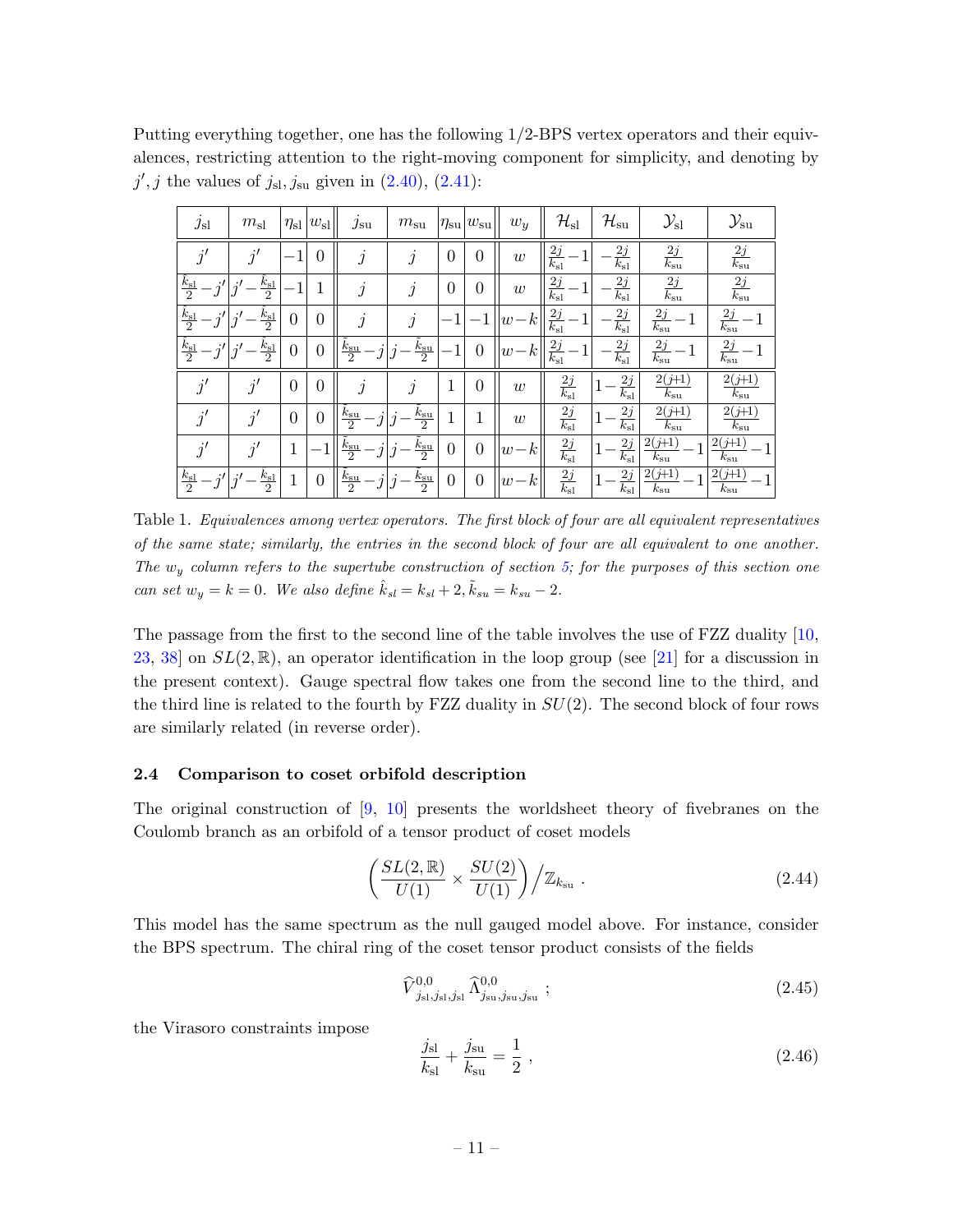Putting everything together, one has the following 1/2-BPS vertex operators and their equivalences, restricting attention to the right-moving component for simplicity, and denoting by  $j', j$  the values of  $j_{\rm sl}, j_{\rm su}$  given in  $(2.40), (2.41)$  $(2.40), (2.41)$ :

| $j_{sl}$                     | $m_{\rm sl}$            | $\eta_{\rm sl}$ | $w_{\rm sl}$   | $j_{\rm su}$                   | $m_{\rm su}$                   | $\eta_{\rm su}$ | $w_{\rm su}$   | $w_y$     | ${\cal H}_{\rm sl}$     | $\mathcal{H}_{\rm su}$         | $\mathcal{Y}_{\rm sl}$   | $\mathcal{Y}_{\mathrm{su}}$ |
|------------------------------|-------------------------|-----------------|----------------|--------------------------------|--------------------------------|-----------------|----------------|-----------|-------------------------|--------------------------------|--------------------------|-----------------------------|
| i'                           | $\overline{a}^{\prime}$ |                 | 0              | $\boldsymbol{\eta}$            | $\dot{j}$                      | $\overline{0}$  | $\overline{0}$ | w         | $\frac{2j}{k_{\rm sl}}$ | $\frac{2j}{2}$<br>$k_{\rm sl}$ | $\frac{2j}{k_{\rm su}}$  | $\frac{2j}{k_{\rm su}}$     |
| $\frac{\hat{k}_{\rm sl}}{2}$ | $rac{k_{\rm sl}}{2}$    |                 | 1<br>T         | $\mathbf{r}$                   | İ                              | $\overline{0}$  | $\overline{0}$ | w         | $\frac{2j}{k_{\rm sl}}$ | $\frac{2j}{k_{\rm sl}}$        | $\frac{2j}{k_{\rm su}}$  | $\frac{2j}{k_{\rm su}}$     |
| $\frac{k_{\rm sl}}{2}$       | $\frac{k_{\rm sl}}{2}$  | $\theta$        | 0              | $\mathbf{r}$                   | j                              |                 |                | $w-k$     | $\frac{2j}{k_{\rm sl}}$ | $\frac{2j}{k_{\rm sl}}$        | $\frac{2j}{k_{\rm su}}$  | $\frac{2j}{k_{\rm su}}$     |
| $\frac{k_{\rm sl}}{2}$       | $\frac{k_{\rm sl}}{2}$  | $\theta$        | $\overline{0}$ | $k_{\rm su}$<br>$\overline{2}$ | $\frac{\tilde{k}_{\rm su}}{2}$ | 1               | $\overline{0}$ | $-k$<br>w | $\frac{2j}{k_{\rm sl}}$ | $\frac{2j}{k_{\rm sl}}$        | $\frac{2j}{k_{\rm su}}$  | $\frac{2j}{k_{\rm su}}$     |
| j'                           | $\vec{v}$               | $\overline{0}$  | 0              | $\boldsymbol{\eta}$            | Ĵ                              | 1               | 0              | w         | $\frac{2j}{k_{\rm sl}}$ | $\frac{2j}{k_{\rm sl}}$        | $2(j+1)$<br>$k_{\rm su}$ | $2(j+1)$<br>$k_{\rm su}$    |
| j'                           | $\vec{q}$               | $\overline{0}$  | $\overline{0}$ | $k_{\rm su}$<br>$\overline{2}$ | $\frac{\tilde{k}_{\rm su}}{2}$ | 1               | 1              | w         | $\frac{2j}{k_{\rm sl}}$ | $\frac{2j}{k_{\rm sl}}$        | $2(j+1)$<br>$k_{\rm su}$ | $2(j+1)$<br>$k_{\rm su}$    |
| i'                           | $\tilde{v}$             | 1               |                | $k_{\rm su}$<br>$\overline{2}$ | $\frac{\tilde{k}_{\rm su}}{2}$ | $\overline{0}$  | $\overline{0}$ | $w-k$     | $\frac{2j}{k_{\rm sl}}$ | $\frac{2j}{k_{\rm sl}}$        | $2(j+1)$<br>$k_{\rm su}$ | $2(j+1)$<br>$k_{\rm su}$    |
| $\frac{k_{\rm sl}}{2}$       | $rac{k_{\rm sl}}{2}$    |                 | 0              | $k_{\rm su}$<br>$\overline{2}$ | $\frac{\tilde{k}_{\rm su}}{2}$ | $\overline{0}$  | $\overline{0}$ | $w-k$     | $\frac{2j}{k_{\rm sl}}$ | 2j<br>$\overline{k_{\rm sl}}$  | $2(j+1)$<br>$k_{\rm su}$ | $2(j+1)$<br>$k_{\rm su}$    |

Table 1. Equivalences among vertex operators. The first block of four are all equivalent representatives of the same state; similarly, the entries in the second block of four are all equivalent to one another. The  $w_y$  column refers to the supertube construction of section [5;](#page-26-2) for the purposes of this section one can set  $w_y = k = 0$ . We also define  $\hat{k}_{sl} = k_{sl} + 2$ ,  $\tilde{k}_{su} = k_{su} - 2$ .

The passage from the first to the second line of the table involves the use of FZZ duality [\[10,](#page-46-7) [23,](#page-47-2) [38\]](#page-47-15) on  $SL(2,\mathbb{R})$ , an operator identification in the loop group (see [\[21\]](#page-47-0) for a discussion in the present context). Gauge spectral flow takes one from the second line to the third, and the third line is related to the fourth by FZZ duality in  $SU(2)$ . The second block of four rows are similarly related (in reverse order).

#### <span id="page-11-0"></span>2.4 Comparison to coset orbifold description

The original construction of  $[9, 10]$  $[9, 10]$  presents the worldsheet theory of fivebranes on the Coulomb branch as an orbifold of a tensor product of coset models

$$
\left(\frac{SL(2,\mathbb{R})}{U(1)} \times \frac{SU(2)}{U(1)}\right) \Big/ \mathbb{Z}_{k_{\rm su}} . \tag{2.44}
$$

This model has the same spectrum as the null gauged model above. For instance, consider the BPS spectrum. The chiral ring of the coset tensor product consists of the fields

<span id="page-11-1"></span>
$$
\widehat{V}_{j_{\rm sl},j_{\rm sl},j_{\rm sl}}^{0,0} \widehat{\Lambda}_{j_{\rm su},j_{\rm su},j_{\rm su}}^{0,0};\tag{2.45}
$$

the Virasoro constraints impose

$$
\frac{j_{\rm sl}}{k_{\rm sl}} + \frac{j_{\rm su}}{k_{\rm su}} = \frac{1}{2} \,,\tag{2.46}
$$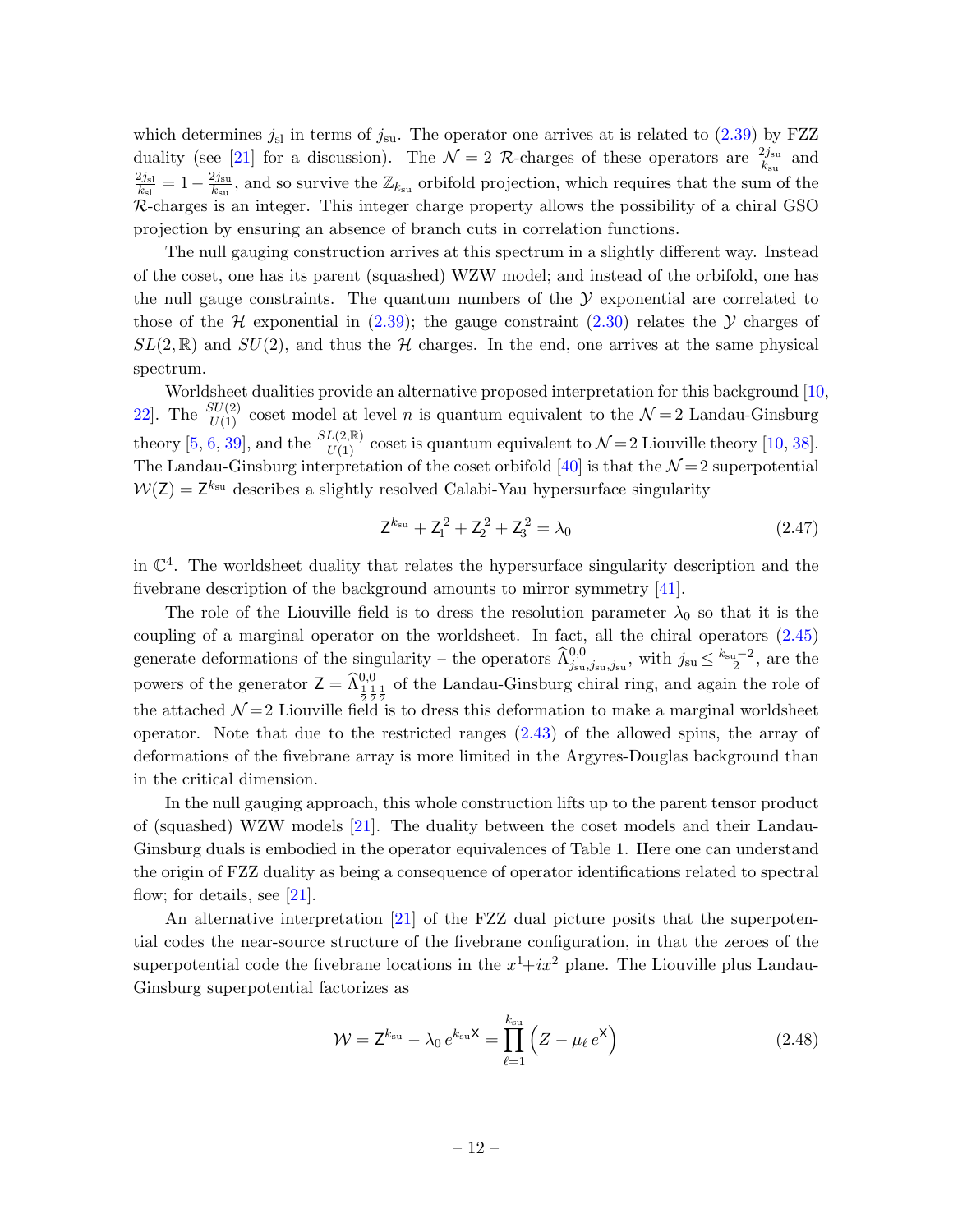which determines  $j_{sl}$  in terms of  $j_{su}$ . The operator one arrives at is related to [\(2.39\)](#page-10-2) by FZZ duality (see [\[21\]](#page-47-0) for a discussion). The  $\mathcal{N}=2$  R-charges of these operators are  $\frac{2j_{\rm su}}{k_{\rm su}}$  and  $2j_{\rm sl}$  $\frac{2j_{\rm sl}}{k_{\rm sl}}=1-\frac{2j_{\rm su}}{k_{\rm su}}$  $\frac{2j_{\text{su}}}{k_{\text{su}}}$ , and so survive the  $\mathbb{Z}_{k_{\text{su}}}$  orbifold projection, which requires that the sum of the R-charges is an integer. This integer charge property allows the possibility of a chiral GSO projection by ensuring an absence of branch cuts in correlation functions.

The null gauging construction arrives at this spectrum in a slightly different way. Instead of the coset, one has its parent (squashed) WZW model; and instead of the orbifold, one has the null gauge constraints. The quantum numbers of the  $\mathcal Y$  exponential are correlated to those of the H exponential in  $(2.39)$ ; the gauge constraint  $(2.30)$  relates the Y charges of  $SL(2,\mathbb{R})$  and  $SU(2)$ , and thus the H charges. In the end, one arrives at the same physical spectrum.

Worldsheet dualities provide an alternative proposed interpretation for this background [\[10,](#page-46-7) 22. The  $\frac{SU(2)}{U(1)}$  coset model at level *n* is quantum equivalent to the  $\mathcal{N}=2$  Landau-Ginsburg theory [\[5,](#page-46-4) [6,](#page-46-15) [39\]](#page-47-16), and the  $\frac{SL(2,\mathbb{R})}{U(1)}$  coset is quantum equivalent to  $\mathcal{N}=2$  Liouville theory [\[10,](#page-46-7) [38\]](#page-47-15). The Landau-Ginsburg interpretation of the coset orbifold [\[40\]](#page-47-17) is that the  $\mathcal{N}=2$  superpotential  $W(Z) = Z^{k_{\rm su}}$  describes a slightly resolved Calabi-Yau hypersurface singularity

$$
Z^{k_{su}} + Z_1^2 + Z_2^2 + Z_3^2 = \lambda_0 \tag{2.47}
$$

in  $\mathbb{C}^4$ . The worldsheet duality that relates the hypersurface singularity description and the fivebrane description of the background amounts to mirror symmetry [\[41\]](#page-48-0).

The role of the Liouville field is to dress the resolution parameter  $\lambda_0$  so that it is the coupling of a marginal operator on the worldsheet. In fact, all the chiral operators [\(2.45\)](#page-11-1) generate deformations of the singularity – the operators  $\widehat{\Lambda}_{j_{\rm su},j_{\rm su},j_{\rm su}}^{0,0}$ , with  $j_{\rm su} \leq \frac{k_{\rm su}-2}{2}$ , are the powers of the generator  $Z = \hat{\Lambda}_{\frac{1}{2} \frac{1}{2} \frac{1}{2}}^{0,0}$  of the Landau-Ginsburg chiral ring, and again the role of the attached  $\mathcal{N}=2$  Liouville field is to dress this deformation to make a marginal worldsheet operator. Note that due to the restricted ranges [\(2.43\)](#page-10-3) of the allowed spins, the array of deformations of the fivebrane array is more limited in the Argyres-Douglas background than in the critical dimension.

In the null gauging approach, this whole construction lifts up to the parent tensor product of (squashed) WZW models [\[21\]](#page-47-0). The duality between the coset models and their Landau-Ginsburg duals is embodied in the operator equivalences of Table 1. Here one can understand the origin of FZZ duality as being a consequence of operator identifications related to spectral flow; for details, see  $[21]$ .

An alternative interpretation [\[21\]](#page-47-0) of the FZZ dual picture posits that the superpotential codes the near-source structure of the fivebrane configuration, in that the zeroes of the superpotential code the fivebrane locations in the  $x^1+ix^2$  plane. The Liouville plus Landau-Ginsburg superpotential factorizes as

$$
\mathcal{W} = \mathsf{Z}^{k_{\rm su}} - \lambda_0 e^{k_{\rm su}\mathsf{X}} = \prod_{\ell=1}^{k_{\rm su}} \left( Z - \mu_\ell e^{\mathsf{X}} \right) \tag{2.48}
$$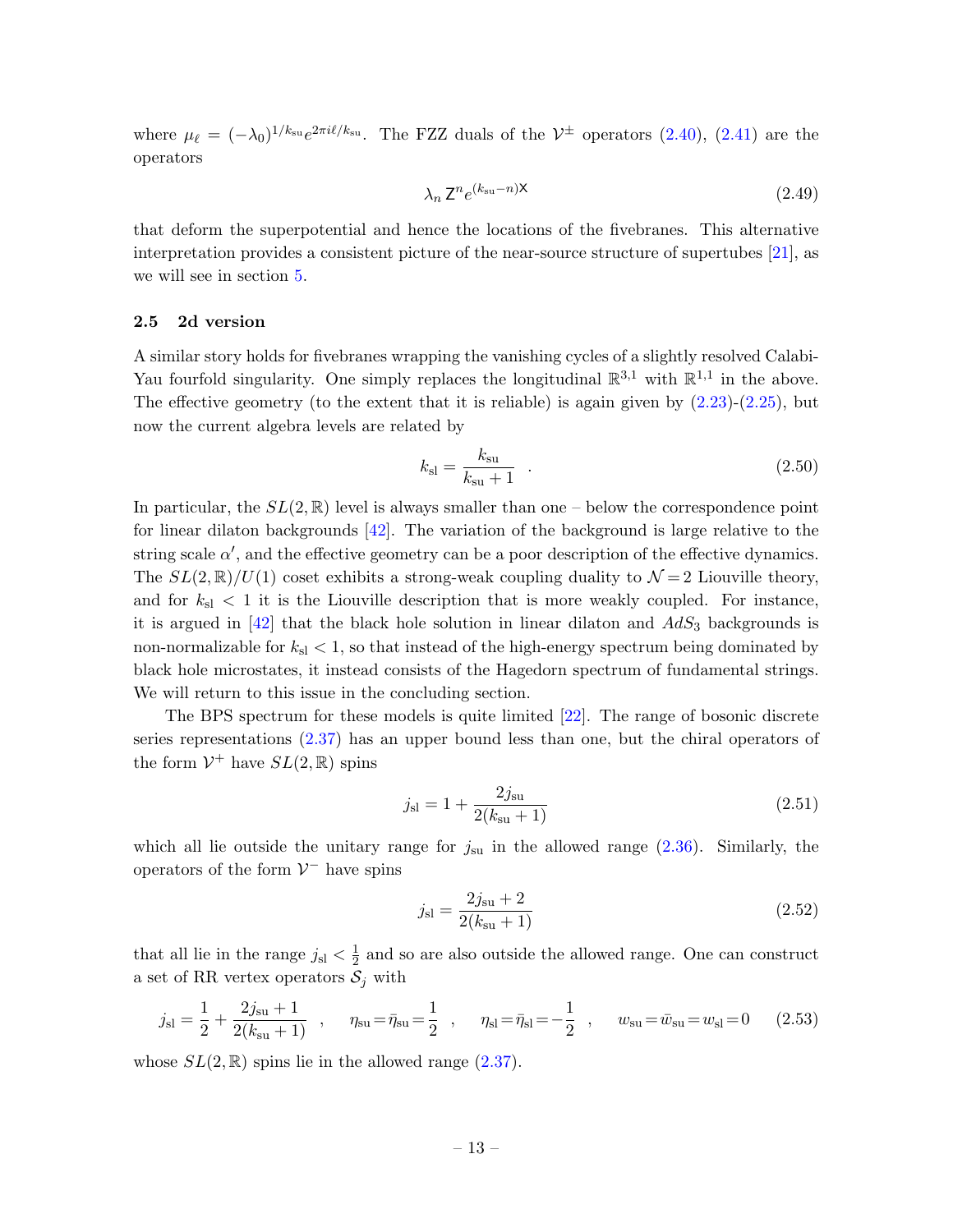where  $\mu_{\ell} = (-\lambda_0)^{1/k_{\rm su}} e^{2\pi i\ell/k_{\rm su}}$ . The FZZ duals of the  $\mathcal{V}^{\pm}$  operators [\(2.40\)](#page-10-0), [\(2.41\)](#page-10-1) are the operators

$$
\lambda_n \mathsf{Z}^n e^{(k_{\rm su}-n)\mathsf{X}} \tag{2.49}
$$

that deform the superpotential and hence the locations of the fivebranes. This alternative interpretation provides a consistent picture of the near-source structure of supertubes [\[21\]](#page-47-0), as we will see in section [5.](#page-26-2)

#### <span id="page-13-0"></span>2.5 2d version

A similar story holds for fivebranes wrapping the vanishing cycles of a slightly resolved Calabi-Yau fourfold singularity. One simply replaces the longitudinal  $\mathbb{R}^{3,1}$  with  $\mathbb{R}^{1,1}$  in the above. The effective geometry (to the extent that it is reliable) is again given by  $(2.23)-(2.25)$  $(2.23)-(2.25)$ , but now the current algebra levels are related by

$$
k_{\rm sl} = \frac{k_{\rm su}}{k_{\rm su} + 1} \quad . \tag{2.50}
$$

In particular, the  $SL(2,\mathbb{R})$  level is always smaller than one – below the correspondence point for linear dilaton backgrounds [\[42\]](#page-48-1). The variation of the background is large relative to the string scale  $\alpha'$ , and the effective geometry can be a poor description of the effective dynamics. The  $SL(2,\mathbb{R})/U(1)$  coset exhibits a strong-weak coupling duality to  $\mathcal{N}=2$  Liouville theory, and for  $k_{\rm sl} < 1$  it is the Liouville description that is more weakly coupled. For instance, it is argued in  $\left[42\right]$  that the black hole solution in linear dilaton and  $AdS_3$  backgrounds is non-normalizable for  $k_{sl} < 1$ , so that instead of the high-energy spectrum being dominated by black hole microstates, it instead consists of the Hagedorn spectrum of fundamental strings. We will return to this issue in the concluding section.

The BPS spectrum for these models is quite limited [\[22\]](#page-47-1). The range of bosonic discrete series representations [\(2.37\)](#page-9-2) has an upper bound less than one, but the chiral operators of the form  $\mathcal{V}^+$  have  $SL(2,\mathbb{R})$  spins

$$
j_{\rm sl} = 1 + \frac{2j_{\rm su}}{2(k_{\rm su} + 1)}\tag{2.51}
$$

which all lie outside the unitary range for  $j_{\rm su}$  in the allowed range  $(2.36)$ . Similarly, the operators of the form  $\mathcal{V}^-$  have spins

$$
j_{\rm sl} = \frac{2j_{\rm su} + 2}{2(k_{\rm su} + 1)}\tag{2.52}
$$

that all lie in the range  $j_{\rm sl} < \frac{1}{2}$  $\frac{1}{2}$  and so are also outside the allowed range. One can construct a set of RR vertex operators  $S_j$  with

$$
j_{\rm sl} = \frac{1}{2} + \frac{2j_{\rm su} + 1}{2(k_{\rm su} + 1)} \quad , \qquad \eta_{\rm su} = \bar{\eta}_{\rm su} = \frac{1}{2} \quad , \qquad \eta_{\rm sl} = \bar{\eta}_{\rm sl} = -\frac{1}{2} \quad , \qquad w_{\rm su} = \bar{w}_{\rm su} = w_{\rm sl} = 0 \tag{2.53}
$$

whose  $SL(2,\mathbb{R})$  spins lie in the allowed range  $(2.37)$ .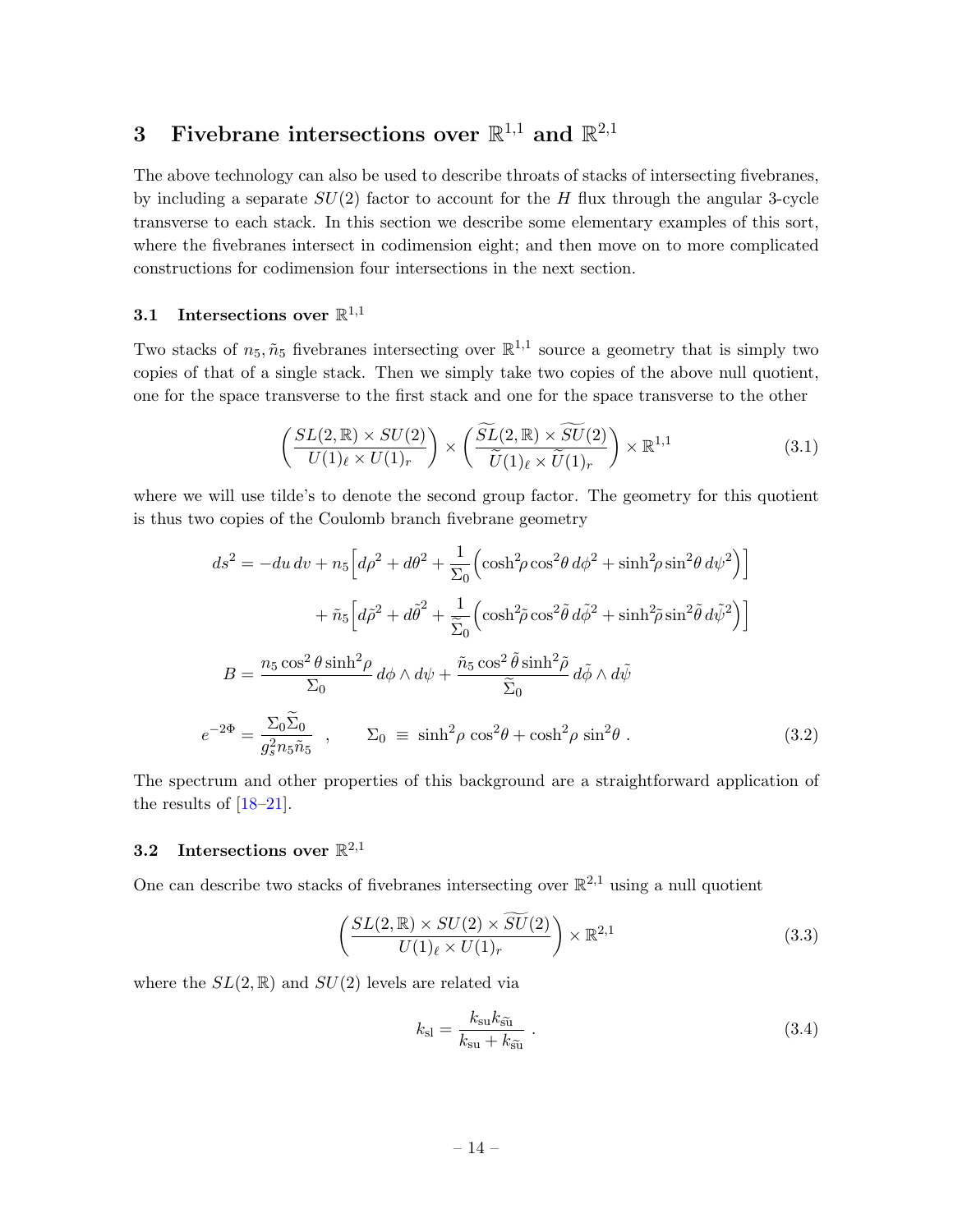# <span id="page-14-0"></span>3 Fivebrane intersections over  $\mathbb{R}^{1,1}$  and  $\mathbb{R}^{2,1}$

The above technology can also be used to describe throats of stacks of intersecting fivebranes, by including a separate  $SU(2)$  factor to account for the H flux through the angular 3-cycle transverse to each stack. In this section we describe some elementary examples of this sort, where the fivebranes intersect in codimension eight; and then move on to more complicated constructions for codimension four intersections in the next section.

# <span id="page-14-1"></span>3.1 Intersections over  $\mathbb{R}^{1,1}$

Two stacks of  $n_5, \tilde{n}_5$  fivebranes intersecting over  $\mathbb{R}^{1,1}$  source a geometry that is simply two copies of that of a single stack. Then we simply take two copies of the above null quotient, one for the space transverse to the first stack and one for the space transverse to the other

$$
\left(\frac{SL(2,\mathbb{R})\times SU(2)}{U(1)_{\ell}\times U(1)_{r}}\right) \times \left(\frac{\widetilde{SL}(2,\mathbb{R})\times \widetilde{SU}(2)}{\widetilde{U}(1)_{\ell}\times \widetilde{U}(1)_{r}}\right) \times \mathbb{R}^{1,1}
$$
\n(3.1)

where we will use tilde's to denote the second group factor. The geometry for this quotient is thus two copies of the Coulomb branch fivebrane geometry

$$
ds^{2} = -du dv + n_{5} \left[ d\rho^{2} + d\theta^{2} + \frac{1}{\Sigma_{0}} \left( \cosh^{2}\rho \cos^{2}\theta \, d\phi^{2} + \sinh^{2}\rho \sin^{2}\theta \, d\psi^{2} \right) \right]
$$

$$
+ \tilde{n}_{5} \left[ d\tilde{\rho}^{2} + d\tilde{\theta}^{2} + \frac{1}{\widetilde{\Sigma}_{0}} \left( \cosh^{2}\tilde{\rho} \cos^{2}\tilde{\theta} \, d\tilde{\phi}^{2} + \sinh^{2}\tilde{\rho} \sin^{2}\tilde{\theta} \, d\tilde{\psi}^{2} \right) \right]
$$

$$
B = \frac{n_{5} \cos^{2}\theta \sinh^{2}\rho}{\Sigma_{0}} d\phi \wedge d\psi + \frac{\tilde{n}_{5} \cos^{2}\tilde{\theta} \sinh^{2}\tilde{\rho}}{\widetilde{\Sigma}_{0}} d\tilde{\phi} \wedge d\tilde{\psi}
$$

$$
e^{-2\Phi} = \frac{\Sigma_{0} \widetilde{\Sigma}_{0}}{g_{s}^{2} n_{5} \tilde{n}_{5}} , \qquad \Sigma_{0} \equiv \sinh^{2}\rho \cos^{2}\theta + \cosh^{2}\rho \sin^{2}\theta . \tag{3.2}
$$

The spectrum and other properties of this background are a straightforward application of the results of  $[18-21]$  $[18-21]$ .

# <span id="page-14-2"></span>**3.2** Intersections over  $\mathbb{R}^{2,1}$

One can describe two stacks of fivebranes intersecting over  $\mathbb{R}^{2,1}$  using a null quotient

<span id="page-14-3"></span>
$$
\left(\frac{SL(2,\mathbb{R})\times SU(2)\times \widetilde{SU}(2)}{U(1)_{\ell}\times U(1)_{r}}\right)\times \mathbb{R}^{2,1}
$$
\n(3.3)

where the  $SL(2,\mathbb{R})$  and  $SU(2)$  levels are related via

<span id="page-14-4"></span>
$$
k_{\rm sl} = \frac{k_{\rm su} k_{\tilde{\rm su}}}{k_{\rm su} + k_{\tilde{\rm su}}} \ . \tag{3.4}
$$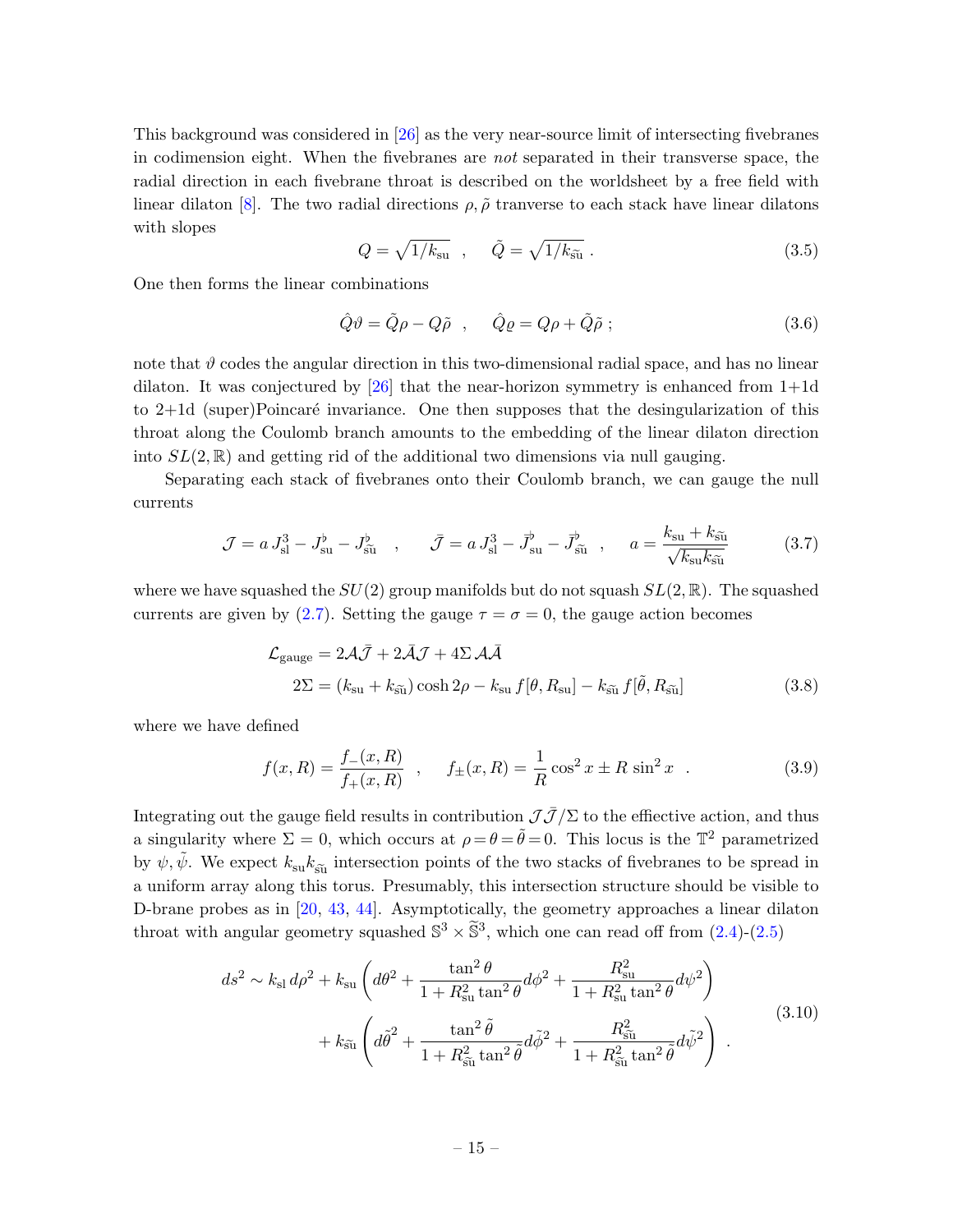This background was considered in [\[26\]](#page-47-3) as the very near-source limit of intersecting fivebranes in codimension eight. When the fivebranes are not separated in their transverse space, the radial direction in each fivebrane throat is described on the worldsheet by a free field with linear dilaton [\[8\]](#page-46-6). The two radial directions  $\rho$ ,  $\tilde{\rho}$  tranverse to each stack have linear dilatons with slopes

$$
Q = \sqrt{1/k_{\rm su}} \quad , \quad \tilde{Q} = \sqrt{1/k_{\rm \tilde{su}}} \ . \tag{3.5}
$$

One then forms the linear combinations

$$
\hat{Q}\vartheta = \tilde{Q}\rho - Q\tilde{\rho} \quad , \quad \hat{Q}\varrho = Q\rho + \tilde{Q}\tilde{\rho} \quad ; \tag{3.6}
$$

note that  $\vartheta$  codes the angular direction in this two-dimensional radial space, and has no linear dilaton. It was conjectured by  $[26]$  that the near-horizon symmetry is enhanced from  $1+1d$ to  $2+1d$  (super)Poincaré invariance. One then supposes that the desingularization of this throat along the Coulomb branch amounts to the embedding of the linear dilaton direction into  $SL(2,\mathbb{R})$  and getting rid of the additional two dimensions via null gauging.

Separating each stack of fivebranes onto their Coulomb branch, we can gauge the null currents

<span id="page-15-1"></span>
$$
\mathcal{J} = a J_{\rm sl}^3 - J_{\rm su}^{\flat} - J_{\tilde{\rm su}}^{\flat} \quad , \qquad \bar{\mathcal{J}} = a J_{\rm sl}^3 - \bar{J}_{\rm su}^{\flat} - \bar{J}_{\tilde{\rm su}}^{\flat} \quad , \qquad a = \frac{k_{\rm su} + k_{\tilde{\rm su}}}{\sqrt{k_{\rm su} k_{\tilde{\rm su}}}} \tag{3.7}
$$

where we have squashed the  $SU(2)$  group manifolds but do not squash  $SL(2,\mathbb{R})$ . The squashed currents are given by [\(2.7\)](#page-5-1). Setting the gauge  $\tau = \sigma = 0$ , the gauge action becomes

$$
\mathcal{L}_{\text{gauge}} = 2\mathcal{A}\bar{\mathcal{J}} + 2\bar{\mathcal{A}}\mathcal{J} + 4\Sigma \mathcal{A}\bar{\mathcal{A}}
$$
  

$$
2\Sigma = (k_{\text{su}} + k_{\tilde{\text{su}}})\cosh 2\rho - k_{\text{su}}f[\theta, R_{\text{su}}] - k_{\tilde{\text{su}}}f[\tilde{\theta}, R_{\tilde{\text{su}}}]
$$
(3.8)

where we have defined

<span id="page-15-0"></span>
$$
f(x,R) = \frac{f_{-}(x,R)}{f_{+}(x,R)} \quad , \quad f_{\pm}(x,R) = \frac{1}{R}\cos^2 x \pm R\sin^2 x \quad . \tag{3.9}
$$

Integrating out the gauge field results in contribution  $J\bar{J}/\Sigma$  to the effiective action, and thus a singularity where  $\Sigma = 0$ , which occurs at  $\rho = \theta = \tilde{\theta} = 0$ . This locus is the  $\mathbb{T}^2$  parametrized by  $\psi$ ,  $\tilde{\psi}$ . We expect  $k_{\rm su} k_{\rm su}$  intersection points of the two stacks of fivebranes to be spread in a uniform array along this torus. Presumably, this intersection structure should be visible to D-brane probes as in [\[20,](#page-47-18) [43,](#page-48-2) [44\]](#page-48-3). Asymptotically, the geometry approaches a linear dilaton throat with angular geometry squashed  $\mathbb{S}^3 \times \tilde{\mathbb{S}}^3$ , which one can read off from  $(2.4)-(2.5)$  $(2.4)-(2.5)$ 

$$
ds^2 \sim k_{\rm sl} d\rho^2 + k_{\rm su} \left( d\theta^2 + \frac{\tan^2 \theta}{1 + R_{\rm su}^2 \tan^2 \theta} d\phi^2 + \frac{R_{\rm su}^2}{1 + R_{\rm su}^2 \tan^2 \theta} d\psi^2 \right) + k_{\tilde{\rm su}} \left( d\tilde{\theta}^2 + \frac{\tan^2 \tilde{\theta}}{1 + R_{\tilde{\rm su}}^2 \tan^2 \tilde{\theta}} d\tilde{\phi}^2 + \frac{R_{\tilde{\rm su}}^2}{1 + R_{\tilde{\rm su}}^2 \tan^2 \tilde{\theta}} d\tilde{\psi}^2 \right)
$$
(3.10)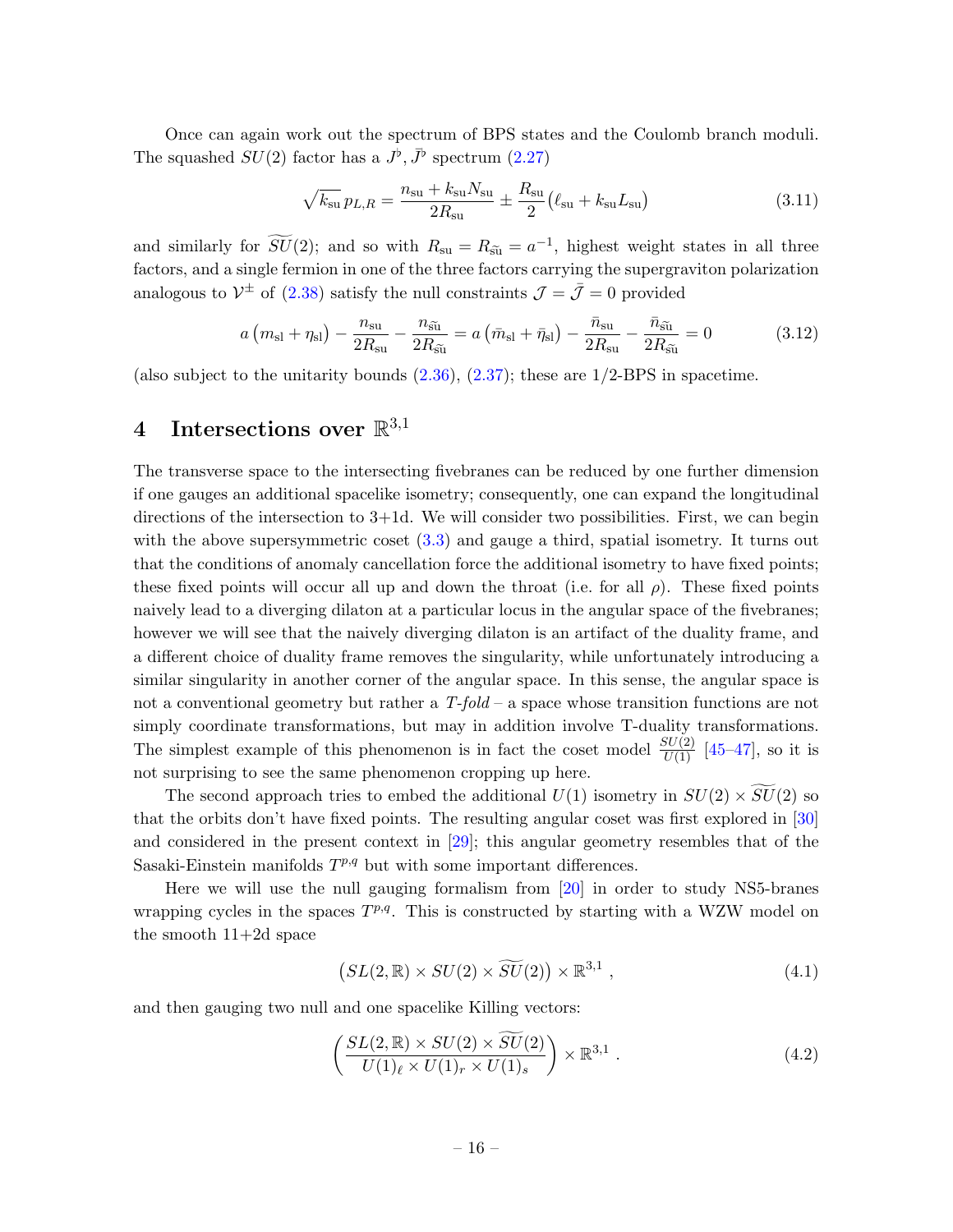Once can again work out the spectrum of BPS states and the Coulomb branch moduli. The squashed  $SU(2)$  factor has a  $J^{\flat}, \bar{J}^{\flat}$  spectrum [\(2.27\)](#page-8-3)

$$
\sqrt{k_{su}} p_{L,R} = \frac{n_{su} + k_{su} N_{su}}{2R_{su}} \pm \frac{R_{su}}{2} (\ell_{su} + k_{su} L_{su})
$$
\n(3.11)

and similarly for  $\widetilde{SU}(2)$ ; and so with  $R_{\rm su} = R_{\rm su} = a^{-1}$ , highest weight states in all three factors, and a single fermion in one of the three factors carrying the supergraviton polarization analogous to  $V^{\pm}$  of [\(2.38\)](#page-9-0) satisfy the null constraints  $\mathcal{J} = \bar{\mathcal{J}} = 0$  provided

$$
a\left(m_{\rm sl} + \eta_{\rm sl}\right) - \frac{n_{\rm su}}{2R_{\rm su}} - \frac{n_{\tilde{\rm su}}}{2R_{\tilde{\rm su}}} = a\left(\bar{m}_{\rm sl} + \bar{\eta}_{\rm sl}\right) - \frac{\bar{n}_{\rm su}}{2R_{\rm su}} - \frac{\bar{n}_{\tilde{\rm su}}}{2R_{\tilde{\rm su}}} = 0\tag{3.12}
$$

(also subject to the unitarity bounds  $(2.36), (2.37)$  $(2.36), (2.37)$ ; these are  $1/2$ -BPS in spacetime.

# <span id="page-16-0"></span> $4$  Intersections over  $\mathbb{R}^{3,1}$

The transverse space to the intersecting fivebranes can be reduced by one further dimension if one gauges an additional spacelike isometry; consequently, one can expand the longitudinal directions of the intersection to  $3+1d$ . We will consider two possibilities. First, we can begin with the above supersymmetric coset  $(3.3)$  and gauge a third, spatial isometry. It turns out that the conditions of anomaly cancellation force the additional isometry to have fixed points; these fixed points will occur all up and down the throat (i.e. for all  $\rho$ ). These fixed points naively lead to a diverging dilaton at a particular locus in the angular space of the fivebranes; however we will see that the naively diverging dilaton is an artifact of the duality frame, and a different choice of duality frame removes the singularity, while unfortunately introducing a similar singularity in another corner of the angular space. In this sense, the angular space is not a conventional geometry but rather a  $T$ -fold – a space whose transition functions are not simply coordinate transformations, but may in addition involve T-duality transformations. The simplest example of this phenomenon is in fact the coset model  $\frac{SU(2)}{U(1)}$  [\[45](#page-48-4)[–47\]](#page-48-5), so it is not surprising to see the same phenomenon cropping up here.

The second approach tries to embed the additional  $U(1)$  isometry in  $SU(2) \times \widetilde{SU}(2)$  so that the orbits don't have fixed points. The resulting angular coset was first explored in [\[30\]](#page-47-5) and considered in the present context in [\[29\]](#page-47-4); this angular geometry resembles that of the Sasaki-Einstein manifolds  $T^{p,q}$  but with some important differences.

Here we will use the null gauging formalism from [\[20\]](#page-47-18) in order to study NS5-branes wrapping cycles in the spaces  $T^{p,q}$ . This is constructed by starting with a WZW model on the smooth 11+2d space

$$
(SL(2,\mathbb{R})\times SU(2)\times \widetilde{SU}(2))\times \mathbb{R}^{3,1}, \qquad (4.1)
$$

and then gauging two null and one spacelike Killing vectors:

$$
\left(\frac{SL(2,\mathbb{R})\times SU(2)\times \widetilde{SU}(2)}{U(1)_{\ell}\times U(1)_{r}\times U(1)_{s}}\right)\times \mathbb{R}^{3,1} .
$$
\n(4.2)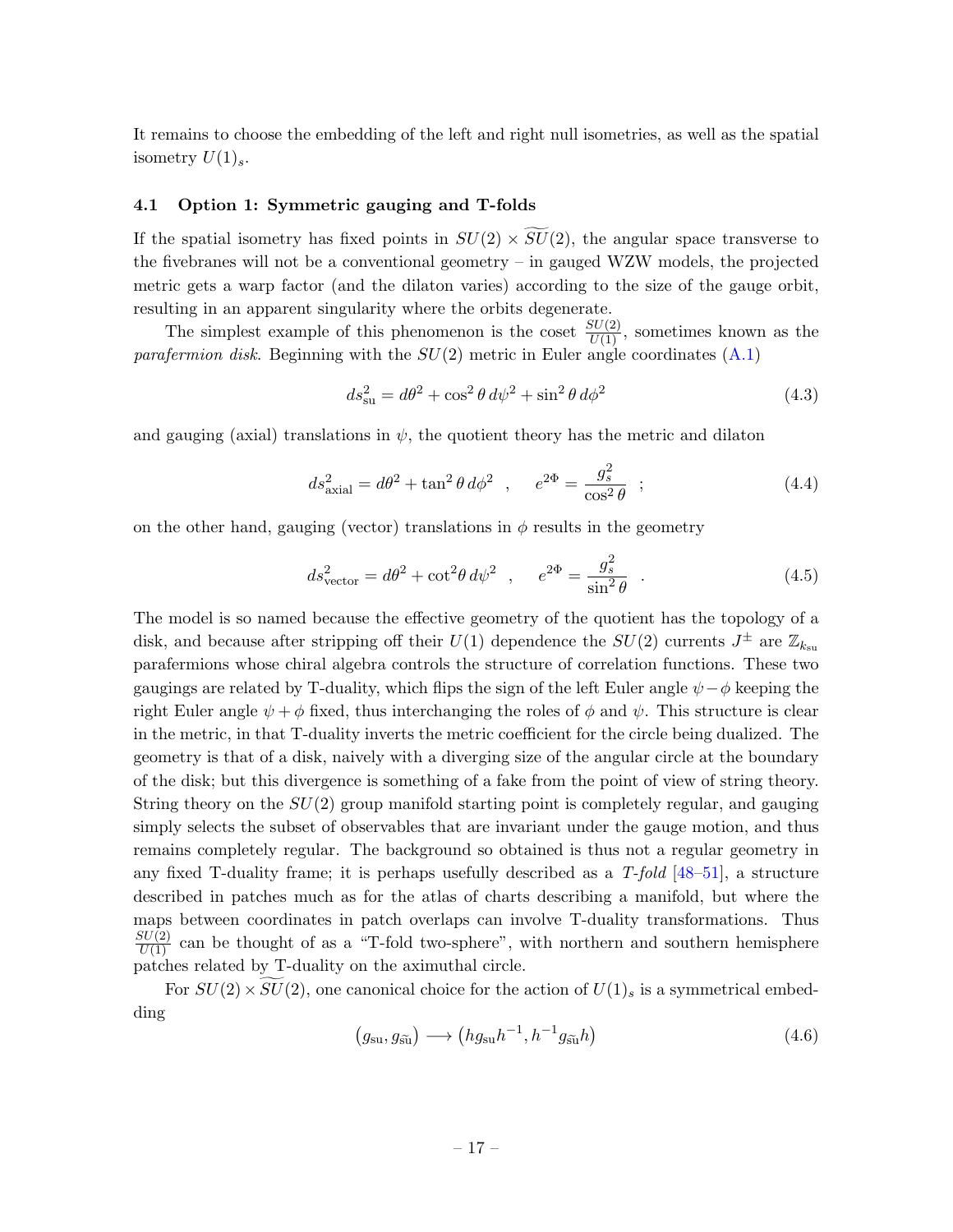It remains to choose the embedding of the left and right null isometries, as well as the spatial isometry  $U(1)_s$ .

### <span id="page-17-0"></span>4.1 Option 1: Symmetric gauging and T-folds

If the spatial isometry has fixed points in  $SU(2) \times \widetilde{SU}(2)$ , the angular space transverse to the fivebranes will not be a conventional geometry – in gauged WZW models, the projected metric gets a warp factor (and the dilaton varies) according to the size of the gauge orbit, resulting in an apparent singularity where the orbits degenerate.

The simplest example of this phenomenon is the coset  $\frac{SU(2)}{U(1)}$ , sometimes known as the *parafermion disk.* Beginning with the  $SU(2)$  metric in Euler angle coordinates  $(A.1)$ 

$$
ds_{\rm su}^2 = d\theta^2 + \cos^2\theta \, d\psi^2 + \sin^2\theta \, d\phi^2 \tag{4.3}
$$

and gauging (axial) translations in  $\psi$ , the quotient theory has the metric and dilaton

$$
ds_{\text{axial}}^2 = d\theta^2 + \tan^2 \theta \, d\phi^2 \quad , \qquad e^{2\Phi} = \frac{g_s^2}{\cos^2 \theta} \quad ; \tag{4.4}
$$

on the other hand, gauging (vector) translations in  $\phi$  results in the geometry

$$
ds_{\text{vector}}^2 = d\theta^2 + \cot^2 \theta \, d\psi^2 \quad , \qquad e^{2\Phi} = \frac{g_s^2}{\sin^2 \theta} \quad . \tag{4.5}
$$

The model is so named because the effective geometry of the quotient has the topology of a disk, and because after stripping off their  $U(1)$  dependence the  $SU(2)$  currents  $J^{\pm}$  are  $\mathbb{Z}_{k_{\text{su}}}$ parafermions whose chiral algebra controls the structure of correlation functions. These two gaugings are related by T-duality, which flips the sign of the left Euler angle  $\psi - \phi$  keeping the right Euler angle  $\psi + \phi$  fixed, thus interchanging the roles of  $\phi$  and  $\psi$ . This structure is clear in the metric, in that T-duality inverts the metric coefficient for the circle being dualized. The geometry is that of a disk, naively with a diverging size of the angular circle at the boundary of the disk; but this divergence is something of a fake from the point of view of string theory. String theory on the  $SU(2)$  group manifold starting point is completely regular, and gauging simply selects the subset of observables that are invariant under the gauge motion, and thus remains completely regular. The background so obtained is thus not a regular geometry in any fixed T-duality frame; it is perhaps usefully described as a  $T$ -fold [\[48](#page-48-6)[–51\]](#page-48-7), a structure described in patches much as for the atlas of charts describing a manifold, but where the maps between coordinates in patch overlaps can involve T-duality transformations. Thus  $\frac{SU(2)}{U(1)}$  can be thought of as a "T-fold two-sphere", with northern and southern hemisphere patches related by T-duality on the aximuthal circle.

For  $SU(2) \times SU(2)$ , one canonical choice for the action of  $U(1)_s$  is a symmetrical embedding

$$
(g_{\rm su}, g_{\rm \tilde{su}}) \longrightarrow (h g_{\rm su} h^{-1}, h^{-1} g_{\rm \tilde{su}} h)
$$
\n(4.6)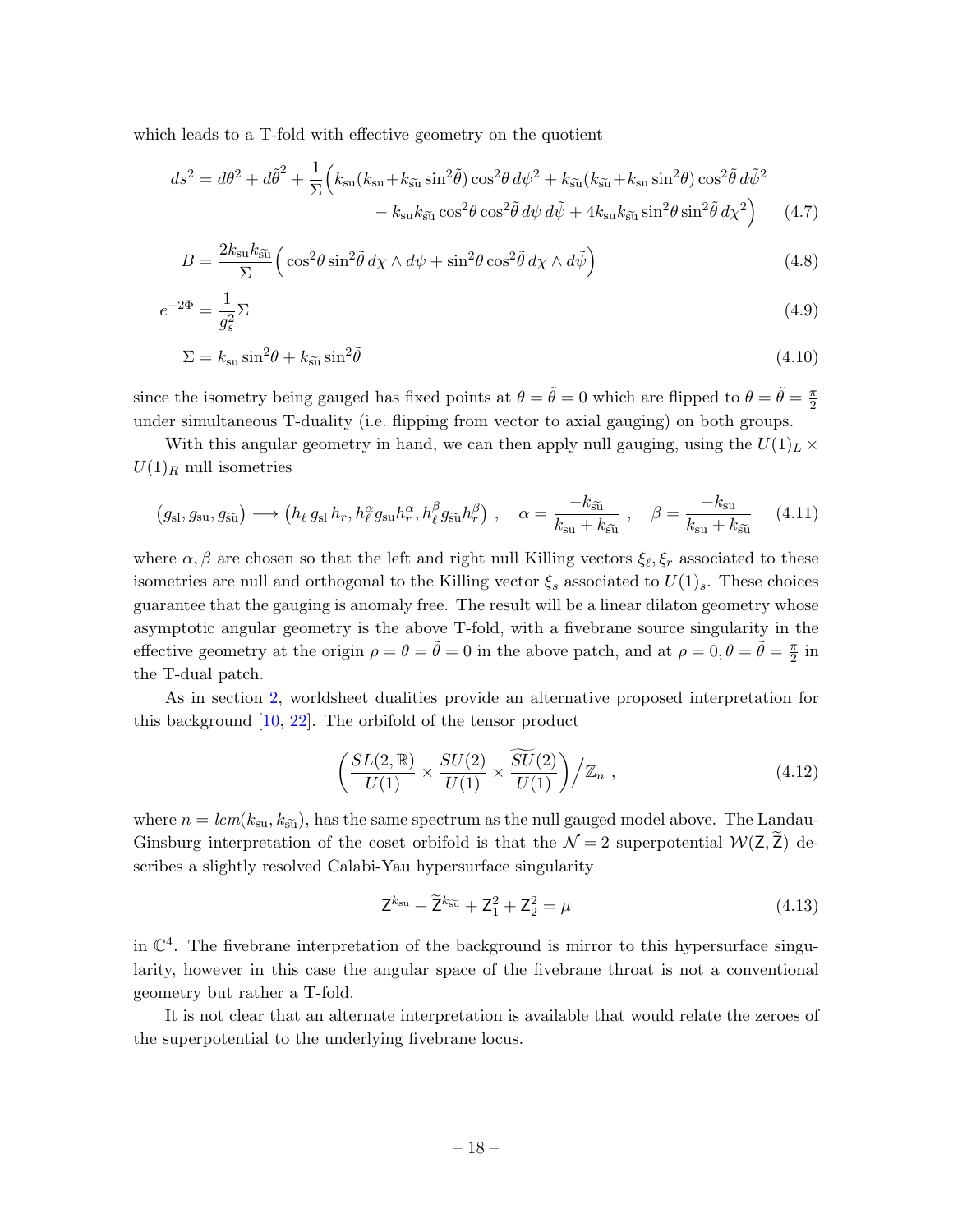which leads to a T-fold with effective geometry on the quotient

$$
ds^{2} = d\theta^{2} + d\tilde{\theta}^{2} + \frac{1}{\Sigma} \Big( k_{\rm su} (k_{\rm su} + k_{\tilde{\rm su}} \sin^{2} \tilde{\theta}) \cos^{2} \theta \, d\psi^{2} + k_{\tilde{\rm su}} (k_{\tilde{\rm su}} + k_{\rm su} \sin^{2} \theta) \cos^{2} \tilde{\theta} \, d\tilde{\psi}^{2} - k_{\rm su} k_{\tilde{\rm su}} \cos^{2} \theta \cos^{2} \tilde{\theta} \, d\psi \, d\tilde{\psi} + 4k_{\rm su} k_{\tilde{\rm su}} \sin^{2} \theta \sin^{2} \tilde{\theta} \, d\chi^{2} \Big) \tag{4.7}
$$

$$
B = \frac{2k_{\rm su}k_{\rm \tilde{su}}}{\Sigma} \Big( \cos^2 \theta \sin^2 \tilde{\theta} \, d\chi \wedge d\psi + \sin^2 \theta \cos^2 \tilde{\theta} \, d\chi \wedge d\tilde{\psi} \Big) \tag{4.8}
$$

$$
e^{-2\Phi} = \frac{1}{g_s^2} \Sigma \tag{4.9}
$$

$$
\Sigma = k_{\rm su} \sin^2 \theta + k_{\rm s\tilde{u}} \sin^2 \tilde{\theta} \tag{4.10}
$$

since the isometry being gauged has fixed points at  $\theta = \tilde{\theta} = 0$  which are flipped to  $\theta = \tilde{\theta} = \frac{\pi}{2}$ 2 under simultaneous T-duality (i.e. flipping from vector to axial gauging) on both groups.

With this angular geometry in hand, we can then apply null gauging, using the  $U(1)_L \times$  $U(1)<sub>R</sub>$  null isometries

$$
(g_{\rm sl}, g_{\rm su}, g_{\tilde{\rm su}}) \longrightarrow (h_{\ell} g_{\rm sl} h_r, h_{\ell}^{\alpha} g_{\rm su} h_r^{\alpha}, h_{\ell}^{\beta} g_{\tilde{\rm su}} h_r^{\beta}), \quad \alpha = \frac{-k_{\tilde{\rm su}}}{k_{\rm su} + k_{\tilde{\rm su}}}, \quad \beta = \frac{-k_{\rm su}}{k_{\rm su} + k_{\tilde{\rm su}}} \tag{4.11}
$$

where  $\alpha, \beta$  are chosen so that the left and right null Killing vectors  $\xi_{\ell}, \xi_r$  associated to these isometries are null and orthogonal to the Killing vector  $\xi_s$  associated to  $U(1)_s$ . These choices guarantee that the gauging is anomaly free. The result will be a linear dilaton geometry whose asymptotic angular geometry is the above T-fold, with a fivebrane source singularity in the effective geometry at the origin  $\rho = \theta = \tilde{\theta} = 0$  in the above patch, and at  $\rho = 0, \theta = \tilde{\theta} = \frac{\pi}{2}$  $\frac{\pi}{2}$  in the T-dual patch.

As in section [2,](#page-4-0) worldsheet dualities provide an alternative proposed interpretation for this background [\[10,](#page-46-7) [22\]](#page-47-1). The orbifold of the tensor product

$$
\left(\frac{SL(2,\mathbb{R})}{U(1)} \times \frac{SU(2)}{U(1)} \times \frac{\widetilde{SU}(2)}{U(1)}\right) \big/ \mathbb{Z}_n ,\qquad (4.12)
$$

where  $n = lcm(k_{su}, k_{su})$ , has the same spectrum as the null gauged model above. The Landau-Ginsburg interpretation of the coset orbifold is that the  $\mathcal{N}=2$  superpotential  $\mathcal{W}(Z,\overline{Z})$  describes a slightly resolved Calabi-Yau hypersurface singularity

$$
\mathsf{Z}^{k_{\rm su}} + \widetilde{\mathsf{Z}}^{k_{\rm su}} + \mathsf{Z}_1^2 + \mathsf{Z}_2^2 = \mu \tag{4.13}
$$

in  $\mathbb{C}^4$ . The fivebrane interpretation of the background is mirror to this hypersurface singularity, however in this case the angular space of the fivebrane throat is not a conventional geometry but rather a T-fold.

It is not clear that an alternate interpretation is available that would relate the zeroes of the superpotential to the underlying fivebrane locus.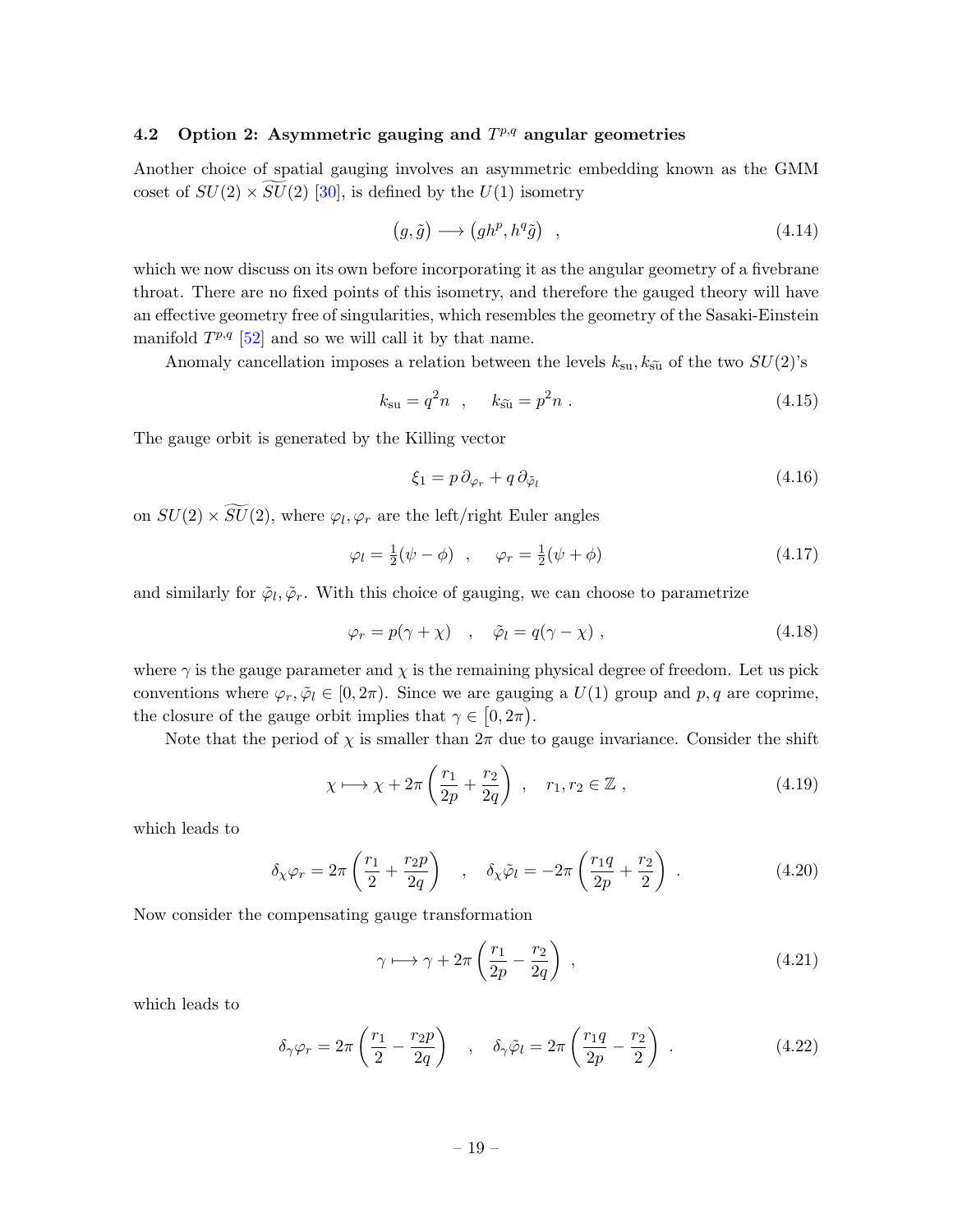### <span id="page-19-0"></span>4.2 Option 2: Asymmetric gauging and  $T^{p,q}$  angular geometries

Another choice of spatial gauging involves an asymmetric embedding known as the GMM coset of  $SU(2) \times SU(2)$  [\[30\]](#page-47-5), is defined by the  $U(1)$  isometry

<span id="page-19-1"></span>
$$
(g, \tilde{g}) \longrightarrow (gh^p, h^q \tilde{g}) \quad , \tag{4.14}
$$

which we now discuss on its own before incorporating it as the angular geometry of a fivebrane throat. There are no fixed points of this isometry, and therefore the gauged theory will have an effective geometry free of singularities, which resembles the geometry of the Sasaki-Einstein manifold  $T^{p,q}$  [\[52\]](#page-48-8) and so we will call it by that name.

Anomaly cancellation imposes a relation between the levels  $k_{su}$ ,  $k_{\tilde{su}}$  of the two  $SU(2)$ 's

$$
k_{\rm su} = q^2 n \quad , \quad k_{\rm \tilde{su}} = p^2 n \quad . \tag{4.15}
$$

The gauge orbit is generated by the Killing vector

$$
\xi_1 = p \, \partial_{\varphi_r} + q \, \partial_{\tilde{\varphi}_l} \tag{4.16}
$$

on  $SU(2) \times SU(2)$ , where  $\varphi_l, \varphi_r$  are the left/right Euler angles

$$
\varphi_l = \frac{1}{2}(\psi - \phi) \quad , \qquad \varphi_r = \frac{1}{2}(\psi + \phi) \tag{4.17}
$$

and similarly for  $\tilde{\varphi}_l$ ,  $\tilde{\varphi}_r$ . With this choice of gauging, we can choose to parametrize

$$
\varphi_r = p(\gamma + \chi) \quad , \quad \tilde{\varphi}_l = q(\gamma - \chi) \quad , \tag{4.18}
$$

where  $\gamma$  is the gauge parameter and  $\chi$  is the remaining physical degree of freedom. Let us pick conventions where  $\varphi_r, \tilde{\varphi}_l \in [0, 2\pi)$ . Since we are gauging a  $U(1)$  group and p, q are coprime, the closure of the gauge orbit implies that  $\gamma \in [0, 2\pi)$ .

Note that the period of  $\chi$  is smaller than  $2\pi$  due to gauge invariance. Consider the shift

$$
\chi \longmapsto \chi + 2\pi \left(\frac{r_1}{2p} + \frac{r_2}{2q}\right) , \quad r_1, r_2 \in \mathbb{Z} , \tag{4.19}
$$

which leads to

$$
\delta_{\chi}\varphi_r = 2\pi \left(\frac{r_1}{2} + \frac{r_2 p}{2q}\right) \quad , \quad \delta_{\chi}\tilde{\varphi}_l = -2\pi \left(\frac{r_1 q}{2p} + \frac{r_2}{2}\right) \quad . \tag{4.20}
$$

Now consider the compensating gauge transformation

$$
\gamma \longmapsto \gamma + 2\pi \left(\frac{r_1}{2p} - \frac{r_2}{2q}\right) ,\qquad (4.21)
$$

which leads to

$$
\delta_{\gamma}\varphi_r = 2\pi \left(\frac{r_1}{2} - \frac{r_2 p}{2q}\right) \quad , \quad \delta_{\gamma}\tilde{\varphi}_l = 2\pi \left(\frac{r_1 q}{2p} - \frac{r_2}{2}\right) \quad . \tag{4.22}
$$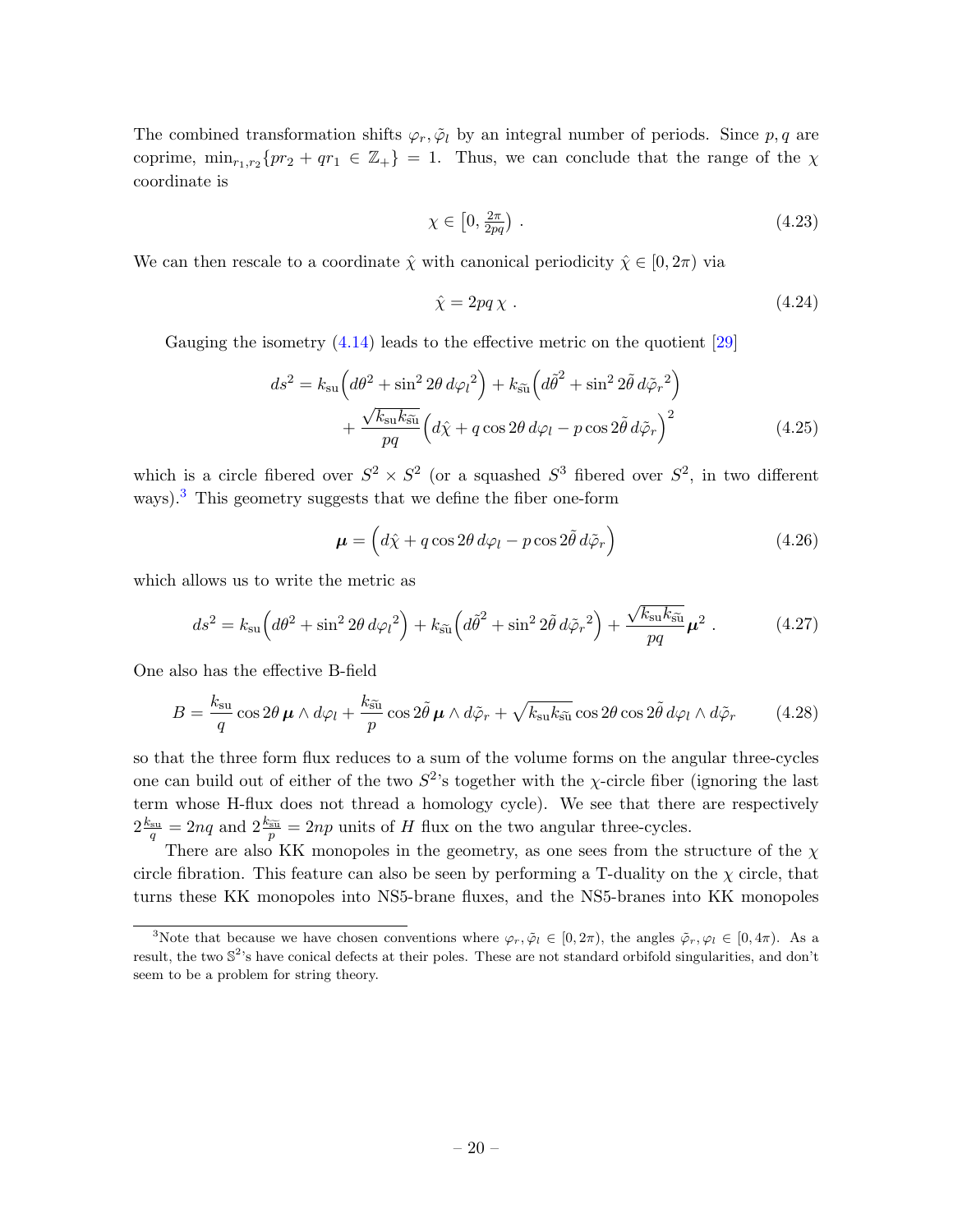The combined transformation shifts  $\varphi_r$ ,  $\tilde{\varphi}_l$  by an integral number of periods. Since p, q are coprime,  $\min_{r_1,r_2} \{pr_2 + qr_1 \in \mathbb{Z}_+\} = 1$ . Thus, we can conclude that the range of the  $\chi$ coordinate is

$$
\chi \in \left[0, \frac{2\pi}{2pq}\right) \,. \tag{4.23}
$$

We can then rescale to a coordinate  $\hat{\chi}$  with canonical periodicity  $\hat{\chi} \in [0, 2\pi)$  via

$$
\hat{\chi} = 2pq\,\chi \tag{4.24}
$$

Gauging the isometry  $(4.14)$  leads to the effective metric on the quotient  $[29]$ 

$$
ds^{2} = k_{\text{su}} \left( d\theta^{2} + \sin^{2} 2\theta \, d\varphi_{l}^{2} \right) + k_{\tilde{\text{su}}} \left( d\tilde{\theta}^{2} + \sin^{2} 2\tilde{\theta} \, d\tilde{\varphi}_{r}^{2} \right) + \frac{\sqrt{k_{\text{su}}k_{\tilde{\text{su}}}}}{pq} \left( d\hat{\chi} + q \cos 2\theta \, d\varphi_{l} - p \cos 2\tilde{\theta} \, d\tilde{\varphi}_{r} \right)^{2}
$$
(4.25)

which is a circle fibered over  $S^2 \times S^2$  (or a squashed  $S^3$  fibered over  $S^2$ , in two different ways).<sup>[3](#page-20-0)</sup> This geometry suggests that we define the fiber one-form

<span id="page-20-1"></span>
$$
\boldsymbol{\mu} = \left( d\hat{\chi} + q\cos 2\theta \, d\varphi_l - p\cos 2\tilde{\theta} \, d\tilde{\varphi}_r \right) \tag{4.26}
$$

which allows us to write the metric as

$$
ds^{2} = k_{\rm su} \left( d\theta^{2} + \sin^{2} 2\theta \, d\varphi_{l}^{2} \right) + k_{\tilde{\rm su}} \left( d\tilde{\theta}^{2} + \sin^{2} 2\tilde{\theta} \, d\tilde{\varphi}_{r}^{2} \right) + \frac{\sqrt{k_{\rm su} k_{\tilde{\rm su}}}}{pq} \mu^{2} \,. \tag{4.27}
$$

One also has the effective B-field

$$
B = \frac{k_{\rm su}}{q} \cos 2\theta \,\mu \wedge d\varphi_l + \frac{k_{\rm \tilde{su}}}{p} \cos 2\tilde{\theta} \,\mu \wedge d\tilde{\varphi}_r + \sqrt{k_{\rm su} k_{\rm \tilde{su}}} \cos 2\theta \cos 2\tilde{\theta} \, d\varphi_l \wedge d\tilde{\varphi}_r \tag{4.28}
$$

so that the three form flux reduces to a sum of the volume forms on the angular three-cycles one can build out of either of the two  $S^2$ 's together with the  $\chi$ -circle fiber (ignoring the last term whose H-flux does not thread a homology cycle). We see that there are respectively  $2\frac{k_{\rm su}}{q} = 2nq$  and  $2\frac{k_{\rm \widetilde{si}}}{p} = 2np$  units of H flux on the two angular three-cycles.

There are also KK monopoles in the geometry, as one sees from the structure of the  $\chi$ circle fibration. This feature can also be seen by performing a T-duality on the  $\chi$  circle, that turns these KK monopoles into NS5-brane fluxes, and the NS5-branes into KK monopoles

<span id="page-20-0"></span><sup>&</sup>lt;sup>3</sup>Note that because we have chosen conventions where  $\varphi_r, \tilde{\varphi}_l \in [0, 2\pi)$ , the angles  $\tilde{\varphi}_r, \varphi_l \in [0, 4\pi)$ . As a result, the two  $\mathbb{S}^2$ 's have conical defects at their poles. These are not standard orbifold singularities, and don't seem to be a problem for string theory.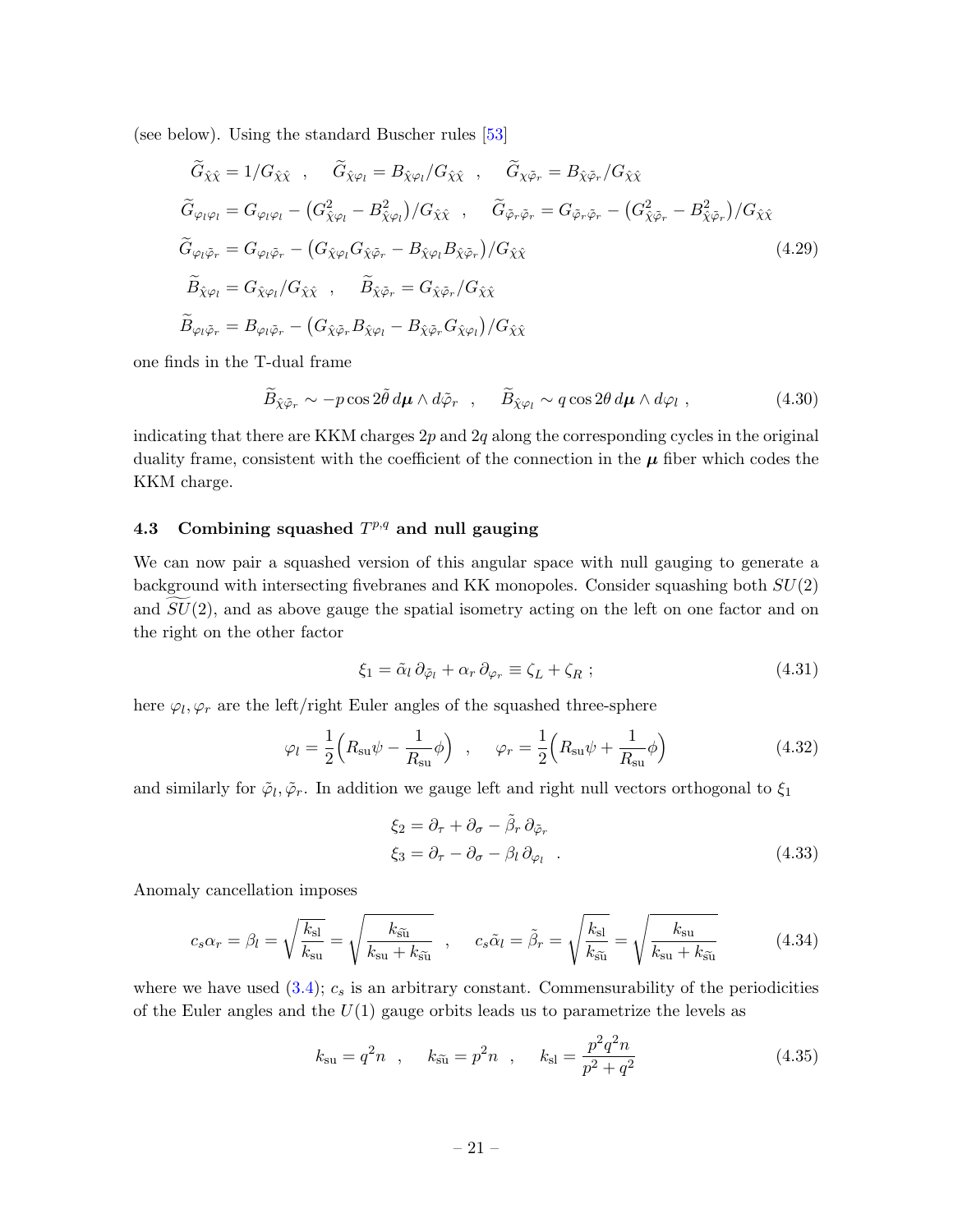(see below). Using the standard Buscher rules [\[53\]](#page-48-9)

$$
\tilde{G}_{\hat{\chi}\hat{\chi}} = 1/G_{\hat{\chi}\hat{\chi}} , \quad \tilde{G}_{\hat{\chi}\varphi_l} = B_{\hat{\chi}\varphi_l}/G_{\hat{\chi}\hat{\chi}} , \quad \tilde{G}_{\chi\tilde{\varphi}_r} = B_{\hat{\chi}\tilde{\varphi}_r}/G_{\hat{\chi}\hat{\chi}} \n\tilde{G}_{\varphi_l\varphi_l} = G_{\varphi_l\varphi_l} - (G_{\hat{\chi}\varphi_l}^2 - B_{\hat{\chi}\varphi_l}^2)/G_{\hat{\chi}\hat{\chi}} , \quad \tilde{G}_{\tilde{\varphi}_r\tilde{\varphi}_r} = G_{\tilde{\varphi}_r\tilde{\varphi}_r} - (G_{\hat{\chi}\tilde{\varphi}_r}^2 - B_{\hat{\chi}\tilde{\varphi}_r}^2)/G_{\hat{\chi}\hat{\chi}} \n\tilde{G}_{\varphi_l\tilde{\varphi}_r} = G_{\varphi_l\tilde{\varphi}_r} - (G_{\hat{\chi}\varphi_l}G_{\hat{\chi}\tilde{\varphi}_r} - B_{\hat{\chi}\varphi_l}B_{\hat{\chi}\tilde{\varphi}_r})/G_{\hat{\chi}\hat{\chi}} \n\tilde{B}_{\hat{\chi}\varphi_l} = G_{\hat{\chi}\varphi_l}/G_{\hat{\chi}\hat{\chi}} , \quad \tilde{B}_{\hat{\chi}\tilde{\varphi}_r} = G_{\hat{\chi}\tilde{\varphi}_r}/G_{\hat{\chi}\hat{\chi}} \n\tilde{B}_{\varphi_l\tilde{\varphi}_r} = B_{\varphi_l\tilde{\varphi}_r} - (G_{\hat{\chi}\tilde{\varphi}_r}B_{\hat{\chi}\varphi_l} - B_{\hat{\chi}\tilde{\varphi}_r}G_{\hat{\chi}\varphi_l})/G_{\hat{\chi}\hat{\chi}} \n\tag{4.29}
$$

one finds in the T-dual frame

$$
\widetilde{B}_{\hat{\chi}\tilde{\varphi}_r} \sim -p\cos 2\tilde{\theta} \, d\mu \wedge d\tilde{\varphi}_r \quad , \quad \widetilde{B}_{\hat{\chi}\varphi_l} \sim q\cos 2\theta \, d\mu \wedge d\varphi_l \;, \tag{4.30}
$$

indicating that there are KKM charges  $2p$  and  $2q$  along the corresponding cycles in the original duality frame, consistent with the coefficient of the connection in the  $\mu$  fiber which codes the KKM charge.

### <span id="page-21-0"></span>4.3 Combining squashed  $T^{p,q}$  and null gauging

We can now pair a squashed version of this angular space with null gauging to generate a background with intersecting fivebranes and KK monopoles. Consider squashing both SU(2) and  $SU(2)$ , and as above gauge the spatial isometry acting on the left on one factor and on the right on the other factor

$$
\xi_1 = \tilde{\alpha}_l \, \partial_{\tilde{\varphi}_l} + \alpha_r \, \partial_{\varphi_r} \equiv \zeta_L + \zeta_R \; ; \tag{4.31}
$$

here  $\varphi_l, \varphi_r$  are the left/right Euler angles of the squashed three-sphere

$$
\varphi_l = \frac{1}{2} \left( R_{\rm su} \psi - \frac{1}{R_{\rm su}} \phi \right) , \quad \varphi_r = \frac{1}{2} \left( R_{\rm su} \psi + \frac{1}{R_{\rm su}} \phi \right)
$$
(4.32)

and similarly for  $\tilde{\varphi}_l$ ,  $\tilde{\varphi}_r$ . In addition we gauge left and right null vectors orthogonal to  $\xi_1$ 

$$
\xi_2 = \partial_{\tau} + \partial_{\sigma} - \tilde{\beta}_r \partial_{\tilde{\varphi}_r} \n\xi_3 = \partial_{\tau} - \partial_{\sigma} - \beta_l \partial_{\varphi_l}
$$
\n(4.33)

Anomaly cancellation imposes

$$
c_s \alpha_r = \beta_l = \sqrt{\frac{k_{\rm sl}}{k_{\rm su}}} = \sqrt{\frac{k_{\rm \tilde{su}}}{k_{\rm su} + k_{\rm \tilde{su}}}} \quad , \quad c_s \tilde{\alpha}_l = \tilde{\beta}_r = \sqrt{\frac{k_{\rm sl}}{k_{\rm \tilde{su}}}} = \sqrt{\frac{k_{\rm su}}{k_{\rm su} + k_{\rm \tilde{su}}}} \tag{4.34}
$$

where we have used  $(3.4)$ ;  $c_s$  is an arbitrary constant. Commensurability of the periodicities of the Euler angles and the  $U(1)$  gauge orbits leads us to parametrize the levels as

$$
k_{\rm su} = q^2 n
$$
,  $k_{\tilde{\rm su}} = p^2 n$ ,  $k_{\rm sl} = \frac{p^2 q^2 n}{p^2 + q^2}$  (4.35)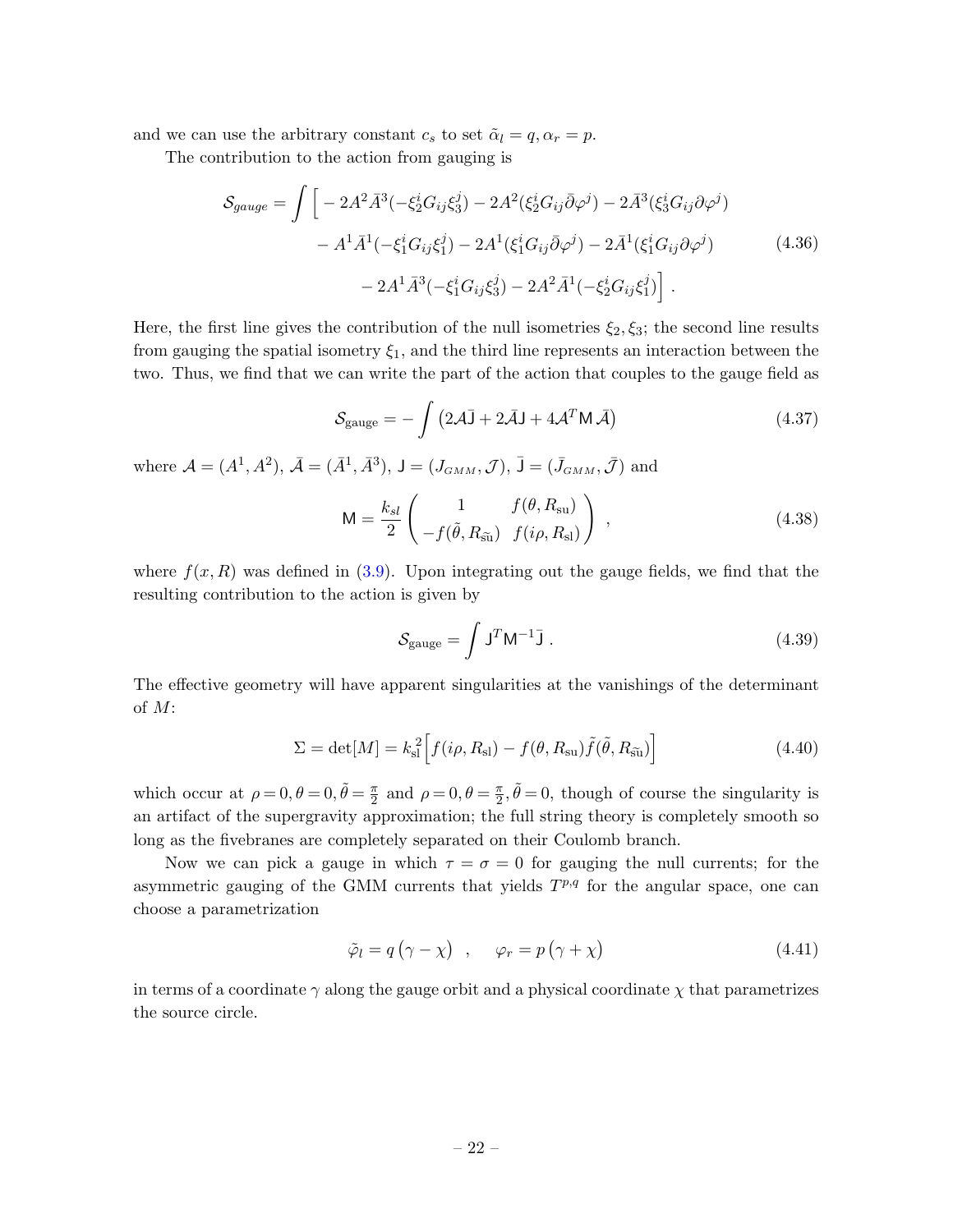and we can use the arbitrary constant  $c_s$  to set  $\tilde{\alpha}_l = q, \alpha_r = p$ .

The contribution to the action from gauging is

$$
S_{gauge} = \int \left[ -2A^2 \bar{A}^3 \left( -\xi_2^i G_{ij} \xi_3^j \right) - 2A^2 (\xi_2^i G_{ij} \bar{\partial} \varphi^j) - 2\bar{A}^3 (\xi_3^i G_{ij} \partial \varphi^j) - A^1 \bar{A}^1 \left( -\xi_1^i G_{ij} \xi_1^j \right) - 2A^1 (\xi_1^i G_{ij} \bar{\partial} \varphi^j) - 2\bar{A}^1 (\xi_1^i G_{ij} \partial \varphi^j) - 2A^1 \bar{A}^3 \left( -\xi_1^i G_{ij} \xi_3^j \right) - 2A^2 \bar{A}^1 \left( -\xi_2^i G_{ij} \xi_1^j \right) \right] \tag{4.36}
$$

Here, the first line gives the contribution of the null isometries  $\xi_2, \xi_3$ ; the second line results from gauging the spatial isometry  $\xi_1$ , and the third line represents an interaction between the two. Thus, we find that we can write the part of the action that couples to the gauge field as

$$
S_{\text{gauge}} = -\int (2\mathcal{A}\bar{\mathbf{J}} + 2\bar{\mathcal{A}}\mathbf{J} + 4\mathcal{A}^T \mathbf{M}\bar{\mathcal{A}})
$$
(4.37)

where  $A = (A^1, A^2), \, \bar{A} = (\bar{A}^1, \bar{A}^3), \, J = (J_{GMM}, \mathcal{J}), \, \bar{J} = (\bar{J}_{GMM}, \bar{\mathcal{J}})$  and

$$
\mathsf{M} = \frac{k_{sl}}{2} \begin{pmatrix} 1 & f(\theta, R_{\rm su}) \\ -f(\tilde{\theta}, R_{\tilde{\rm su}}) & f(i\rho, R_{\rm sl}) \end{pmatrix} , \qquad (4.38)
$$

where  $f(x, R)$  was defined in [\(3.9\)](#page-15-0). Upon integrating out the gauge fields, we find that the resulting contribution to the action is given by

$$
S_{\text{gauge}} = \int J^T M^{-1} \bar{J} \ . \tag{4.39}
$$

The effective geometry will have apparent singularities at the vanishings of the determinant of M:

$$
\Sigma = \det[M] = k_{\rm sl}^2 \Big[ f(i\rho, R_{\rm sl}) - f(\theta, R_{\rm su}) \tilde{f}(\tilde{\theta}, R_{\tilde{\rm su}}) \Big]
$$
(4.40)

which occur at  $\rho = 0, \theta = 0, \tilde{\theta} = \frac{\pi}{2}$  $\frac{\pi}{2}$  and  $\rho = 0, \theta = \frac{\pi}{2}$  $\frac{\pi}{2}, \tilde{\theta} = 0$ , though of course the singularity is an artifact of the supergravity approximation; the full string theory is completely smooth so long as the fivebranes are completely separated on their Coulomb branch.

Now we can pick a gauge in which  $\tau = \sigma = 0$  for gauging the null currents; for the asymmetric gauging of the GMM currents that yields  $T^{p,q}$  for the angular space, one can choose a parametrization

$$
\tilde{\varphi}_l = q\left(\gamma - \chi\right) , \quad \varphi_r = p\left(\gamma + \chi\right) \tag{4.41}
$$

in terms of a coordinate  $\gamma$  along the gauge orbit and a physical coordinate  $\chi$  that parametrizes the source circle.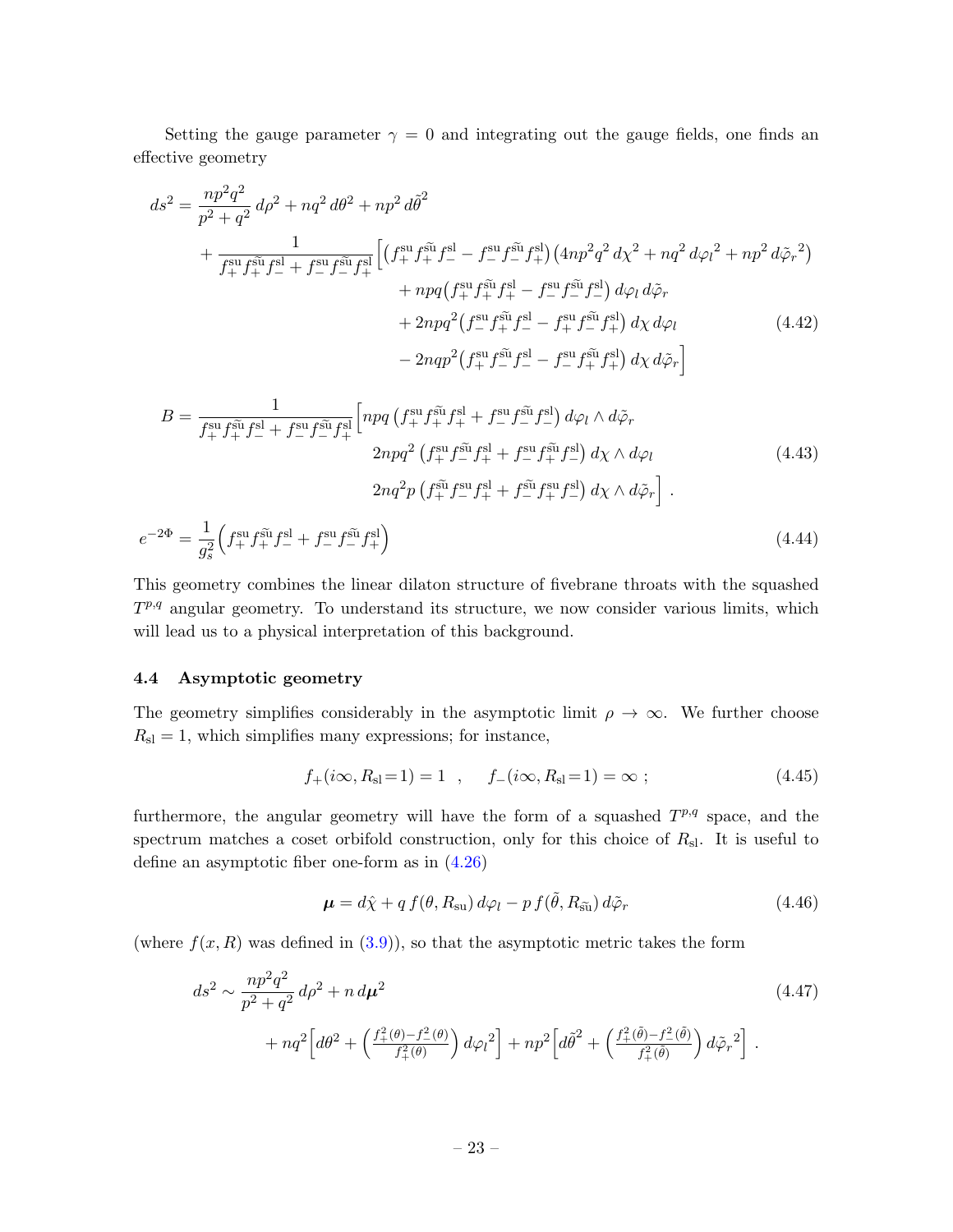Setting the gauge parameter  $\gamma = 0$  and integrating out the gauge fields, one finds an effective geometry

$$
ds^{2} = \frac{np^{2}q^{2}}{p^{2} + q^{2}} d\rho^{2} + nq^{2} d\theta^{2} + np^{2} d\tilde{\theta}^{2}
$$
  
+ 
$$
\frac{1}{f_{+}^{\text{su}} f_{+}^{\tilde{\text{su}}} f_{-}^{\text{sl}} + f_{-}^{\text{su}} f_{-}^{\tilde{\text{su}}} f_{+}^{\text{sl}} \left[ \left( f_{+}^{\text{su}} f_{+}^{\tilde{\text{su}}} f_{-}^{\text{sl}} - f_{-}^{\text{su}} f_{-}^{\tilde{\text{su}}} f_{+}^{\text{sl}} \right) \left( 4np^{2}q^{2} d\chi^{2} + nq^{2} d\varphi_{l}^{2} + np^{2} d\tilde{\varphi}_{r}^{2} \right) \right. \\ \left. + npq \left( f_{+}^{\text{su}} f_{+}^{\tilde{\text{su}}} f_{+}^{\text{sl}} - f_{-}^{\text{su}} f_{-}^{\tilde{\text{su}}} f_{-}^{\text{sl}} \right) d\varphi_{l} d\tilde{\varphi}_{r} \right. \\ \left. + 2npq^{2} \left( f_{-}^{\text{su}} f_{+}^{\tilde{\text{su}}} f_{-}^{\text{sl}} - f_{+}^{\text{su}} f_{-}^{\tilde{\text{su}}} f_{+}^{\text{sl}} \right) d\chi d\varphi_{l} \right. \tag{4.42}
$$

$$
- 2nqp^{2} \left( f_{+}^{\text{su}} f_{-}^{\tilde{\text{su}}} f_{-}^{\text{sl}} - f_{-}^{\text{su}} f_{+}^{\tilde{\text{su}}} f_{+}^{\text{sl}} \right) d\chi d\tilde{\varphi}_{r} \right]
$$

<span id="page-23-1"></span>
$$
B = \frac{1}{f_+^{\text{su}} f_+^{\tilde{\text{su}}} f_-^{\text{sl}} + f_-^{\text{su}} f_-^{\tilde{\text{su}}} f_+^{\text{sl}}}} \left[ n p q \left( f_+^{\text{su}} f_+^{\tilde{\text{su}}} f_+^{\text{sl}} + f_-^{\text{su}} f_-^{\tilde{\text{su}}} f_-^{\text{sl}} \right) d\varphi_l \wedge d\tilde{\varphi}_r \right. \\
\left. 2 n p q^2 \left( f_+^{\text{su}} f_-^{\tilde{\text{su}}} f_+^{\text{sl}} + f_-^{\text{su}} f_+^{\tilde{\text{su}}} f_-^{\text{sl}} \right) d\chi \wedge d\varphi_l \right] \tag{4.43}
$$
\n
$$
2 n q^2 p \left( f_+^{\tilde{\text{su}}} f_-^{\text{su}} f_+^{\text{sl}} + f_-^{\tilde{\text{su}}} f_+^{\text{su}} f_-^{\text{sl}} \right) d\chi \wedge d\tilde{\varphi}_r \right] .
$$

$$
e^{-2\Phi} = \frac{1}{g_s^2} \left( f_+^{\rm su} f_+^{\rm su} f_-^{\rm su} + f_-^{\rm su} f_-^{\rm su} f_+^{\rm su} \right) \tag{4.44}
$$

This geometry combines the linear dilaton structure of fivebrane throats with the squashed  $T^{p,q}$  angular geometry. To understand its structure, we now consider various limits, which will lead us to a physical interpretation of this background.

#### <span id="page-23-0"></span>4.4 Asymptotic geometry

The geometry simplifies considerably in the asymptotic limit  $\rho \to \infty$ . We further choose  $R_{\rm sl} = 1$ , which simplifies many expressions; for instance,

<span id="page-23-3"></span><span id="page-23-2"></span>
$$
f_{+}(i\infty, R_{\rm sl}=1) = 1
$$
,  $f_{-}(i\infty, R_{\rm sl}=1) = \infty$  ; (4.45)

furthermore, the angular geometry will have the form of a squashed  $T^{p,q}$  space, and the spectrum matches a coset orbifold construction, only for this choice of  $R_{\rm sl}$ . It is useful to define an asymptotic fiber one-form as in [\(4.26\)](#page-20-1)

$$
\boldsymbol{\mu} = d\hat{\chi} + q f(\theta, R_{\rm su}) d\varphi_l - p f(\tilde{\theta}, R_{\tilde{\rm su}}) d\tilde{\varphi}_r
$$
\n(4.46)

(where  $f(x, R)$  was defined in  $(3.9)$ ), so that the asymptotic metric takes the form

$$
ds^{2} \sim \frac{np^{2}q^{2}}{p^{2} + q^{2}} d\rho^{2} + n d\mu^{2}
$$
\n
$$
+ nq^{2} \Big[ d\theta^{2} + \left( \frac{f_{+}^{2}(\theta) - f_{-}^{2}(\theta)}{f_{+}^{2}(\theta)} \right) d\varphi_{l}^{2} \Big] + n p^{2} \Big[ d\tilde{\theta}^{2} + \left( \frac{f_{+}^{2}(\tilde{\theta}) - f_{-}^{2}(\tilde{\theta})}{f_{+}^{2}(\tilde{\theta})} \right) d\tilde{\varphi}_{r}^{2} \Big].
$$
\n(4.47)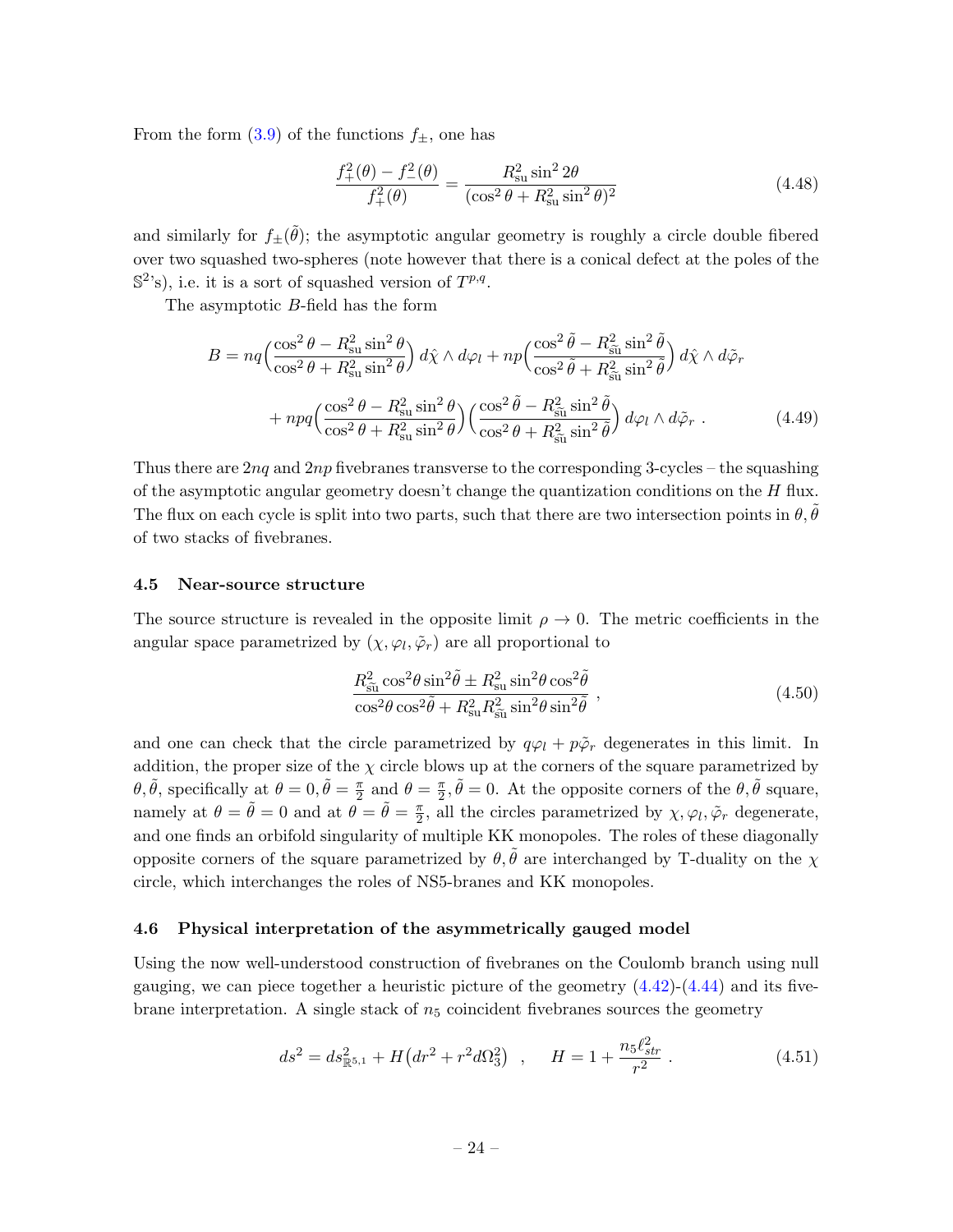From the form  $(3.9)$  of the functions  $f_{\pm}$ , one has

<span id="page-24-2"></span>
$$
\frac{f_{+}^{2}(\theta) - f_{-}^{2}(\theta)}{f_{+}^{2}(\theta)} = \frac{R_{\text{su}}^{2} \sin^{2} 2\theta}{(\cos^{2} \theta + R_{\text{su}}^{2} \sin^{2} \theta)^{2}}
$$
(4.48)

and similarly for  $f_{\pm}(\tilde{\theta})$ ; the asymptotic angular geometry is roughly a circle double fibered over two squashed two-spheres (note however that there is a conical defect at the poles of the  $\mathbb{S}^{2}$ 's), i.e. it is a sort of squashed version of  $T^{p,q}$ .

The asymptotic B-field has the form

$$
B = nq \left(\frac{\cos^2 \theta - R_{\rm su}^2 \sin^2 \theta}{\cos^2 \theta + R_{\rm su}^2 \sin^2 \theta}\right) d\hat{\chi} \wedge d\varphi_l + n p \left(\frac{\cos^2 \tilde{\theta} - R_{\rm s\tilde{u}}^2 \sin^2 \tilde{\theta}}{\cos^2 \tilde{\theta} + R_{\rm s\tilde{u}}^2 \sin^2 \tilde{\theta}}\right) d\hat{\chi} \wedge d\tilde{\varphi}_r
$$
  
+ 
$$
n p q \left(\frac{\cos^2 \theta - R_{\rm su}^2 \sin^2 \theta}{\cos^2 \theta + R_{\rm su}^2 \sin^2 \theta}\right) \left(\frac{\cos^2 \tilde{\theta} - R_{\rm s\tilde{u}}^2 \sin^2 \tilde{\theta}}{\cos^2 \theta + R_{\rm s\tilde{u}}^2 \sin^2 \tilde{\theta}}\right) d\varphi_l \wedge d\tilde{\varphi}_r .
$$
 (4.49)

Thus there are  $2nq$  and  $2np$  fivebranes transverse to the corresponding 3-cycles – the squashing of the asymptotic angular geometry doesn't change the quantization conditions on the  $H$  flux. The flux on each cycle is split into two parts, such that there are two intersection points in  $\theta$ ,  $\theta$ of two stacks of fivebranes.

#### <span id="page-24-0"></span>4.5 Near-source structure

The source structure is revealed in the opposite limit  $\rho \to 0$ . The metric coefficients in the angular space parametrized by  $(\chi, \varphi_l, \tilde{\varphi}_r)$  are all proportional to

$$
\frac{R_{\tilde{\text{su}}}^2 \cos^2 \theta \sin^2 \tilde{\theta} \pm R_{\text{su}}^2 \sin^2 \theta \cos^2 \tilde{\theta}}{\cos^2 \theta \cos^2 \tilde{\theta} + R_{\text{su}}^2 R_{\tilde{\text{su}}}^2 \sin^2 \theta \sin^2 \tilde{\theta}},
$$
\n(4.50)

and one can check that the circle parametrized by  $q\varphi_l + p\tilde{\varphi}_r$  degenerates in this limit. In addition, the proper size of the  $\chi$  circle blows up at the corners of the square parametrized by  $\theta, \tilde{\theta}$ , specifically at  $\theta = 0, \tilde{\theta} = \frac{\pi}{2}$  $\frac{\pi}{2}$  and  $\theta = \frac{\pi}{2}$  $\frac{\pi}{2}, \tilde{\theta} = 0$ . At the opposite corners of the  $\theta, \tilde{\theta}$  square, namely at  $\theta = \tilde{\theta} = 0$  and at  $\theta = \tilde{\theta} = \frac{\pi}{2}$  $\frac{\pi}{2}$ , all the circles parametrized by  $\chi, \varphi_l, \tilde{\varphi}_r$  degenerate, and one finds an orbifold singularity of multiple KK monopoles. The roles of these diagonally opposite corners of the square parametrized by  $\theta$ ,  $\hat{\theta}$  are interchanged by T-duality on the  $\chi$ circle, which interchanges the roles of NS5-branes and KK monopoles.

#### <span id="page-24-1"></span>4.6 Physical interpretation of the asymmetrically gauged model

Using the now well-understood construction of fivebranes on the Coulomb branch using null gauging, we can piece together a heuristic picture of the geometry  $(4.42)-(4.44)$  $(4.42)-(4.44)$  and its fivebrane interpretation. A single stack of  $n<sub>5</sub>$  coincident fivebranes sources the geometry

$$
ds^{2} = ds_{\mathbb{R}^{5,1}}^{2} + H\left(dr^{2} + r^{2}d\Omega_{3}^{2}\right) , \quad H = 1 + \frac{n_{5}\ell_{str}^{2}}{r^{2}} . \tag{4.51}
$$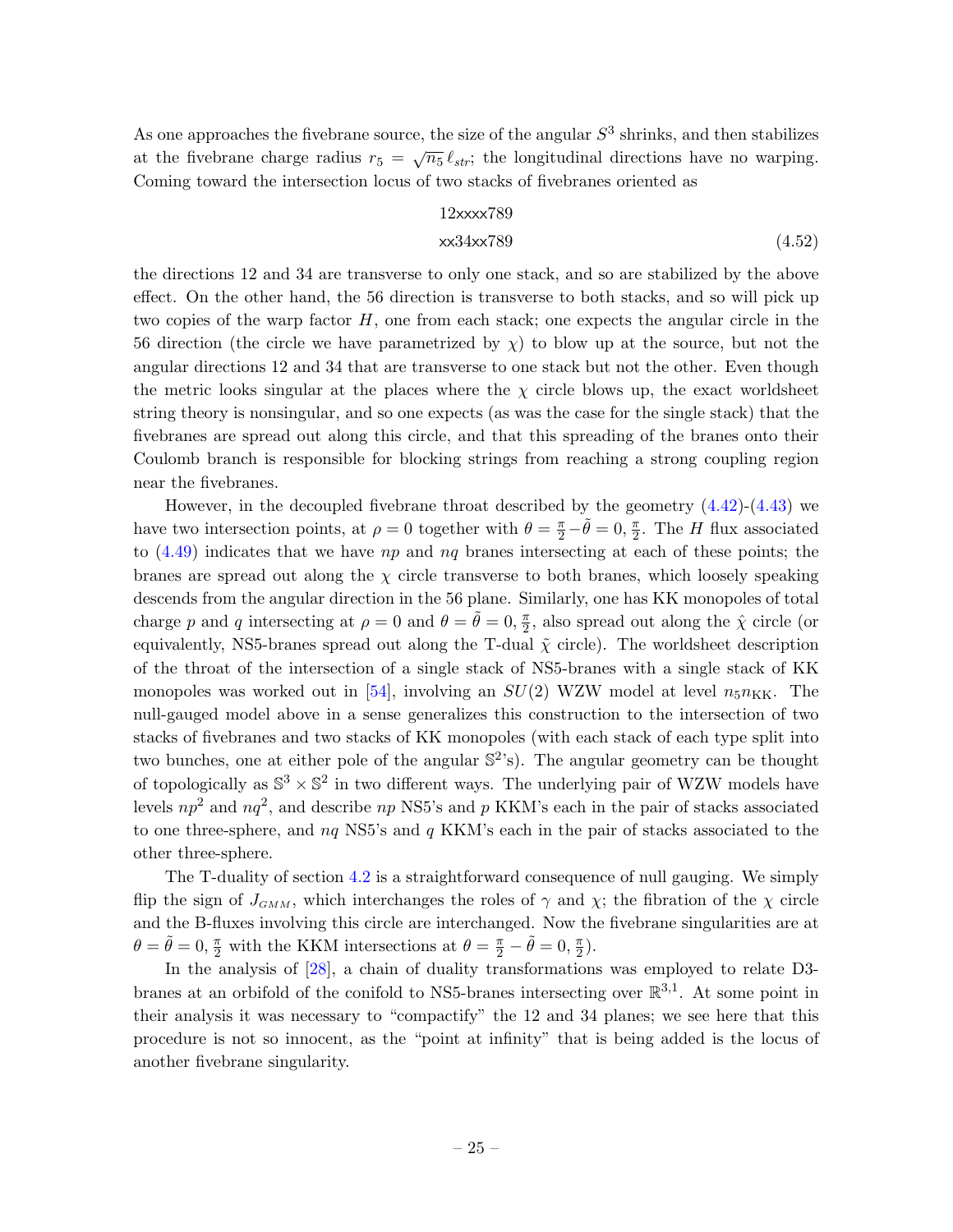As one approaches the fivebrane source, the size of the angular  $S<sup>3</sup>$  shrinks, and then stabilizes at the fivebrane charge radius  $r_5 = \sqrt{n_5} \ell_{str}$ ; the longitudinal directions have no warping. Coming toward the intersection locus of two stacks of fivebranes oriented as

#### 12xxxx789

### xx34xx789 (4.52)

the directions 12 and 34 are transverse to only one stack, and so are stabilized by the above effect. On the other hand, the 56 direction is transverse to both stacks, and so will pick up two copies of the warp factor  $H$ , one from each stack; one expects the angular circle in the 56 direction (the circle we have parametrized by  $\chi$ ) to blow up at the source, but not the angular directions 12 and 34 that are transverse to one stack but not the other. Even though the metric looks singular at the places where the  $\chi$  circle blows up, the exact worldsheet string theory is nonsingular, and so one expects (as was the case for the single stack) that the fivebranes are spread out along this circle, and that this spreading of the branes onto their Coulomb branch is responsible for blocking strings from reaching a strong coupling region near the fivebranes.

However, in the decoupled fivebrane throat described by the geometry  $(4.42)-(4.43)$  $(4.42)-(4.43)$  we have two intersection points, at  $\rho = 0$  together with  $\theta = \frac{\pi}{2} - \tilde{\theta} = 0, \frac{\pi}{2}$  $\frac{\pi}{2}$ . The *H* flux associated to  $(4.49)$  indicates that we have  $np$  and  $nq$  branes intersecting at each of these points; the branes are spread out along the  $\chi$  circle transverse to both branes, which loosely speaking descends from the angular direction in the 56 plane. Similarly, one has KK monopoles of total charge p and q intersecting at  $\rho = 0$  and  $\theta = \tilde{\theta} = 0, \frac{\pi}{2}$  $\frac{\pi}{2}$ , also spread out along the  $\hat{\chi}$  circle (or equivalently, NS5-branes spread out along the T-dual  $\tilde{\chi}$  circle). The worldsheet description of the throat of the intersection of a single stack of NS5-branes with a single stack of KK monopoles was worked out in [\[54\]](#page-48-10), involving an  $SU(2)$  WZW model at level  $n_5n_{KK}$ . The null-gauged model above in a sense generalizes this construction to the intersection of two stacks of fivebranes and two stacks of KK monopoles (with each stack of each type split into two bunches, one at either pole of the angular  $\mathbb{S}^2$ 's). The angular geometry can be thought of topologically as  $\mathbb{S}^3 \times \mathbb{S}^2$  in two different ways. The underlying pair of WZW models have levels  $np^2$  and  $nq^2$ , and describe  $np$  NS5's and p KKM's each in the pair of stacks associated to one three-sphere, and  $nq$  NS5's and  $q$  KKM's each in the pair of stacks associated to the other three-sphere.

The T-duality of section [4.2](#page-19-0) is a straightforward consequence of null gauging. We simply flip the sign of  $J_{GMM}$ , which interchanges the roles of  $\gamma$  and  $\chi$ ; the fibration of the  $\chi$  circle and the B-fluxes involving this circle are interchanged. Now the fivebrane singularities are at  $\theta = \tilde{\theta} = 0, \frac{\pi}{2}$  with the KKM intersections at  $\theta = \frac{\pi}{2} - \tilde{\theta} = 0, \frac{\pi}{2}$  $\frac{\pi}{2}$ .

In the analysis of  $[28]$ , a chain of duality transformations was employed to relate D3branes at an orbifold of the conifold to NS5-branes intersecting over  $\mathbb{R}^{3,1}$ . At some point in their analysis it was necessary to "compactify" the 12 and 34 planes; we see here that this procedure is not so innocent, as the "point at infinity" that is being added is the locus of another fivebrane singularity.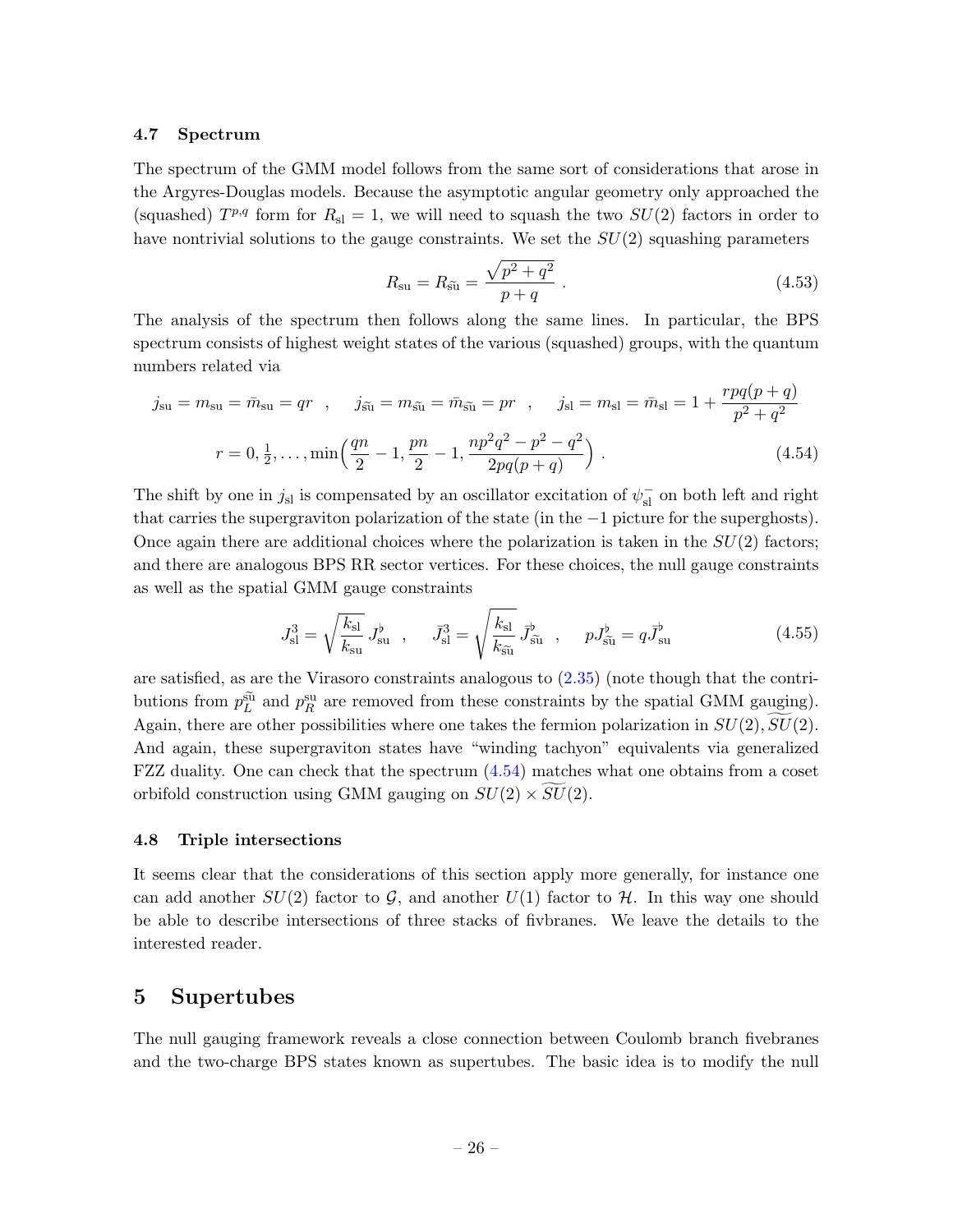#### <span id="page-26-0"></span>4.7 Spectrum

The spectrum of the GMM model follows from the same sort of considerations that arose in the Argyres-Douglas models. Because the asymptotic angular geometry only approached the (squashed)  $T^{p,q}$  form for  $R_{sl} = 1$ , we will need to squash the two  $SU(2)$  factors in order to have nontrivial solutions to the gauge constraints. We set the  $SU(2)$  squashing parameters

<span id="page-26-3"></span>
$$
R_{\rm su} = R_{\rm \tilde{su}} = \frac{\sqrt{p^2 + q^2}}{p + q} \ . \tag{4.53}
$$

The analysis of the spectrum then follows along the same lines. In particular, the BPS spectrum consists of highest weight states of the various (squashed) groups, with the quantum numbers related via

$$
j_{\rm su} = m_{\rm su} = \bar{m}_{\rm su} = qr \quad , \quad j_{\tilde{\rm su}} = m_{\tilde{\rm su}} = \bar{m}_{\tilde{\rm su}} = pr \quad , \quad j_{\rm sl} = m_{\rm sl} = \bar{m}_{\rm sl} = 1 + \frac{rpq(p+q)}{p^2 + q^2}
$$

$$
r = 0, \frac{1}{2}, \dots, \min\left(\frac{qn}{2} - 1, \frac{pn}{2} - 1, \frac{np^2q^2 - p^2 - q^2}{2pq(p+q)}\right) \quad . \tag{4.54}
$$

The shift by one in  $j_{sl}$  is compensated by an oscillator excitation of  $\psi_{sl}^-$  on both left and right that carries the supergraviton polarization of the state (in the −1 picture for the superghosts). Once again there are additional choices where the polarization is taken in the  $SU(2)$  factors; and there are analogous BPS RR sector vertices. For these choices, the null gauge constraints as well as the spatial GMM gauge constraints

$$
J_{\rm sl}^3 = \sqrt{\frac{k_{\rm sl}}{k_{\rm su}}} J_{\rm su}^{\flat} , \quad \bar{J}_{\rm sl}^3 = \sqrt{\frac{k_{\rm sl}}{k_{\rm \tilde{su}}}} \bar{J}_{\tilde{\rm su}}^{\flat} , \quad p J_{\tilde{\rm su}}^{\flat} = q \bar{J}_{\rm su}^{\flat}
$$
(4.55)

are satisfied, as are the Virasoro constraints analogous to  $(2.35)$  (note though that the contributions from  $p_L^{\text{su}}$  and  $p_R^{\text{su}}$  are removed from these constraints by the spatial GMM gauging). Again, there are other possibilities where one takes the fermion polarization in  $SU(2)$ ,  $SU(2)$ . And again, these supergraviton states have "winding tachyon" equivalents via generalized FZZ duality. One can check that the spectrum [\(4.54\)](#page-26-3) matches what one obtains from a coset orbifold construction using GMM gauging on  $SU(2) \times SU(2)$ .

#### <span id="page-26-1"></span>4.8 Triple intersections

It seems clear that the considerations of this section apply more generally, for instance one can add another  $SU(2)$  factor to  $\mathcal{G}$ , and another  $U(1)$  factor to  $\mathcal{H}$ . In this way one should be able to describe intersections of three stacks of fivbranes. We leave the details to the interested reader.

# <span id="page-26-2"></span>5 Supertubes

The null gauging framework reveals a close connection between Coulomb branch fivebranes and the two-charge BPS states known as supertubes. The basic idea is to modify the null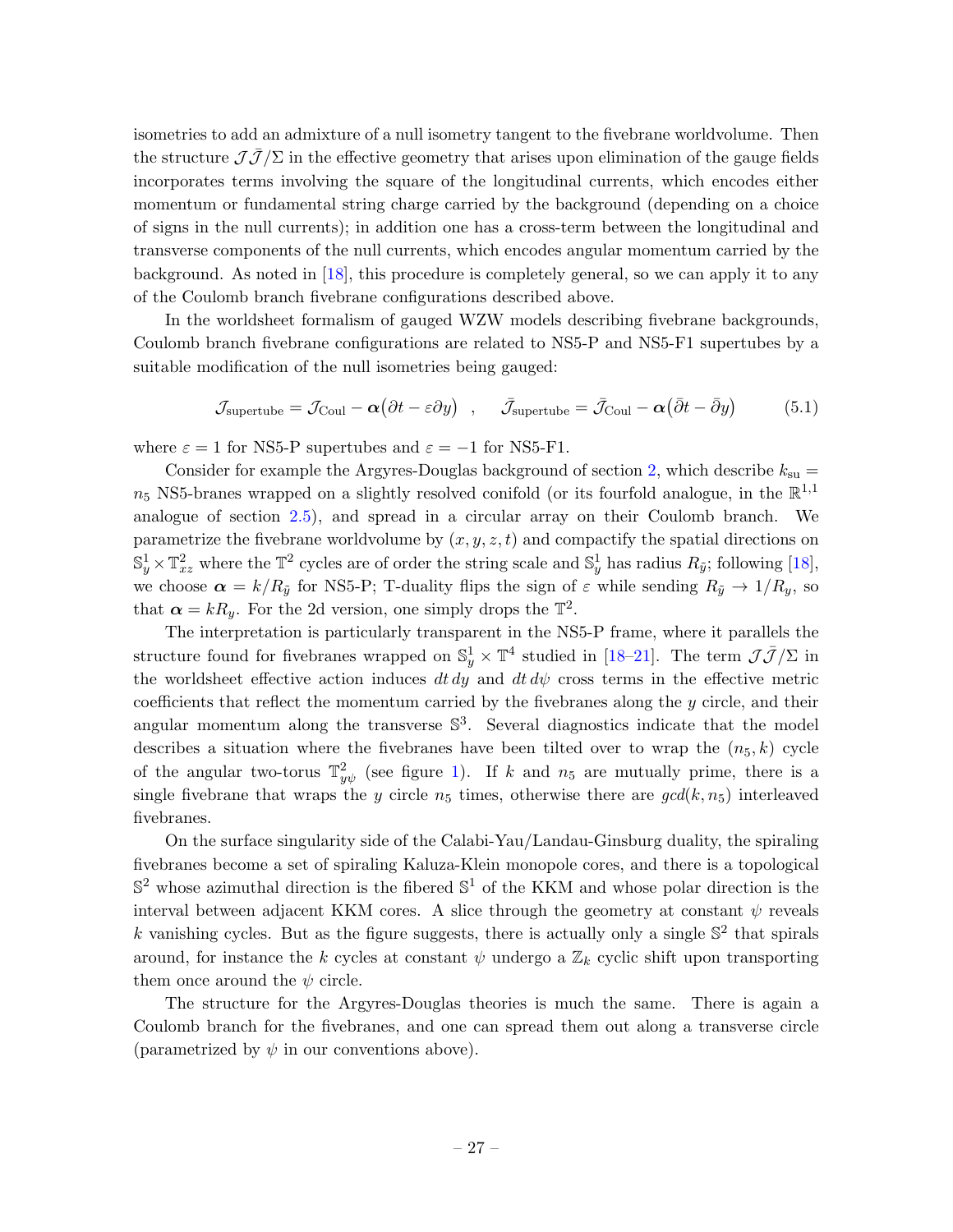isometries to add an admixture of a null isometry tangent to the fivebrane worldvolume. Then the structure  $\mathcal{J}\overline{\mathcal{J}}/\Sigma$  in the effective geometry that arises upon elimination of the gauge fields incorporates terms involving the square of the longitudinal currents, which encodes either momentum or fundamental string charge carried by the background (depending on a choice of signs in the null currents); in addition one has a cross-term between the longitudinal and transverse components of the null currents, which encodes angular momentum carried by the background. As noted in [\[18\]](#page-46-13), this procedure is completely general, so we can apply it to any of the Coulomb branch fivebrane configurations described above.

In the worldsheet formalism of gauged WZW models describing fivebrane backgrounds, Coulomb branch fivebrane configurations are related to NS5-P and NS5-F1 supertubes by a suitable modification of the null isometries being gauged:

<span id="page-27-0"></span>
$$
\mathcal{J}_{\text{supertube}} = \mathcal{J}_{\text{Coul}} - \boldsymbol{\alpha} \big( \partial t - \varepsilon \partial y \big) \quad , \quad \bar{\mathcal{J}}_{\text{supertube}} = \bar{\mathcal{J}}_{\text{Coul}} - \boldsymbol{\alpha} \big( \bar{\partial} t - \bar{\partial} y \big) \tag{5.1}
$$

where  $\varepsilon = 1$  for NS5-P supertubes and  $\varepsilon = -1$  for NS5-F1.

Consider for example the Argyres-Douglas background of section [2,](#page-4-0) which describe  $k_{su}$  =  $n_5$  NS5-branes wrapped on a slightly resolved conifold (or its fourfold analogue, in the  $\mathbb{R}^{1,1}$ analogue of section [2.5\)](#page-13-0), and spread in a circular array on their Coulomb branch. We parametrize the fivebrane worldvolume by  $(x, y, z, t)$  and compactify the spatial directions on  $\mathbb{S}_y^1 \times \mathbb{T}_{xz}^2$  where the  $\mathbb{T}^2$  cycles are of order the string scale and  $\mathbb{S}_y^1$  has radius  $R_{\tilde{y}}$ ; following [\[18\]](#page-46-13), we choose  $\alpha = k/R_{\tilde{y}}$  for NS5-P; T-duality flips the sign of  $\varepsilon$  while sending  $R_{\tilde{y}} \to 1/R_y$ , so that  $\alpha = kR_y$ . For the 2d version, one simply drops the  $\mathbb{T}^2$ .

The interpretation is particularly transparent in the NS5-P frame, where it parallels the structure found for fivebranes wrapped on  $\mathbb{S}_y^1 \times \mathbb{T}^4$  studied in [\[18](#page-46-13)[–21\]](#page-47-0). The term  $\mathcal{J}\bar{\mathcal{J}}/\Sigma$  in the worldsheet effective action induces dt dy and dt  $d\psi$  cross terms in the effective metric coefficients that reflect the momentum carried by the fivebranes along the  $y$  circle, and their angular momentum along the transverse  $\mathbb{S}^3$ . Several diagnostics indicate that the model describes a situation where the fivebranes have been tilted over to wrap the  $(n_5, k)$  cycle of the angular two-torus  $\mathbb{T}_{y\psi}^2$  (see figure [1\)](#page-28-0). If k and  $n_5$  are mutually prime, there is a single fivebrane that wraps the y circle  $n_5$  times, otherwise there are  $gcd(k, n_5)$  interleaved fivebranes.

On the surface singularity side of the Calabi-Yau/Landau-Ginsburg duality, the spiraling fivebranes become a set of spiraling Kaluza-Klein monopole cores, and there is a topological  $\mathbb{S}^2$  whose azimuthal direction is the fibered  $\mathbb{S}^1$  of the KKM and whose polar direction is the interval between adjacent KKM cores. A slice through the geometry at constant  $\psi$  reveals k vanishing cycles. But as the figure suggests, there is actually only a single  $\mathbb{S}^2$  that spirals around, for instance the k cycles at constant  $\psi$  undergo a  $\mathbb{Z}_k$  cyclic shift upon transporting them once around the  $\psi$  circle.

The structure for the Argyres-Douglas theories is much the same. There is again a Coulomb branch for the fivebranes, and one can spread them out along a transverse circle (parametrized by  $\psi$  in our conventions above).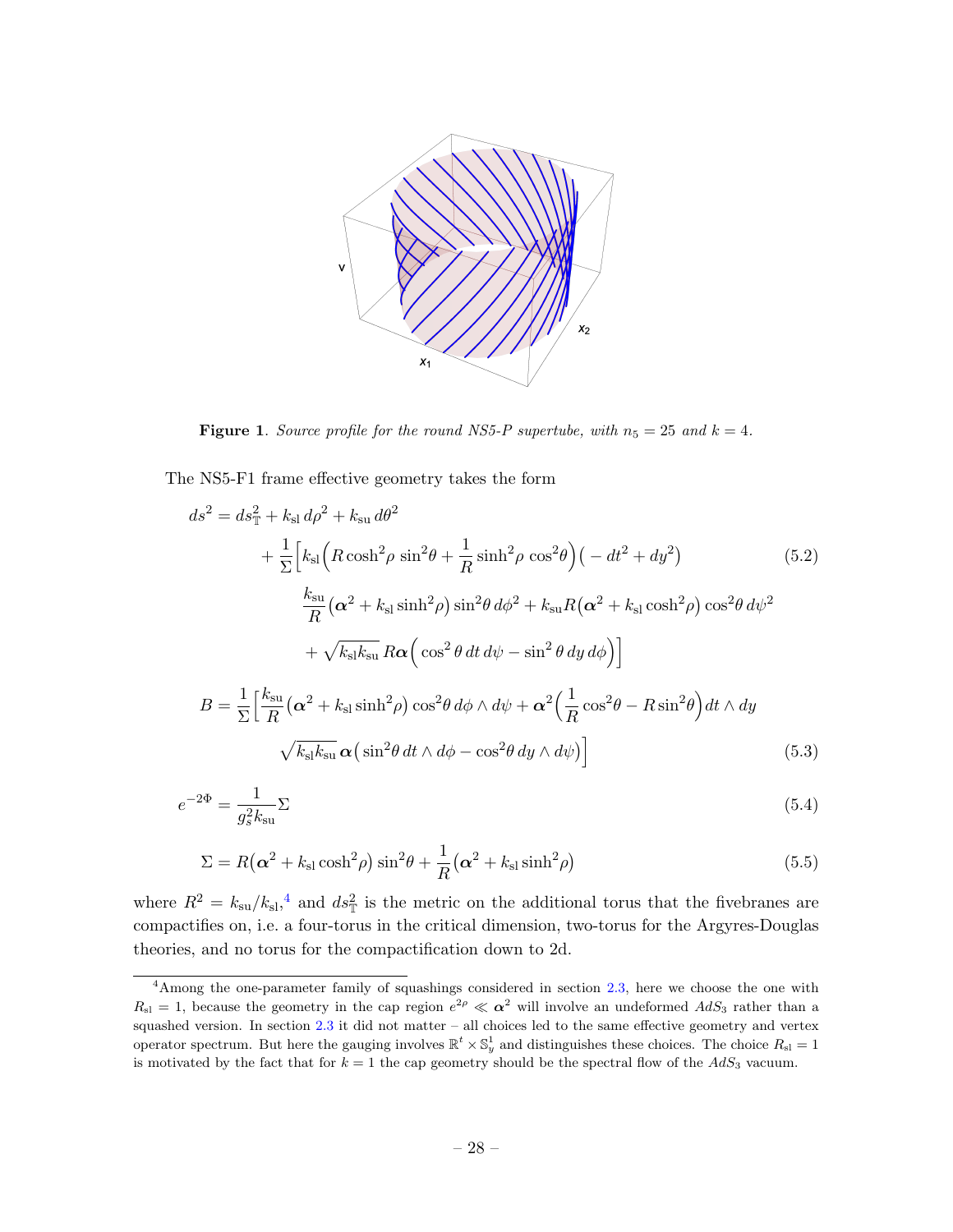

<span id="page-28-0"></span>**Figure 1.** Source profile for the round NS5-P supertube, with  $n_5 = 25$  and  $k = 4$ .

The NS5-F1 frame effective geometry takes the form

$$
ds^{2} = ds_{\mathbb{T}}^{2} + k_{\rm sl} d\rho^{2} + k_{\rm su} d\theta^{2}
$$
  
+  $\frac{1}{\Sigma} \Big[ k_{\rm sl} \Big( R \cosh^{2} \rho \sin^{2} \theta + \frac{1}{R} \sinh^{2} \rho \cos^{2} \theta \Big) \Big( - dt^{2} + dy^{2} \Big)$  (5.2)  

$$
\frac{k_{\rm su}}{R} (\alpha^{2} + k_{\rm sl} \sinh^{2} \rho) \sin^{2} \theta d\phi^{2} + k_{\rm su} R (\alpha^{2} + k_{\rm sl} \cosh^{2} \rho) \cos^{2} \theta d\psi^{2}
$$

$$
+ \sqrt{k_{\rm sl} k_{\rm su}} R \alpha \Big( \cos^{2} \theta dt d\psi - \sin^{2} \theta dy d\phi \Big) \Big]
$$

$$
B = \frac{1}{\Sigma} \Big[ \frac{k_{\rm su}}{R} (\alpha^{2} + k_{\rm sl} \sinh^{2} \rho) \cos^{2} \theta d\phi \wedge d\psi + \alpha^{2} \Big( \frac{1}{R} \cos^{2} \theta - R \sin^{2} \theta \Big) dt \wedge dy
$$

$$
\sqrt{k_{\rm sl} k_{\rm su}} \alpha \Big( \sin^{2} \theta dt \wedge d\phi - \cos^{2} \theta dy \wedge d\psi \Big) \Big]
$$
(5.3)

$$
e^{-2\Phi} = \frac{1}{g_s^2 k_{\rm su}} \Sigma \tag{5.4}
$$

$$
\Sigma = R(\alpha^2 + k_{\rm sl}\cosh^2\rho)\sin^2\theta + \frac{1}{R}(\alpha^2 + k_{\rm sl}\sinh^2\rho)
$$
\n(5.5)

where  $R^2 = k_{\rm su}/k_{\rm sl}^4$  $R^2 = k_{\rm su}/k_{\rm sl}^4$ , and  $ds_{\rm T}^2$  is the metric on the additional torus that the fivebranes are compactifies on, i.e. a four-torus in the critical dimension, two-torus for the Argyres-Douglas theories, and no torus for the compactification down to 2d.

<span id="page-28-1"></span><sup>&</sup>lt;sup>4</sup>Among the one-parameter family of squashings considered in section [2.3,](#page-7-0) here we choose the one with  $R_{\rm{sl}}=1$ , because the geometry in the cap region  $e^{2\rho} \ll \alpha^2$  will involve an undeformed  $AdS_3$  rather than a squashed version. In section [2.3](#page-7-0) it did not matter – all choices led to the same effective geometry and vertex operator spectrum. But here the gauging involves  $\mathbb{R}^t \times \mathbb{S}_y^1$  and distinguishes these choices. The choice  $R_{\rm sl} = 1$ is motivated by the fact that for  $k = 1$  the cap geometry should be the spectral flow of the  $AdS_3$  vacuum.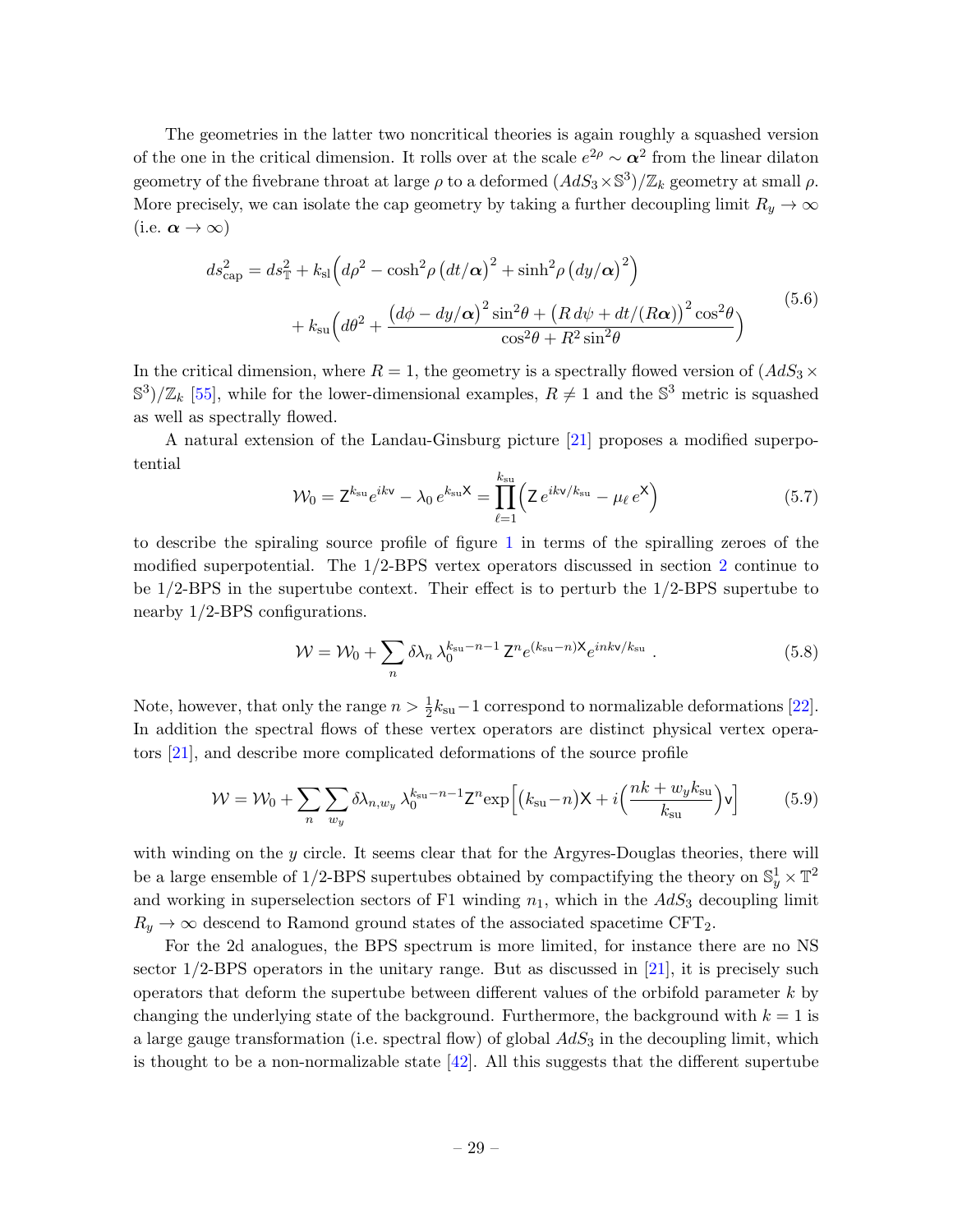The geometries in the latter two noncritical theories is again roughly a squashed version of the one in the critical dimension. It rolls over at the scale  $e^{2\rho} \sim \alpha^2$  from the linear dilaton geometry of the fivebrane throat at large  $\rho$  to a deformed  $(AdS_3 \times \mathbb{S}^3)/\mathbb{Z}_k$  geometry at small  $\rho$ . More precisely, we can isolate the cap geometry by taking a further decoupling limit  $R_y \to \infty$ (i.e.  $\alpha \to \infty$ )

$$
ds_{\text{cap}}^2 = ds_{\mathbb{T}}^2 + k_{\text{sl}} \left( d\rho^2 - \cosh^2 \rho \left( dt/\alpha \right)^2 + \sinh^2 \rho \left( dy/\alpha \right)^2 \right) + k_{\text{su}} \left( d\theta^2 + \frac{\left( d\phi - dy/\alpha \right)^2 \sin^2 \theta + \left( R \, d\psi + dt/(R\alpha) \right)^2 \cos^2 \theta}{\cos^2 \theta + R^2 \sin^2 \theta} \right)
$$
(5.6)

In the critical dimension, where  $R = 1$ , the geometry is a spectrally flowed version of  $(AdS_3 \times$  $\mathbb{S}^3/\mathbb{Z}_k$  [\[55\]](#page-48-11), while for the lower-dimensional examples,  $R \neq 1$  and the  $\mathbb{S}^3$  metric is squashed as well as spectrally flowed.

A natural extension of the Landau-Ginsburg picture [\[21\]](#page-47-0) proposes a modified superpotential

$$
\mathcal{W}_0 = \mathsf{Z}^{k_{\rm su}} e^{ik\mathsf{v}} - \lambda_0 e^{k_{\rm su}\mathsf{X}} = \prod_{\ell=1}^{k_{\rm su}} \left( \mathsf{Z} e^{ik\mathsf{v}/k_{\rm su}} - \mu_\ell e^{\mathsf{X}} \right) \tag{5.7}
$$

to describe the spiraling source profile of figure [1](#page-28-0) in terms of the spiralling zeroes of the modified superpotential. The 1/2-BPS vertex operators discussed in section [2](#page-4-0) continue to be 1/2-BPS in the supertube context. Their effect is to perturb the 1/2-BPS supertube to nearby 1/2-BPS configurations.

$$
\mathcal{W} = \mathcal{W}_0 + \sum_n \delta \lambda_n \lambda_0^{k_{\rm su} - n - 1} \mathbf{Z}^n e^{(k_{\rm su} - n)\mathbf{X}} e^{ink\mathbf{v}/k_{\rm su}} \tag{5.8}
$$

Note, however, that only the range  $n > \frac{1}{2}k_{\rm su}-1$  correspond to normalizable deformations [\[22\]](#page-47-1). In addition the spectral flows of these vertex operators are distinct physical vertex operators [\[21\]](#page-47-0), and describe more complicated deformations of the source profile

$$
\mathcal{W} = \mathcal{W}_0 + \sum_{n} \sum_{w_y} \delta \lambda_{n,w_y} \lambda_0^{k_{\rm su} - n - 1} Z^n \exp\left[ \left( k_{\rm su} - n \right) X + i \left( \frac{nk + w_y k_{\rm su}}{k_{\rm su}} \right) \mathbf{v} \right] \tag{5.9}
$$

with winding on the y circle. It seems clear that for the Argyres-Douglas theories, there will be a large ensemble of 1/2-BPS supertubes obtained by compactifying the theory on  $\mathbb{S}^1_y \times \mathbb{T}^2$ and working in superselection sectors of F1 winding  $n_1$ , which in the  $AdS_3$  decoupling limit  $R_y \rightarrow \infty$  descend to Ramond ground states of the associated spacetime CFT<sub>2</sub>.

For the 2d analogues, the BPS spectrum is more limited, for instance there are no NS sector  $1/2$ -BPS operators in the unitary range. But as discussed in [\[21\]](#page-47-0), it is precisely such operators that deform the supertube between different values of the orbifold parameter  $k$  by changing the underlying state of the background. Furthermore, the background with  $k = 1$  is a large gauge transformation (i.e. spectral flow) of global  $AdS<sub>3</sub>$  in the decoupling limit, which is thought to be a non-normalizable state  $[42]$ . All this suggests that the different supertube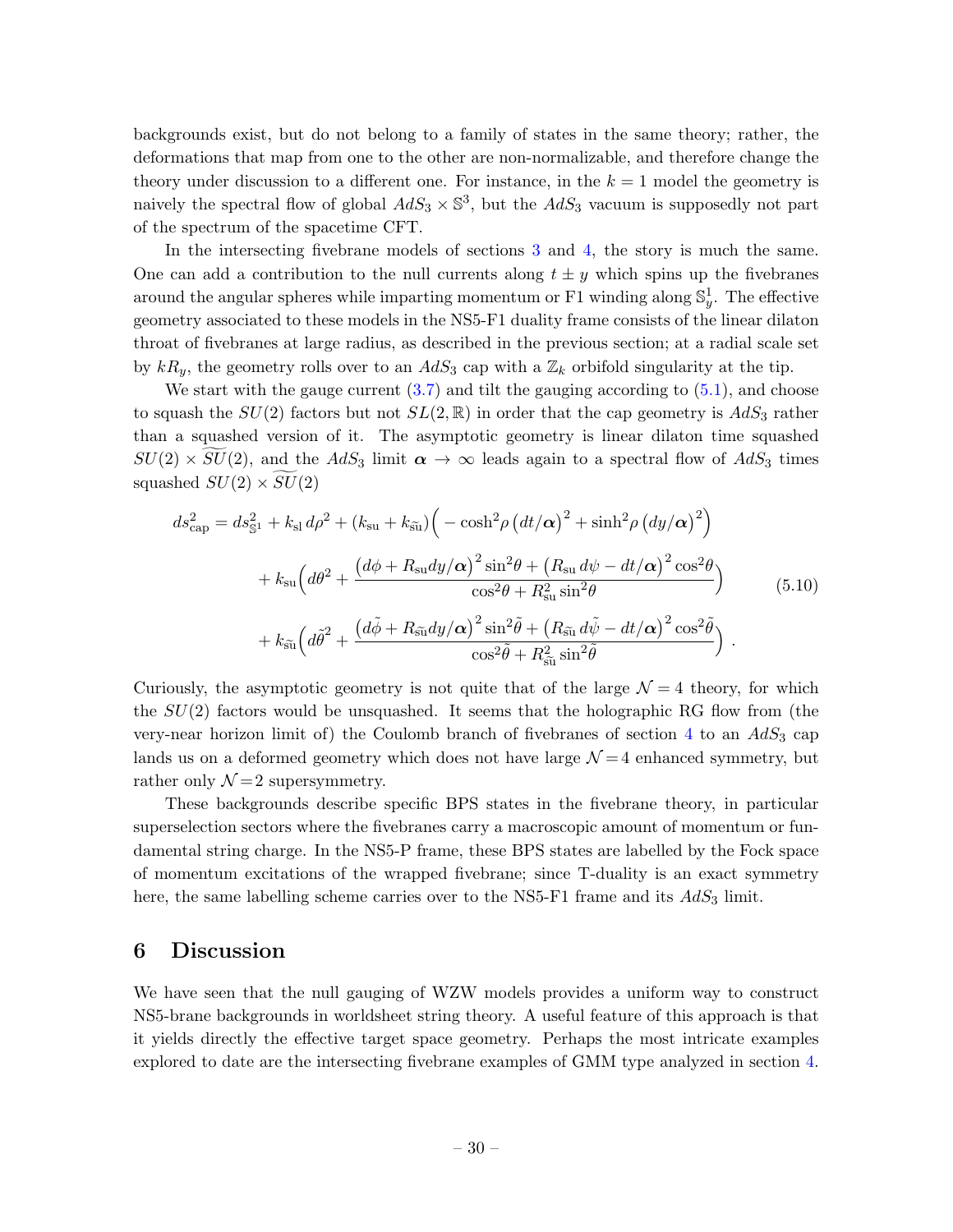backgrounds exist, but do not belong to a family of states in the same theory; rather, the deformations that map from one to the other are non-normalizable, and therefore change the theory under discussion to a different one. For instance, in the  $k = 1$  model the geometry is naively the spectral flow of global  $AdS_3 \times \mathbb{S}^3$ , but the  $AdS_3$  vacuum is supposedly not part of the spectrum of the spacetime CFT.

In the intersecting fivebrane models of sections [3](#page-14-0) and [4,](#page-16-0) the story is much the same. One can add a contribution to the null currents along  $t \pm y$  which spins up the fivebranes around the angular spheres while imparting momentum or F1 winding along  $\mathbb{S}_y^1$ . The effective geometry associated to these models in the NS5-F1 duality frame consists of the linear dilaton throat of fivebranes at large radius, as described in the previous section; at a radial scale set by  $kR_y$ , the geometry rolls over to an  $AdS_3$  cap with a  $\mathbb{Z}_k$  orbifold singularity at the tip.

We start with the gauge current  $(3.7)$  and tilt the gauging according to  $(5.1)$ , and choose to squash the  $SU(2)$  factors but not  $SL(2,\mathbb{R})$  in order that the cap geometry is  $AdS_3$  rather than a squashed version of it. The asymptotic geometry is linear dilaton time squashed  $SU(2) \times \widetilde{SU}(2)$ , and the  $AdS_3$  limit  $\alpha \to \infty$  leads again to a spectral flow of  $AdS_3$  times squashed  $SU(2) \times SU(2)$ 

$$
ds_{\text{cap}}^2 = ds_{\text{S}1}^2 + k_{\text{sl}} d\rho^2 + (k_{\text{su}} + k_{\tilde{\text{su}}}) \Big( -\cosh^2 \rho \left( dt/\alpha \right)^2 + \sinh^2 \rho \left( dy/\alpha \right)^2 \Big) + k_{\text{su}} \Big( d\theta^2 + \frac{\left( d\phi + R_{\text{su}} dy/\alpha \right)^2 \sin^2 \theta + \left( R_{\text{su}} d\psi - dt/\alpha \right)^2 \cos^2 \theta}{\cos^2 \theta + R_{\text{su}}^2 \sin^2 \theta} \Big) + k_{\tilde{\text{su}}} \Big( d\tilde{\theta}^2 + \frac{\left( d\tilde{\phi} + R_{\tilde{\text{su}}} dy/\alpha \right)^2 \sin^2 \tilde{\theta} + \left( R_{\tilde{\text{su}}} d\tilde{\psi} - dt/\alpha \right)^2 \cos^2 \tilde{\theta}}{\cos^2 \tilde{\theta} + R_{\tilde{\text{su}}}^2 \sin^2 \tilde{\theta}} \Big) .
$$
(5.10)

Curiously, the asymptotic geometry is not quite that of the large  $\mathcal{N}=4$  theory, for which the  $SU(2)$  factors would be unsquashed. It seems that the holographic RG flow from (the very-near horizon limit of) the Coulomb branch of fivebranes of section [4](#page-16-0) to an  $AdS_3$  cap lands us on a deformed geometry which does not have large  $\mathcal{N}=4$  enhanced symmetry, but rather only  $\mathcal{N}=2$  supersymmetry.

These backgrounds describe specific BPS states in the fivebrane theory, in particular superselection sectors where the fivebranes carry a macroscopic amount of momentum or fundamental string charge. In the NS5-P frame, these BPS states are labelled by the Fock space of momentum excitations of the wrapped fivebrane; since T-duality is an exact symmetry here, the same labelling scheme carries over to the NS5-F1 frame and its  $AdS_3$  limit.

### <span id="page-30-0"></span>6 Discussion

We have seen that the null gauging of WZW models provides a uniform way to construct NS5-brane backgrounds in worldsheet string theory. A useful feature of this approach is that it yields directly the effective target space geometry. Perhaps the most intricate examples explored to date are the intersecting fivebrane examples of GMM type analyzed in section [4.](#page-16-0)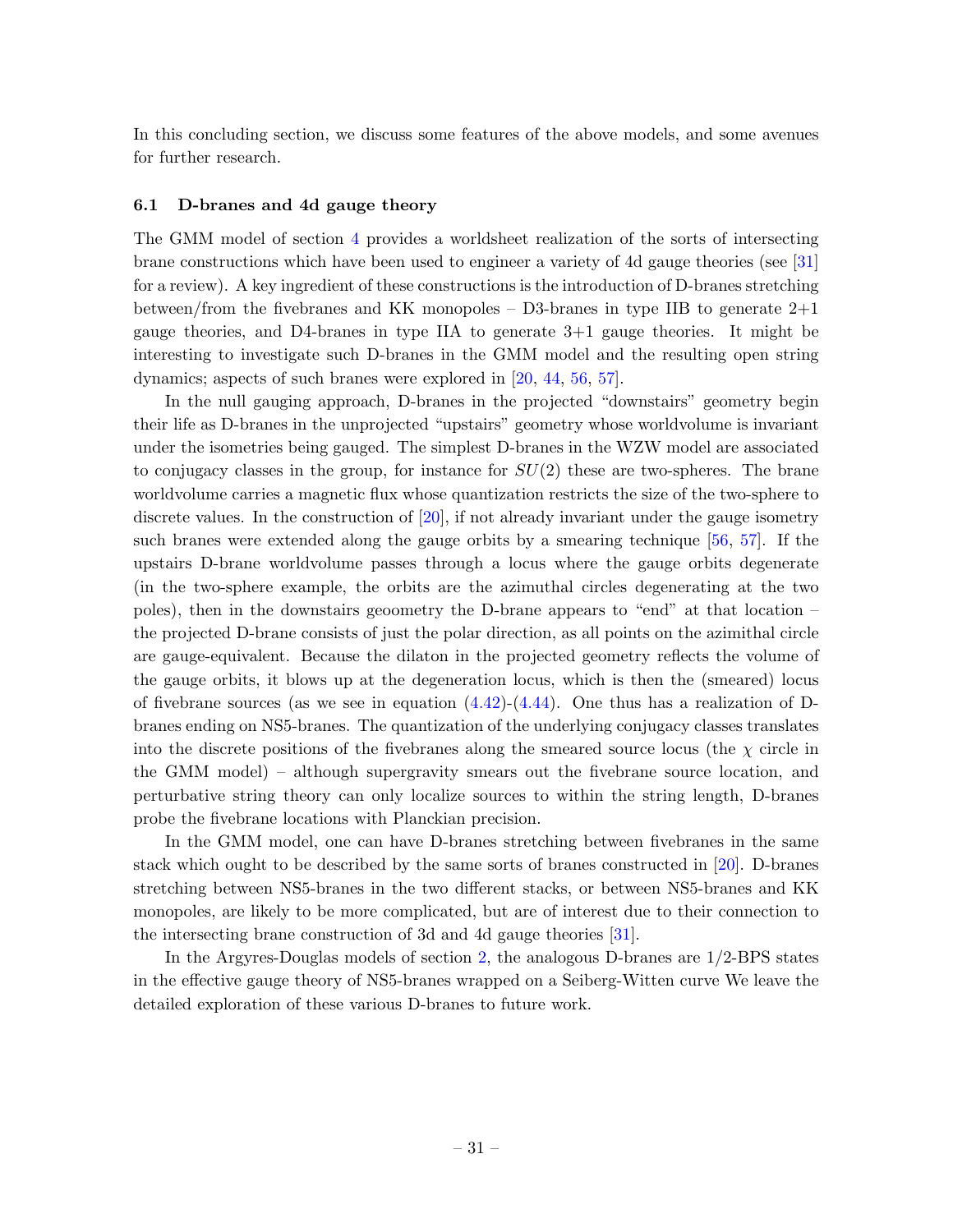In this concluding section, we discuss some features of the above models, and some avenues for further research.

#### <span id="page-31-0"></span>6.1 D-branes and 4d gauge theory

The GMM model of section [4](#page-16-0) provides a worldsheet realization of the sorts of intersecting brane constructions which have been used to engineer a variety of 4d gauge theories (see [\[31\]](#page-47-6) for a review). A key ingredient of these constructions is the introduction of D-branes stretching between/from the fivebranes and KK monopoles – D3-branes in type IIB to generate  $2+1$ gauge theories, and D4-branes in type IIA to generate 3+1 gauge theories. It might be interesting to investigate such D-branes in the GMM model and the resulting open string dynamics; aspects of such branes were explored in [\[20,](#page-47-18) [44,](#page-48-3) [56,](#page-48-12) [57\]](#page-48-13).

In the null gauging approach, D-branes in the projected "downstairs" geometry begin their life as D-branes in the unprojected "upstairs" geometry whose worldvolume is invariant under the isometries being gauged. The simplest D-branes in the WZW model are associated to conjugacy classes in the group, for instance for  $SU(2)$  these are two-spheres. The brane worldvolume carries a magnetic flux whose quantization restricts the size of the two-sphere to discrete values. In the construction of  $[20]$ , if not already invariant under the gauge isometry such branes were extended along the gauge orbits by a smearing technique [\[56,](#page-48-12) [57\]](#page-48-13). If the upstairs D-brane worldvolume passes through a locus where the gauge orbits degenerate (in the two-sphere example, the orbits are the azimuthal circles degenerating at the two poles), then in the downstairs geoometry the D-brane appears to "end" at that location – the projected D-brane consists of just the polar direction, as all points on the azimithal circle are gauge-equivalent. Because the dilaton in the projected geometry reflects the volume of the gauge orbits, it blows up at the degeneration locus, which is then the (smeared) locus of fivebrane sources (as we see in equation  $(4.42)-(4.44)$  $(4.42)-(4.44)$ ). One thus has a realization of Dbranes ending on NS5-branes. The quantization of the underlying conjugacy classes translates into the discrete positions of the fivebranes along the smeared source locus (the  $\chi$  circle in the GMM model) – although supergravity smears out the fivebrane source location, and perturbative string theory can only localize sources to within the string length, D-branes probe the fivebrane locations with Planckian precision.

In the GMM model, one can have D-branes stretching between fivebranes in the same stack which ought to be described by the same sorts of branes constructed in [\[20\]](#page-47-18). D-branes stretching between NS5-branes in the two different stacks, or between NS5-branes and KK monopoles, are likely to be more complicated, but are of interest due to their connection to the intersecting brane construction of 3d and 4d gauge theories [\[31\]](#page-47-6).

In the Argyres-Douglas models of section [2,](#page-4-0) the analogous D-branes are 1/2-BPS states in the effective gauge theory of NS5-branes wrapped on a Seiberg-Witten curve We leave the detailed exploration of these various D-branes to future work.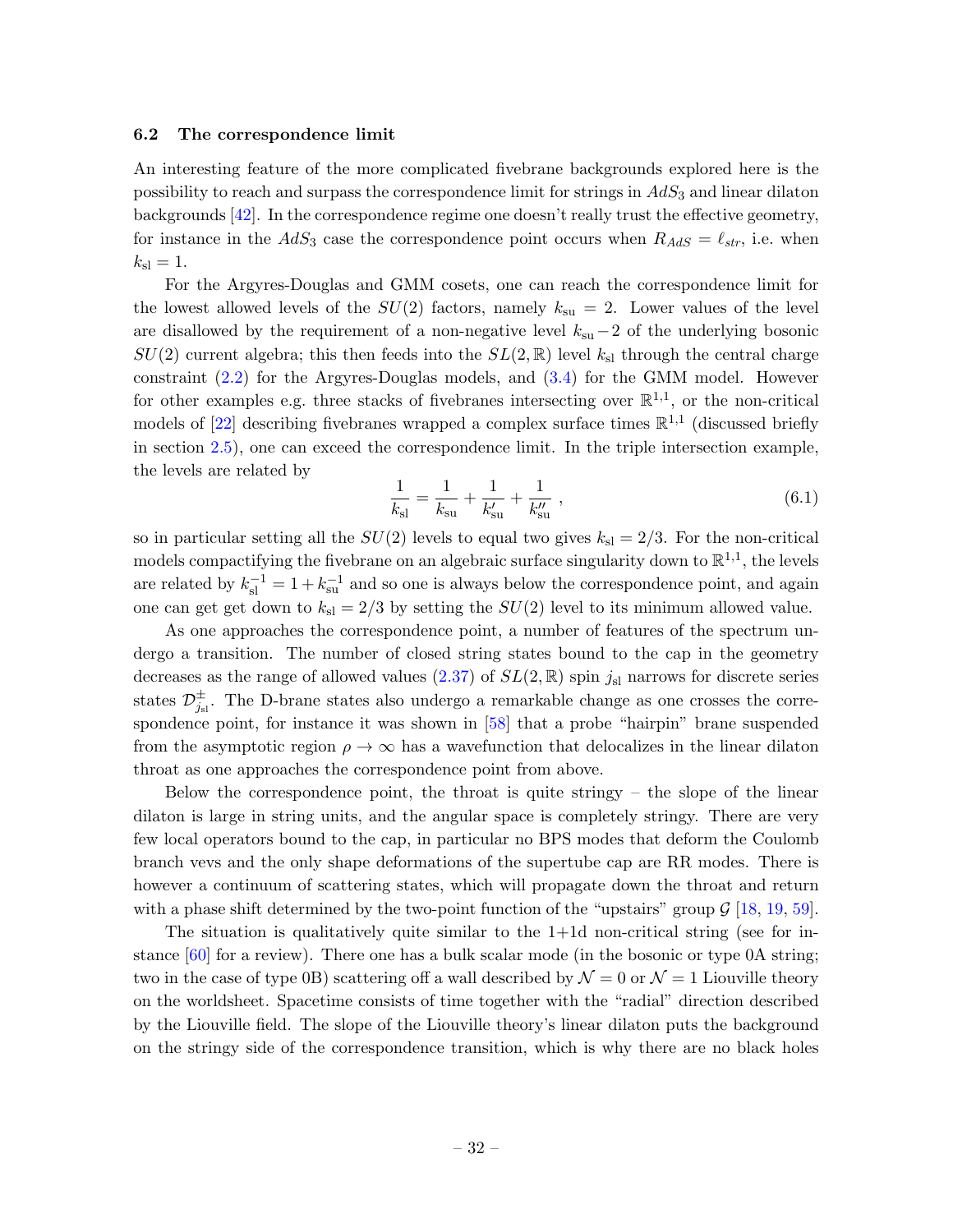#### <span id="page-32-0"></span>6.2 The correspondence limit

An interesting feature of the more complicated fivebrane backgrounds explored here is the possibility to reach and surpass the correspondence limit for strings in  $AdS_3$  and linear dilaton backgrounds [\[42\]](#page-48-1). In the correspondence regime one doesn't really trust the effective geometry, for instance in the  $AdS_3$  case the correspondence point occurs when  $R_{AdS} = \ell_{str}$ , i.e. when  $k_{\rm sl} = 1.$ 

For the Argyres-Douglas and GMM cosets, one can reach the correspondence limit for the lowest allowed levels of the  $SU(2)$  factors, namely  $k_{\text{su}} = 2$ . Lower values of the level are disallowed by the requirement of a non-negative level  $k_{su}-2$  of the underlying bosonic  $SU(2)$  current algebra; this then feeds into the  $SL(2,\mathbb{R})$  level  $k_{\rm sl}$  through the central charge constraint [\(2.2\)](#page-4-2) for the Argyres-Douglas models, and [\(3.4\)](#page-14-4) for the GMM model. However for other examples e.g. three stacks of fivebranes intersecting over  $\mathbb{R}^{1,1}$ , or the non-critical models of [\[22\]](#page-47-1) describing fivebranes wrapped a complex surface times  $\mathbb{R}^{1,1}$  (discussed briefly in section [2.5\)](#page-13-0), one can exceed the correspondence limit. In the triple intersection example, the levels are related by

$$
\frac{1}{k_{\rm sl}} = \frac{1}{k_{\rm su}} + \frac{1}{k'_{\rm su}} + \frac{1}{k''_{\rm su}} ,\qquad (6.1)
$$

so in particular setting all the  $SU(2)$  levels to equal two gives  $k_{\rm sl} = 2/3$ . For the non-critical models compactifying the fivebrane on an algebraic surface singularity down to  $\mathbb{R}^{1,1}$ , the levels are related by  $k_{\rm sl}^{-1} = 1 + k_{\rm su}^{-1}$  and so one is always below the correspondence point, and again one can get get down to  $k_{sl} = 2/3$  by setting the  $SU(2)$  level to its minimum allowed value.

As one approaches the correspondence point, a number of features of the spectrum undergo a transition. The number of closed string states bound to the cap in the geometry decreases as the range of allowed values  $(2.37)$  of  $SL(2,\mathbb{R})$  spin  $j_{sl}$  narrows for discrete series states  $\mathcal{D}^{\pm}_{j_{\rm sl}}$ . The D-brane states also undergo a remarkable change as one crosses the correspondence point, for instance it was shown in [\[58\]](#page-48-14) that a probe "hairpin" brane suspended from the asymptotic region  $\rho \to \infty$  has a wavefunction that delocalizes in the linear dilaton throat as one approaches the correspondence point from above.

Below the correspondence point, the throat is quite stringy – the slope of the linear dilaton is large in string units, and the angular space is completely stringy. There are very few local operators bound to the cap, in particular no BPS modes that deform the Coulomb branch vevs and the only shape deformations of the supertube cap are RR modes. There is however a continuum of scattering states, which will propagate down the throat and return with a phase shift determined by the two-point function of the "upstairs" group  $\mathcal{G}$  [\[18,](#page-46-13) [19,](#page-46-16) [59\]](#page-48-15).

The situation is qualitatively quite similar to the  $1+1d$  non-critical string (see for instance  $[60]$  for a review). There one has a bulk scalar mode (in the bosonic or type 0A string; two in the case of type 0B) scattering off a wall described by  $\mathcal{N} = 0$  or  $\mathcal{N} = 1$  Liouville theory on the worldsheet. Spacetime consists of time together with the "radial" direction described by the Liouville field. The slope of the Liouville theory's linear dilaton puts the background on the stringy side of the correspondence transition, which is why there are no black holes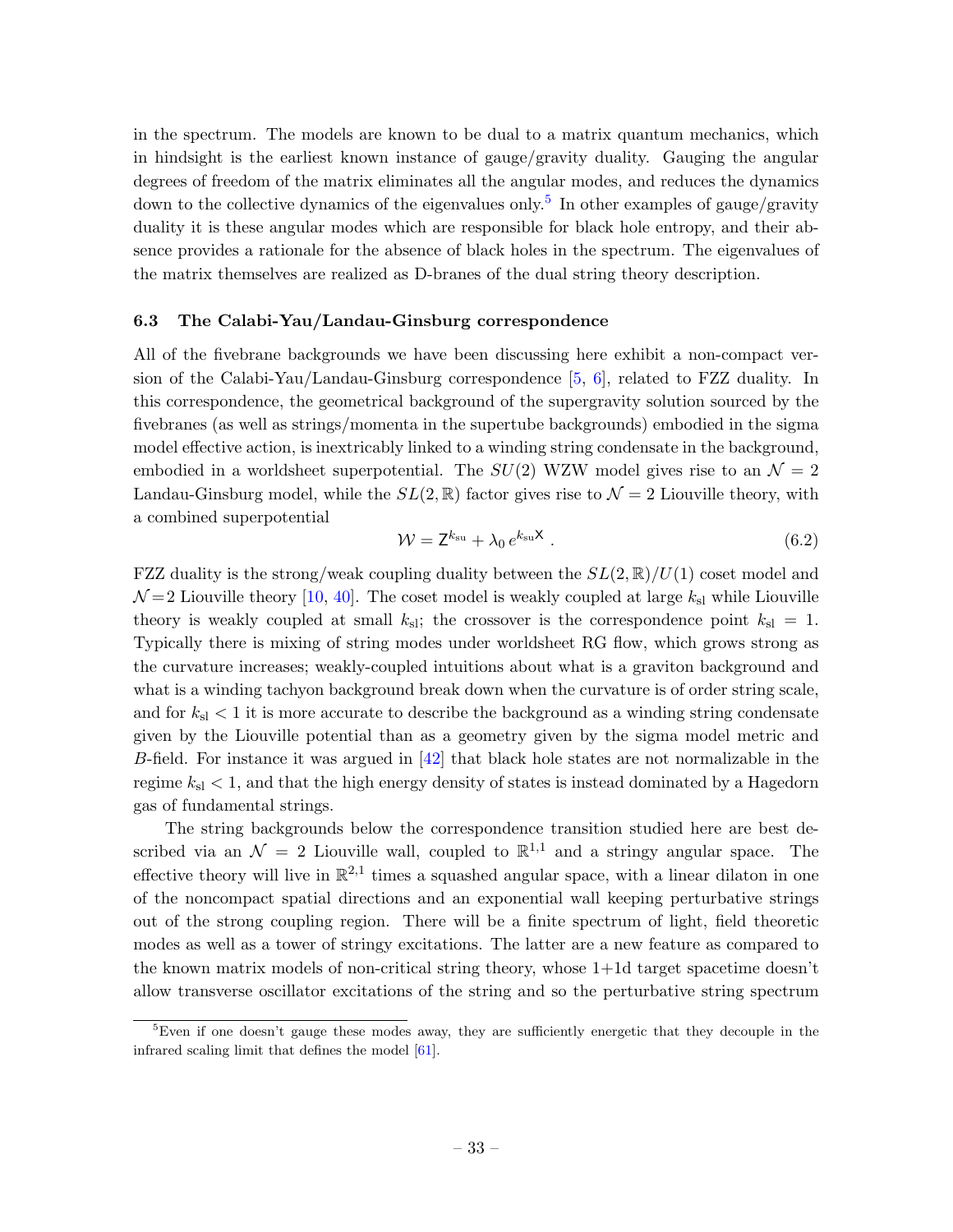in the spectrum. The models are known to be dual to a matrix quantum mechanics, which in hindsight is the earliest known instance of gauge/gravity duality. Gauging the angular degrees of freedom of the matrix eliminates all the angular modes, and reduces the dynamics down to the collective dynamics of the eigenvalues only.<sup>[5](#page-33-1)</sup> In other examples of gauge/gravity duality it is these angular modes which are responsible for black hole entropy, and their absence provides a rationale for the absence of black holes in the spectrum. The eigenvalues of the matrix themselves are realized as D-branes of the dual string theory description.

#### <span id="page-33-0"></span>6.3 The Calabi-Yau/Landau-Ginsburg correspondence

All of the fivebrane backgrounds we have been discussing here exhibit a non-compact version of the Calabi-Yau/Landau-Ginsburg correspondence [\[5,](#page-46-4) [6\]](#page-46-15), related to FZZ duality. In this correspondence, the geometrical background of the supergravity solution sourced by the fivebranes (as well as strings/momenta in the supertube backgrounds) embodied in the sigma model effective action, is inextricably linked to a winding string condensate in the background, embodied in a worldsheet superpotential. The  $SU(2)$  WZW model gives rise to an  $\mathcal{N}=2$ Landau-Ginsburg model, while the  $SL(2,\mathbb{R})$  factor gives rise to  $\mathcal{N}=2$  Liouville theory, with a combined superpotential

$$
\mathcal{W} = \mathsf{Z}^{k_{\rm su}} + \lambda_0 \, e^{k_{\rm su}\mathsf{X}} \,. \tag{6.2}
$$

FZZ duality is the strong/weak coupling duality between the  $SL(2,\mathbb{R})/U(1)$  coset model and  $\mathcal{N}=2$  Liouville theory [\[10,](#page-46-7) [40\]](#page-47-17). The coset model is weakly coupled at large  $k_{\rm sl}$  while Liouville theory is weakly coupled at small  $k_{\rm sl}$ ; the crossover is the correspondence point  $k_{\rm sl} = 1$ . Typically there is mixing of string modes under worldsheet RG flow, which grows strong as the curvature increases; weakly-coupled intuitions about what is a graviton background and what is a winding tachyon background break down when the curvature is of order string scale, and for  $k_{sl}$  < 1 it is more accurate to describe the background as a winding string condensate given by the Liouville potential than as a geometry given by the sigma model metric and B-field. For instance it was argued in  $[42]$  that black hole states are not normalizable in the regime  $k_{\rm sl}$  < 1, and that the high energy density of states is instead dominated by a Hagedorn gas of fundamental strings.

The string backgrounds below the correspondence transition studied here are best described via an  $\mathcal{N} = 2$  Liouville wall, coupled to  $\mathbb{R}^{1,1}$  and a stringy angular space. The effective theory will live in  $\mathbb{R}^{2,1}$  times a squashed angular space, with a linear dilaton in one of the noncompact spatial directions and an exponential wall keeping perturbative strings out of the strong coupling region. There will be a finite spectrum of light, field theoretic modes as well as a tower of stringy excitations. The latter are a new feature as compared to the known matrix models of non-critical string theory, whose 1+1d target spacetime doesn't allow transverse oscillator excitations of the string and so the perturbative string spectrum

<span id="page-33-1"></span><sup>&</sup>lt;sup>5</sup>Even if one doesn't gauge these modes away, they are sufficiently energetic that they decouple in the infrared scaling limit that defines the model [\[61\]](#page-48-17).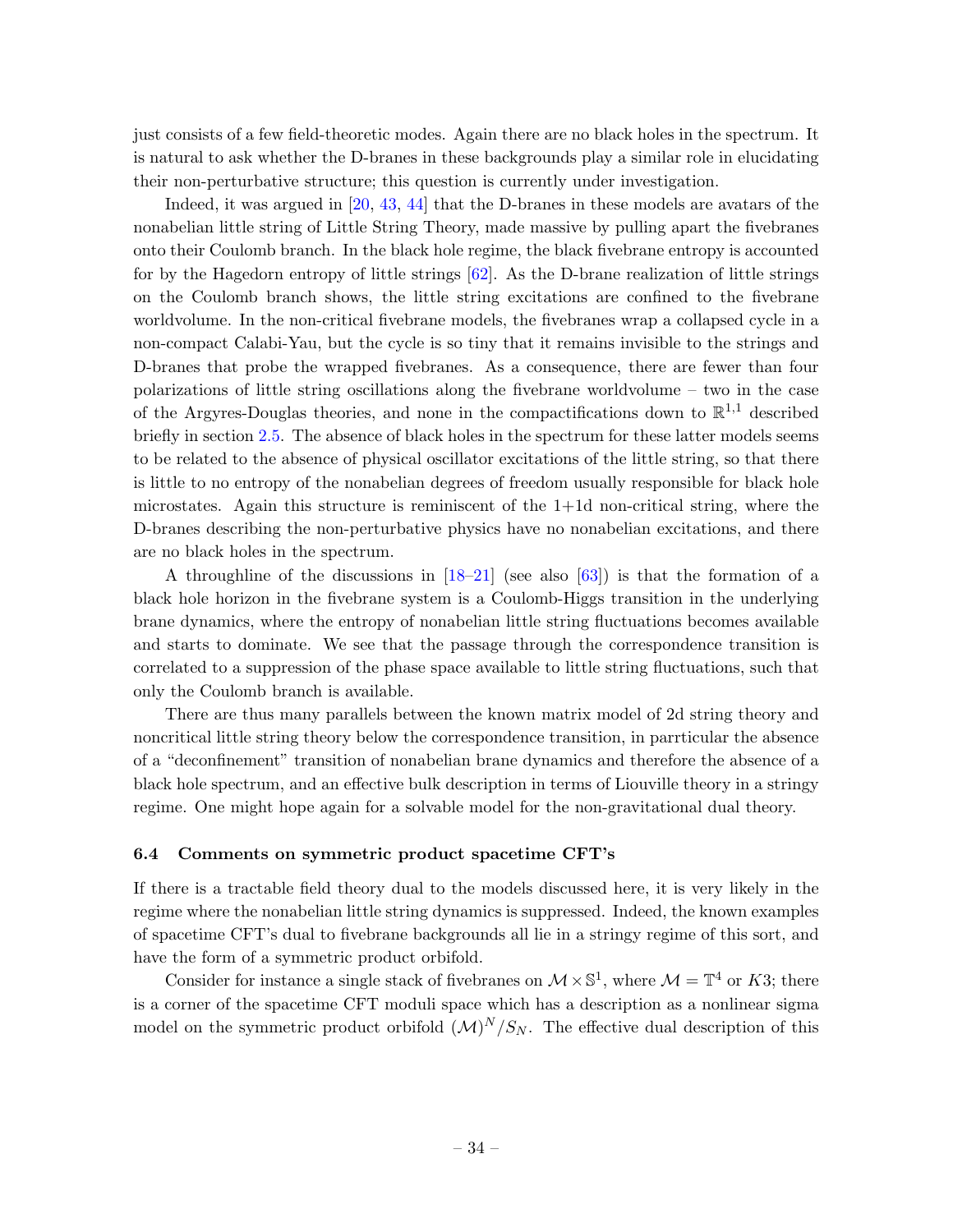just consists of a few field-theoretic modes. Again there are no black holes in the spectrum. It is natural to ask whether the D-branes in these backgrounds play a similar role in elucidating their non-perturbative structure; this question is currently under investigation.

Indeed, it was argued in [\[20,](#page-47-18) [43,](#page-48-2) [44\]](#page-48-3) that the D-branes in these models are avatars of the nonabelian little string of Little String Theory, made massive by pulling apart the fivebranes onto their Coulomb branch. In the black hole regime, the black fivebrane entropy is accounted for by the Hagedorn entropy of little strings [\[62\]](#page-49-0). As the D-brane realization of little strings on the Coulomb branch shows, the little string excitations are confined to the fivebrane worldvolume. In the non-critical fivebrane models, the fivebranes wrap a collapsed cycle in a non-compact Calabi-Yau, but the cycle is so tiny that it remains invisible to the strings and D-branes that probe the wrapped fivebranes. As a consequence, there are fewer than four polarizations of little string oscillations along the fivebrane worldvolume – two in the case of the Argyres-Douglas theories, and none in the compactifications down to  $\mathbb{R}^{1,1}$  described briefly in section [2.5.](#page-13-0) The absence of black holes in the spectrum for these latter models seems to be related to the absence of physical oscillator excitations of the little string, so that there is little to no entropy of the nonabelian degrees of freedom usually responsible for black hole microstates. Again this structure is reminiscent of the 1+1d non-critical string, where the D-branes describing the non-perturbative physics have no nonabelian excitations, and there are no black holes in the spectrum.

A throughline of the discussions in  $[18–21]$  $[18–21]$  (see also [\[63\]](#page-49-1)) is that the formation of a black hole horizon in the fivebrane system is a Coulomb-Higgs transition in the underlying brane dynamics, where the entropy of nonabelian little string fluctuations becomes available and starts to dominate. We see that the passage through the correspondence transition is correlated to a suppression of the phase space available to little string fluctuations, such that only the Coulomb branch is available.

There are thus many parallels between the known matrix model of 2d string theory and noncritical little string theory below the correspondence transition, in parrticular the absence of a "deconfinement" transition of nonabelian brane dynamics and therefore the absence of a black hole spectrum, and an effective bulk description in terms of Liouville theory in a stringy regime. One might hope again for a solvable model for the non-gravitational dual theory.

#### <span id="page-34-0"></span>6.4 Comments on symmetric product spacetime CFT's

If there is a tractable field theory dual to the models discussed here, it is very likely in the regime where the nonabelian little string dynamics is suppressed. Indeed, the known examples of spacetime CFT's dual to fivebrane backgrounds all lie in a stringy regime of this sort, and have the form of a symmetric product orbifold.

Consider for instance a single stack of fivebranes on  $\mathcal{M} \times \mathbb{S}^1$ , where  $\mathcal{M} = \mathbb{T}^4$  or K3; there is a corner of the spacetime CFT moduli space which has a description as a nonlinear sigma model on the symmetric product orbifold  $(M)^N/S_N$ . The effective dual description of this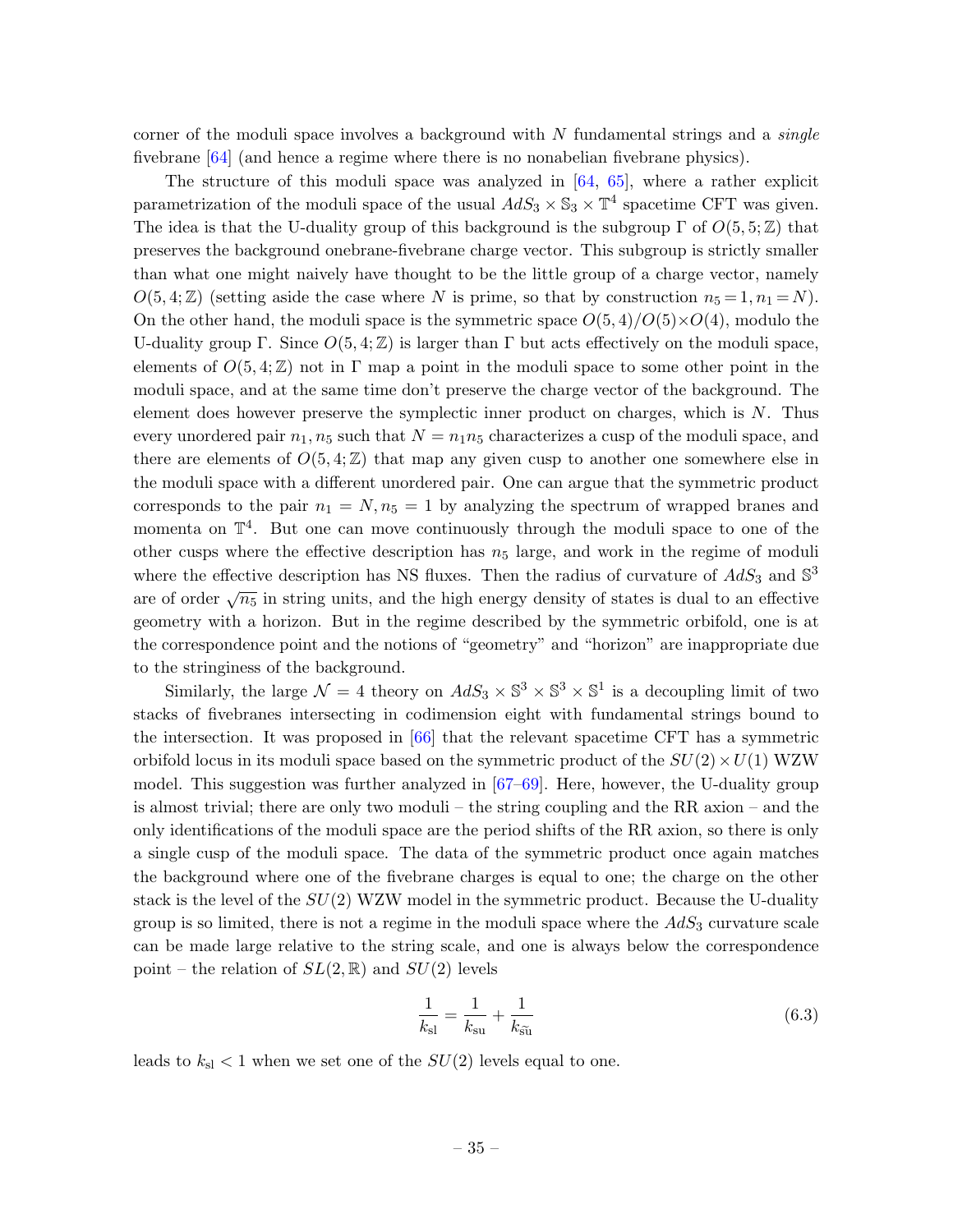corner of the moduli space involves a background with  $N$  fundamental strings and a *single* fivebrane [\[64\]](#page-49-2) (and hence a regime where there is no nonabelian fivebrane physics).

The structure of this moduli space was analyzed in  $[64, 65]$  $[64, 65]$ , where a rather explicit parametrization of the moduli space of the usual  $AdS_3 \times \mathbb{S}_3 \times \mathbb{T}^4$  spacetime CFT was given. The idea is that the U-duality group of this background is the subgroup  $\Gamma$  of  $O(5, 5; \mathbb{Z})$  that preserves the background onebrane-fivebrane charge vector. This subgroup is strictly smaller than what one might naively have thought to be the little group of a charge vector, namely  $O(5, 4; \mathbb{Z})$  (setting aside the case where N is prime, so that by construction  $n_5 = 1, n_1 = N$ ). On the other hand, the moduli space is the symmetric space  $O(5,4)/O(5)\times O(4)$ , modulo the U-duality group Γ. Since  $O(5, 4; \mathbb{Z})$  is larger than Γ but acts effectively on the moduli space, elements of  $O(5, 4; \mathbb{Z})$  not in  $\Gamma$  map a point in the moduli space to some other point in the moduli space, and at the same time don't preserve the charge vector of the background. The element does however preserve the symplectic inner product on charges, which is  $N$ . Thus every unordered pair  $n_1, n_5$  such that  $N = n_1 n_5$  characterizes a cusp of the moduli space, and there are elements of  $O(5, 4; \mathbb{Z})$  that map any given cusp to another one somewhere else in the moduli space with a different unordered pair. One can argue that the symmetric product corresponds to the pair  $n_1 = N$ ,  $n_5 = 1$  by analyzing the spectrum of wrapped branes and momenta on  $\mathbb{T}^4$ . But one can move continuously through the moduli space to one of the other cusps where the effective description has  $n<sub>5</sub>$  large, and work in the regime of moduli where the effective description has NS fluxes. Then the radius of curvature of  $AdS_3$  and  $\mathbb{S}^3$ are of order  $\sqrt{n_5}$  in string units, and the high energy density of states is dual to an effective geometry with a horizon. But in the regime described by the symmetric orbifold, one is at the correspondence point and the notions of "geometry" and "horizon" are inappropriate due to the stringiness of the background.

Similarly, the large  $\mathcal{N}=4$  theory on  $AdS_3 \times \mathbb{S}^3 \times \mathbb{S}^3 \times \mathbb{S}^1$  is a decoupling limit of two stacks of fivebranes intersecting in codimension eight with fundamental strings bound to the intersection. It was proposed in  $[66]$  that the relevant spacetime CFT has a symmetric orbifold locus in its moduli space based on the symmetric product of the  $SU(2) \times U(1)$  WZW model. This suggestion was further analyzed in  $[67–69]$  $[67–69]$ . Here, however, the U-duality group is almost trivial; there are only two moduli – the string coupling and the RR axion – and the only identifications of the moduli space are the period shifts of the RR axion, so there is only a single cusp of the moduli space. The data of the symmetric product once again matches the background where one of the fivebrane charges is equal to one; the charge on the other stack is the level of the  $SU(2)$  WZW model in the symmetric product. Because the U-duality group is so limited, there is not a regime in the moduli space where the  $AdS_3$  curvature scale can be made large relative to the string scale, and one is always below the correspondence point – the relation of  $SL(2,\mathbb{R})$  and  $SU(2)$  levels

$$
\frac{1}{k_{\rm sl}} = \frac{1}{k_{\rm su}} + \frac{1}{k_{\rm \tilde{su}}} \tag{6.3}
$$

leads to  $k_{\rm sl} < 1$  when we set one of the  $SU(2)$  levels equal to one.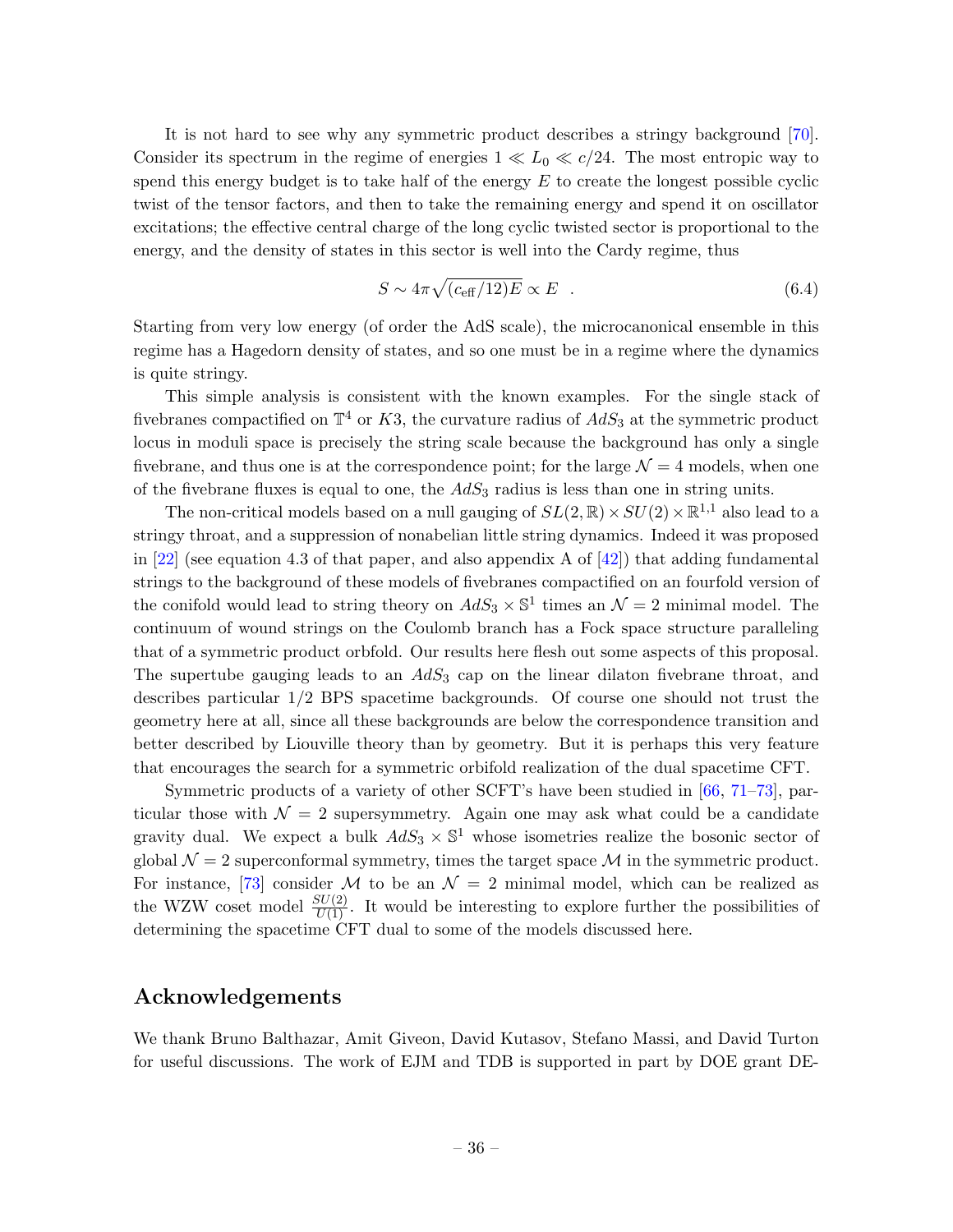It is not hard to see why any symmetric product describes a stringy background [\[70\]](#page-49-7). Consider its spectrum in the regime of energies  $1 \ll L_0 \ll c/24$ . The most entropic way to spend this energy budget is to take half of the energy  $E$  to create the longest possible cyclic twist of the tensor factors, and then to take the remaining energy and spend it on oscillator excitations; the effective central charge of the long cyclic twisted sector is proportional to the energy, and the density of states in this sector is well into the Cardy regime, thus

$$
S \sim 4\pi \sqrt{(c_{\text{eff}}/12)E} \propto E \quad . \tag{6.4}
$$

Starting from very low energy (of order the AdS scale), the microcanonical ensemble in this regime has a Hagedorn density of states, and so one must be in a regime where the dynamics is quite stringy.

This simple analysis is consistent with the known examples. For the single stack of fivebranes compactified on  $\mathbb{T}^4$  or K3, the curvature radius of  $AdS_3$  at the symmetric product locus in moduli space is precisely the string scale because the background has only a single fivebrane, and thus one is at the correspondence point; for the large  $\mathcal{N} = 4$  models, when one of the fivebrane fluxes is equal to one, the  $AdS_3$  radius is less than one in string units.

The non-critical models based on a null gauging of  $SL(2,\mathbb{R}) \times SU(2) \times \mathbb{R}^{1,1}$  also lead to a stringy throat, and a suppression of nonabelian little string dynamics. Indeed it was proposed in  $[22]$  (see equation 4.3 of that paper, and also appendix A of  $[42]$ ) that adding fundamental strings to the background of these models of fivebranes compactified on an fourfold version of the conifold would lead to string theory on  $AdS_3 \times \mathbb{S}^1$  times an  $\mathcal{N}=2$  minimal model. The continuum of wound strings on the Coulomb branch has a Fock space structure paralleling that of a symmetric product orbfold. Our results here flesh out some aspects of this proposal. The supertube gauging leads to an  $AdS_3$  cap on the linear dilaton fivebrane throat, and describes particular 1/2 BPS spacetime backgrounds. Of course one should not trust the geometry here at all, since all these backgrounds are below the correspondence transition and better described by Liouville theory than by geometry. But it is perhaps this very feature that encourages the search for a symmetric orbifold realization of the dual spacetime CFT.

Symmetric products of a variety of other SCFT's have been studied in [\[66,](#page-49-4) [71–](#page-49-8)[73\]](#page-49-9), particular those with  $\mathcal{N} = 2$  supersymmetry. Again one may ask what could be a candidate gravity dual. We expect a bulk  $AdS_3 \times \mathbb{S}^1$  whose isometries realize the bosonic sector of global  $\mathcal{N}=2$  superconformal symmetry, times the target space  $\mathcal M$  in the symmetric product. For instance, [\[73\]](#page-49-9) consider M to be an  $\mathcal{N} = 2$  minimal model, which can be realized as the WZW coset model  $\frac{SU(2)}{U(1)}$ . It would be interesting to explore further the possibilities of determining the spacetime CFT dual to some of the models discussed here.

# Acknowledgements

We thank Bruno Balthazar, Amit Giveon, David Kutasov, Stefano Massi, and David Turton for useful discussions. The work of EJM and TDB is supported in part by DOE grant DE-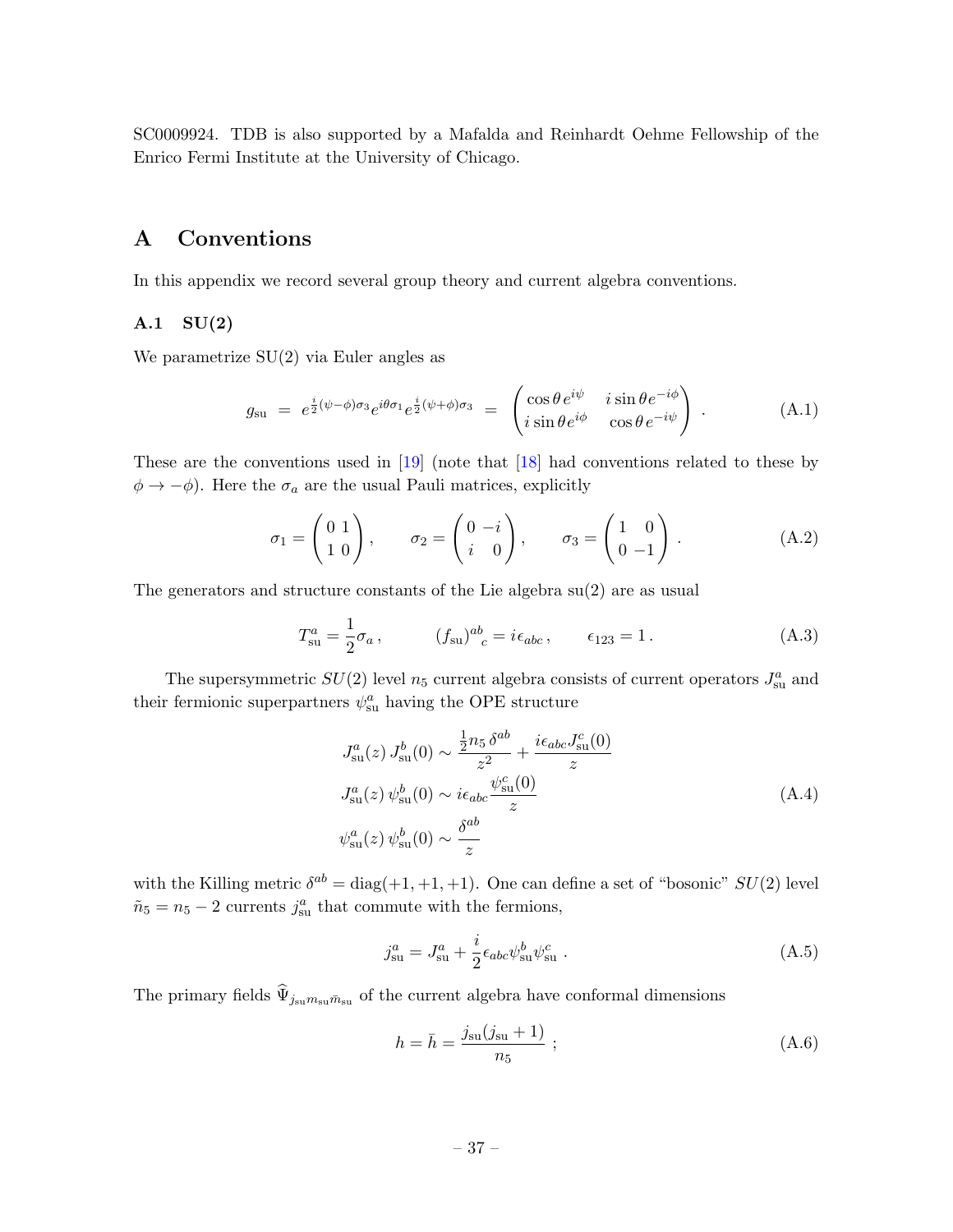SC0009924. TDB is also supported by a Mafalda and Reinhardt Oehme Fellowship of the Enrico Fermi Institute at the University of Chicago.

# <span id="page-37-0"></span>A Conventions

In this appendix we record several group theory and current algebra conventions.

### A.1 SU(2)

We parametrize SU(2) via Euler angles as

<span id="page-37-1"></span>
$$
g_{\rm su} = e^{\frac{i}{2}(\psi - \phi)\sigma_3} e^{i\theta \sigma_1} e^{\frac{i}{2}(\psi + \phi)\sigma_3} = \begin{pmatrix} \cos \theta e^{i\psi} & i \sin \theta e^{-i\phi} \\ i \sin \theta e^{i\phi} & \cos \theta e^{-i\psi} \end{pmatrix} . \tag{A.1}
$$

These are the conventions used in [\[19\]](#page-46-16) (note that [\[18\]](#page-46-13) had conventions related to these by  $\phi \rightarrow -\phi$ ). Here the  $\sigma_a$  are the usual Pauli matrices, explicitly

$$
\sigma_1 = \begin{pmatrix} 0 & 1 \\ 1 & 0 \end{pmatrix}, \qquad \sigma_2 = \begin{pmatrix} 0 & -i \\ i & 0 \end{pmatrix}, \qquad \sigma_3 = \begin{pmatrix} 1 & 0 \\ 0 & -1 \end{pmatrix}.
$$
 (A.2)

The generators and structure constants of the Lie algebra su(2) are as usual

$$
T_{\rm su}^a = \frac{1}{2}\sigma_a, \qquad (f_{\rm su})^{ab}_{\ \ c} = i\epsilon_{abc}, \qquad \epsilon_{123} = 1. \tag{A.3}
$$

The supersymmetric  $SU(2)$  level  $n_5$  current algebra consists of current operators  $J_{\rm su}^a$  and their fermionic superpartners  $\psi_{\text{su}}^a$  having the OPE structure

$$
J_{\text{su}}^{a}(z) J_{\text{su}}^{b}(0) \sim \frac{\frac{1}{2}n_{5} \delta^{ab}}{z^{2}} + \frac{i\epsilon_{abc} J_{\text{su}}^{c}(0)}{z}
$$
  

$$
J_{\text{su}}^{a}(z) \psi_{\text{su}}^{b}(0) \sim i\epsilon_{abc} \frac{\psi_{\text{su}}^{c}(0)}{z}
$$
  

$$
\psi_{\text{su}}^{a}(z) \psi_{\text{su}}^{b}(0) \sim \frac{\delta^{ab}}{z}
$$
 (A.4)

with the Killing metric  $\delta^{ab} = \text{diag}(+1, +1, +1)$ . One can define a set of "bosonic"  $SU(2)$  level  $\tilde{n}_5 = n_5 - 2$  currents  $j_{\rm su}^a$  that commute with the fermions,

$$
j_{\rm su}^a = J_{\rm su}^a + \frac{i}{2} \epsilon_{abc} \psi_{\rm su}^b \psi_{\rm su}^c \,. \tag{A.5}
$$

The primary fields  $\hat{\Psi}_{j_{\rm su}m_{\rm su}\bar{m}_{\rm su}}$  of the current algebra have conformal dimensions

$$
h = \bar{h} = \frac{j_{\rm su}(j_{\rm su} + 1)}{n_5} ; \tag{A.6}
$$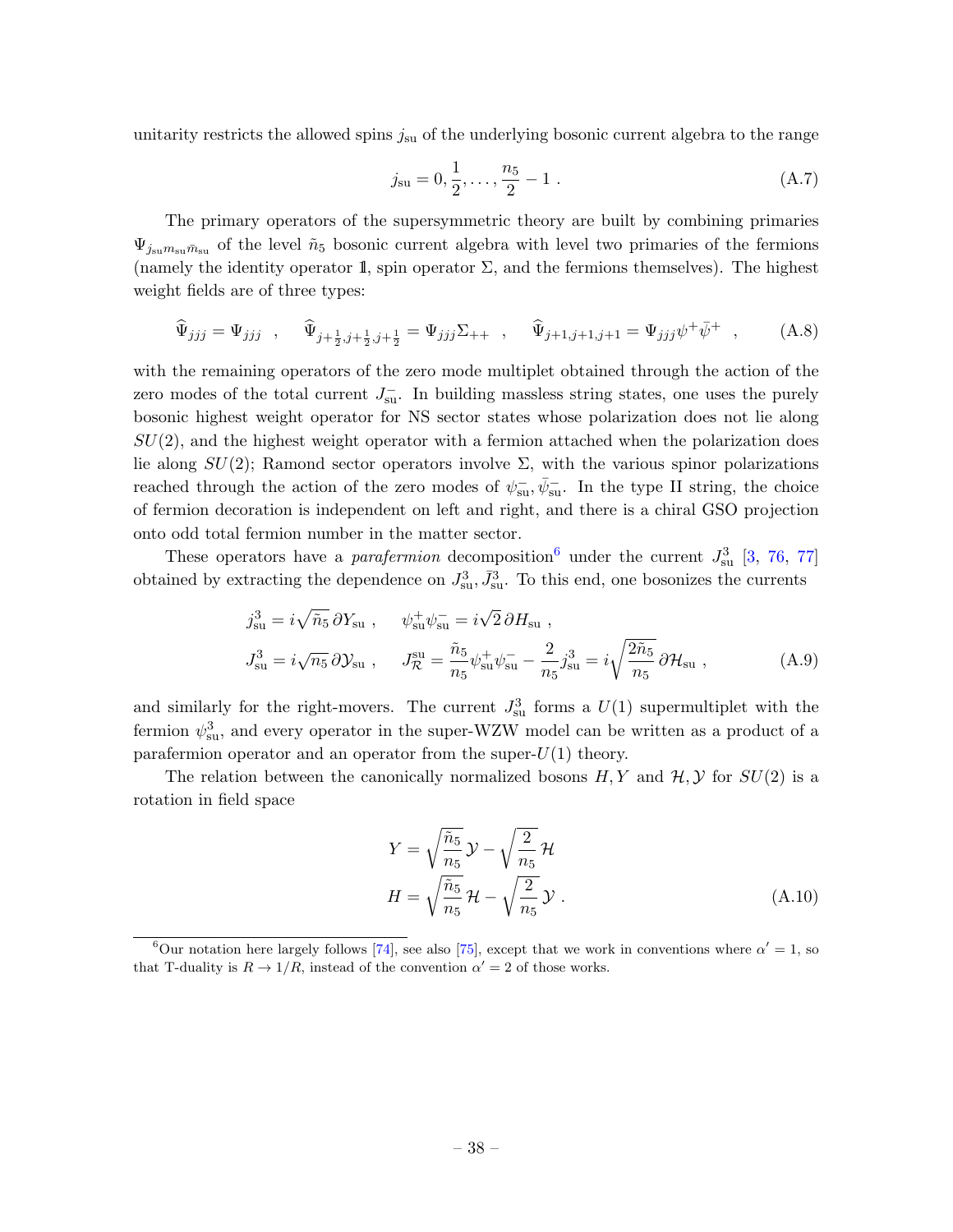unitarity restricts the allowed spins  $j_{\rm su}$  of the underlying bosonic current algebra to the range

$$
j_{\rm su} = 0, \frac{1}{2}, \dots, \frac{n_5}{2} - 1
$$
 (A.7)

The primary operators of the supersymmetric theory are built by combining primaries  $\Psi_{j_{\text{su}}m_{\text{su}}\bar{m}_{\text{su}}}$  of the level  $\tilde{n}_5$  bosonic current algebra with level two primaries of the fermions (namely the identity operator 1, spin operator  $\Sigma$ , and the fermions themselves). The highest weight fields are of three types:

$$
\widehat{\Psi}_{jjj} = \Psi_{jjj} \quad , \quad \widehat{\Psi}_{j+\frac{1}{2},j+\frac{1}{2},j+\frac{1}{2}} = \Psi_{jjj} \Sigma_{++} \quad , \quad \widehat{\Psi}_{j+1,j+1,j+1} = \Psi_{jjj} \psi^{+} \bar{\psi}^{+} \quad , \tag{A.8}
$$

with the remaining operators of the zero mode multiplet obtained through the action of the zero modes of the total current  $J_{\rm su}^-$ . In building massless string states, one uses the purely bosonic highest weight operator for NS sector states whose polarization does not lie along  $SU(2)$ , and the highest weight operator with a fermion attached when the polarization does lie along  $SU(2)$ ; Ramond sector operators involve  $\Sigma$ , with the various spinor polarizations reached through the action of the zero modes of  $\psi_{su}^-$ ,  $\bar{\psi}_{su}^-$ . In the type II string, the choice of fermion decoration is independent on left and right, and there is a chiral GSO projection onto odd total fermion number in the matter sector.

These operators have a *parafermion* decomposition<sup>[6](#page-38-0)</sup> under the current  $J_{su}^3$  [\[3,](#page-46-3) [76,](#page-49-10) [77\]](#page-49-11) obtained by extracting the dependence on  $J_{\rm su}^3$ ,  $\bar{J}_{\rm su}^3$ . To this end, one bosonizes the currents

$$
j_{\rm su}^3 = i\sqrt{\tilde{n}_5} \,\partial Y_{\rm su} , \qquad \psi_{\rm su}^+ \psi_{\rm su}^- = i\sqrt{2} \,\partial H_{\rm su} ,
$$
  

$$
J_{\rm su}^3 = i\sqrt{n_5} \,\partial \mathcal{Y}_{\rm su} , \qquad J_{\mathcal{R}}^{\rm su} = \frac{\tilde{n}_5}{n_5} \psi_{\rm su}^+ \psi_{\rm su}^- - \frac{2}{n_5} j_{\rm su}^3 = i\sqrt{\frac{2\tilde{n}_5}{n_5}} \,\partial \mathcal{H}_{\rm su} ,
$$
 (A.9)

and similarly for the right-movers. The current  $J_{\rm su}^3$  forms a  $U(1)$  supermultiplet with the fermion  $\psi_{\rm su}^3$ , and every operator in the super-WZW model can be written as a product of a parafermion operator and an operator from the super- $U(1)$  theory.

The relation between the canonically normalized bosons  $H, Y$  and  $H, Y$  for  $SU(2)$  is a rotation in field space

$$
Y = \sqrt{\frac{\tilde{n}_5}{n_5}} \mathcal{Y} - \sqrt{\frac{2}{n_5}} \mathcal{H}
$$

$$
H = \sqrt{\frac{\tilde{n}_5}{n_5}} \mathcal{H} - \sqrt{\frac{2}{n_5}} \mathcal{Y}.
$$
(A.10)

<span id="page-38-0"></span><sup>&</sup>lt;sup>6</sup>Our notation here largely follows [\[74\]](#page-49-12), see also [\[75\]](#page-49-13), except that we work in conventions where  $\alpha' = 1$ , so that T-duality is  $R \to 1/R$ , instead of the convention  $\alpha' = 2$  of those works.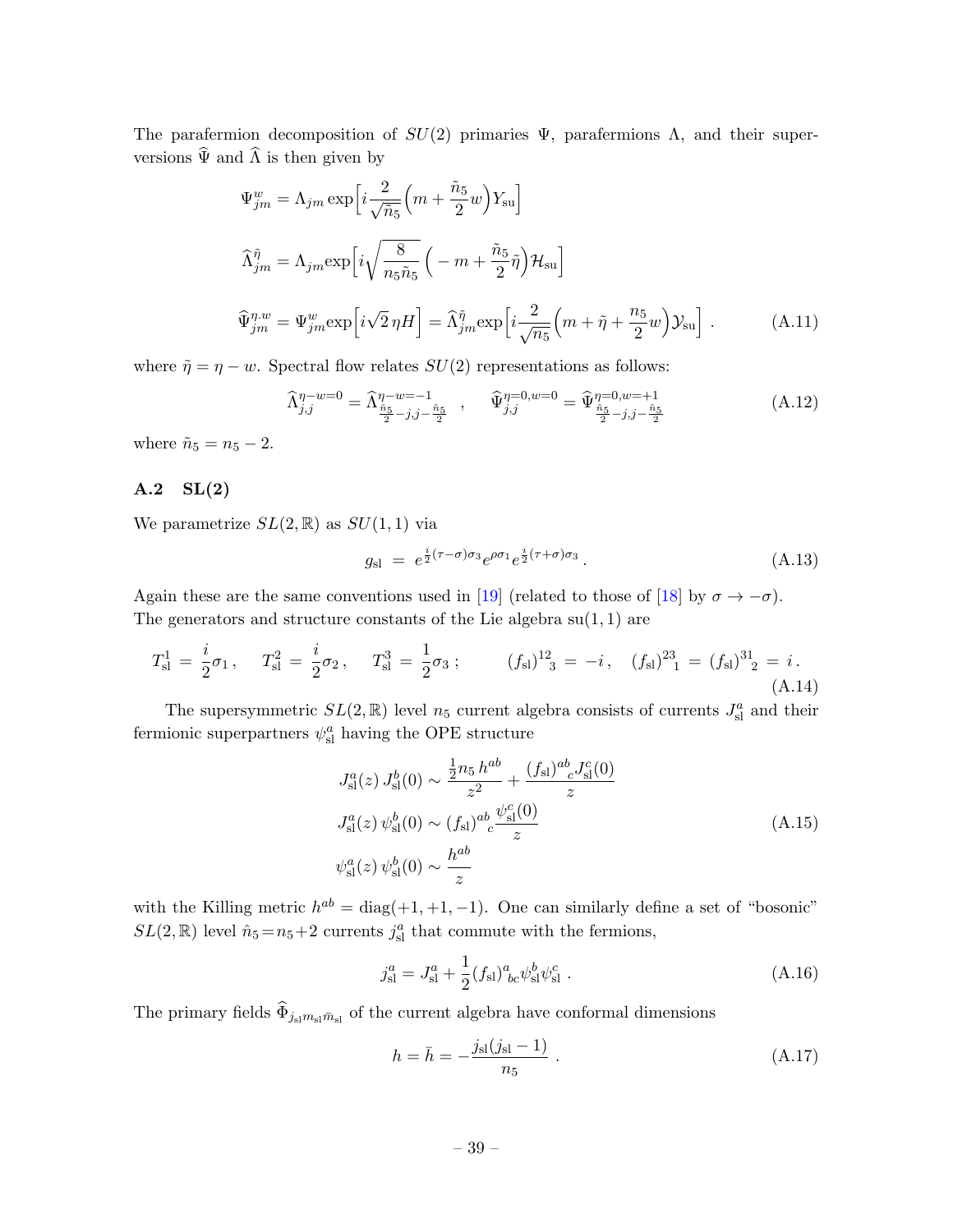The parafermion decomposition of  $SU(2)$  primaries  $\Psi$ , parafermions  $\Lambda$ , and their superversions  $\widehat{\Psi}$  and  $\widehat{\Lambda}$  is then given by

$$
\Psi_{jm}^{w} = \Lambda_{jm} \exp\left[i\frac{2}{\sqrt{\tilde{n}_{5}}} \left(m + \frac{\tilde{n}_{5}}{2}w\right)Y_{su}\right]
$$

$$
\widehat{\Lambda}_{jm}^{\tilde{\eta}} = \Lambda_{jm} \exp\left[i\sqrt{\frac{8}{n_{5}\tilde{n}_{5}}} \left(-m + \frac{\tilde{n}_{5}}{2}\tilde{\eta}\right) \mathcal{H}_{su}\right]
$$

$$
\widehat{\Psi}_{jm}^{\eta,w} = \Psi_{jm}^{w} \exp\left[i\sqrt{2}\eta H\right] = \widehat{\Lambda}_{jm}^{\tilde{\eta}} \exp\left[i\frac{2}{\sqrt{n_{5}}} \left(m + \tilde{\eta} + \frac{n_{5}}{2}w\right) \mathcal{Y}_{su}\right].
$$
 (A.11)

where  $\tilde{\eta} = \eta - w$ . Spectral flow relates  $SU(2)$  representations as follows:

$$
\widehat{\Lambda}_{j,j}^{\eta-w=0} = \widehat{\Lambda}_{\frac{\tilde{n}_5}{2}-j,j-\frac{\tilde{n}_5}{2}}^{\eta-w=-1}, \qquad \widehat{\Psi}_{j,j}^{\eta=0,w=0} = \widehat{\Psi}_{\frac{\tilde{n}_5}{2}-j,j-\frac{\tilde{n}_5}{2}}^{\eta=0,w=+1}
$$
\n(A.12)

where  $\tilde{n}_5 = n_5 - 2$ .

### A.2 SL(2)

We parametrize  $SL(2,\mathbb{R})$  as  $SU(1,1)$  via

$$
g_{\rm sl} = e^{\frac{i}{2}(\tau-\sigma)\sigma_3} e^{\rho\sigma_1} e^{\frac{i}{2}(\tau+\sigma)\sigma_3} \,. \tag{A.13}
$$

Again these are the same conventions used in [\[19\]](#page-46-16) (related to those of [\[18\]](#page-46-13) by  $\sigma \to -\sigma$ ). The generators and structure constants of the Lie algebra  $su(1, 1)$  are

$$
T_{\rm sl}^1 = \frac{i}{2}\sigma_1, \quad T_{\rm sl}^2 = \frac{i}{2}\sigma_2, \quad T_{\rm sl}^3 = \frac{1}{2}\sigma_3 \, ; \qquad (f_{\rm sl})^{12}_{3} = -i, \quad (f_{\rm sl})^{23}_{1} = (f_{\rm sl})^{31}_{2} = i. \tag{A.14}
$$

The supersymmetric  $SL(2,\mathbb{R})$  level  $n_5$  current algebra consists of currents  $J_{\rm sl}^a$  and their fermionic superpartners  $\psi^a_{\rm sl}$  having the OPE structure

$$
J_{\rm sl}^{a}(z) J_{\rm sl}^{b}(0) \sim \frac{\frac{1}{2}n_{5}h^{ab}}{z^{2}} + \frac{(f_{\rm sl})^{ab}{}_{c}J_{\rm sl}^{c}(0)}{z}
$$
  

$$
J_{\rm sl}^{a}(z) \psi_{\rm sl}^{b}(0) \sim (f_{\rm sl})^{ab}{}_{c} \frac{\psi_{\rm sl}^{c}(0)}{z}
$$
  

$$
\psi_{\rm sl}^{a}(z) \psi_{\rm sl}^{b}(0) \sim \frac{h^{ab}}{z}
$$
 (A.15)

with the Killing metric  $h^{ab} = \text{diag}(+1, +1, -1)$ . One can similarly define a set of "bosonic"  $SL(2,\mathbb{R})$  level  $\hat{n}_5 = n_5 + 2$  currents  $j_{\rm sl}^a$  that commute with the fermions,

$$
j_{\rm sl}^a = J_{\rm sl}^a + \frac{1}{2} (f_{\rm sl})^a_{\ bc} \psi_{\rm sl}^b \psi_{\rm sl}^c \ . \tag{A.16}
$$

The primary fields  $\widehat{\Phi}_{j_{\rm sl} m_{\rm sl} \bar m_{\rm sl}}$  of the current algebra have conformal dimensions

$$
h = \bar{h} = -\frac{j_{\rm sl}(j_{\rm sl} - 1)}{n_5} \ . \tag{A.17}
$$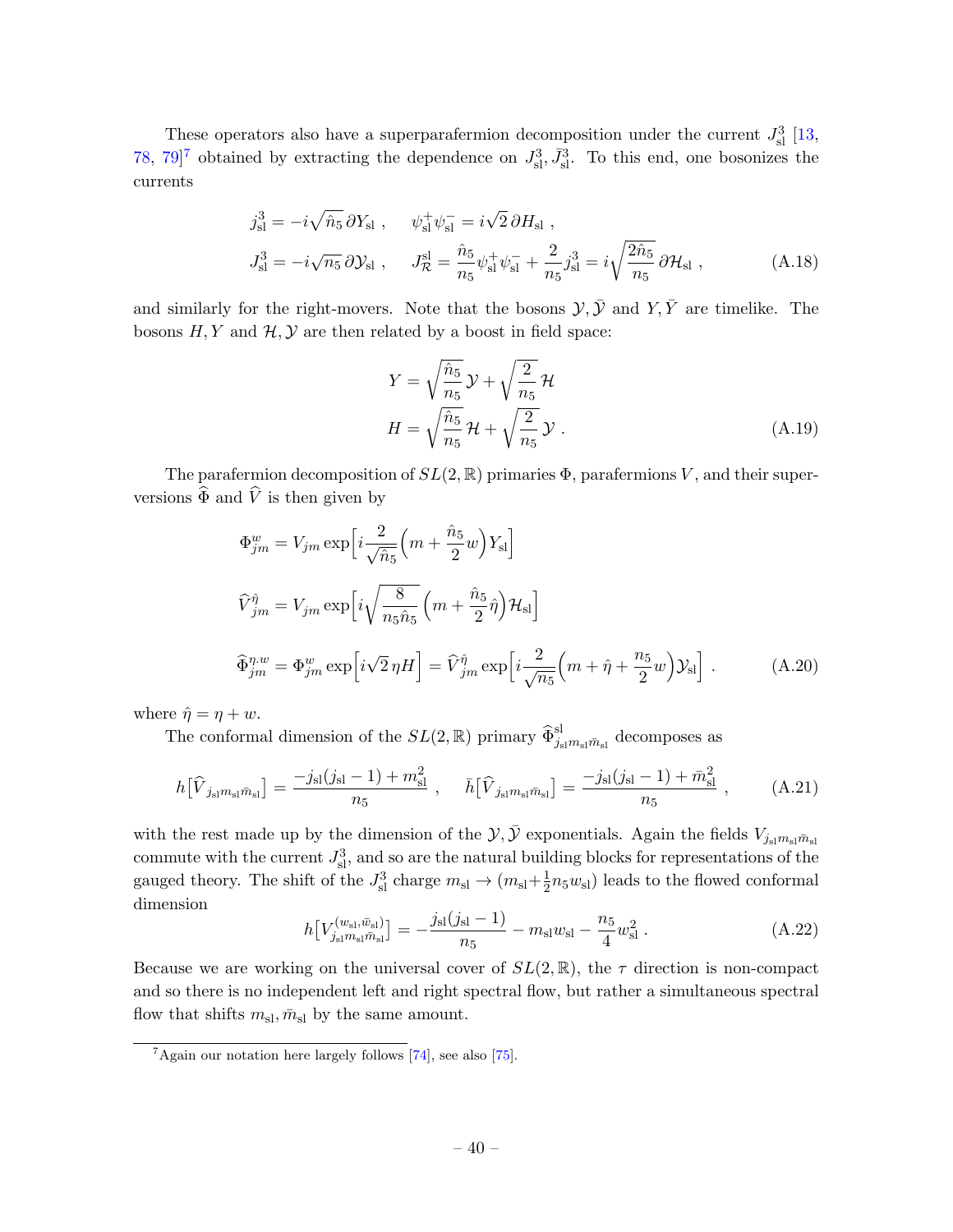These operators also have a superparafermion decomposition under the current  $J_{\rm sl}^3$  [\[13,](#page-46-10) [78,](#page-49-14) [7](#page-40-0)9<sup> $]$ 7</sup> obtained by extracting the dependence on  $J_{\rm sl}^3$ ,  $\bar{J}_{\rm sl}^3$ . To this end, one bosonizes the currents

$$
j_{\rm sl}^{3} = -i\sqrt{\hat{n}_{5}} \,\partial Y_{\rm sl} \ , \qquad \psi_{\rm sl}^{+} \psi_{\rm sl}^{-} = i\sqrt{2} \,\partial H_{\rm sl} \ ,
$$
  

$$
J_{\rm sl}^{3} = -i\sqrt{n_{5}} \,\partial Y_{\rm sl} \ , \qquad J_{\mathcal{R}}^{sl} = \frac{\hat{n}_{5}}{n_{5}} \psi_{\rm sl}^{+} \psi_{\rm sl}^{-} + \frac{2}{n_{5}} j_{\rm sl}^{3} = i\sqrt{\frac{2\hat{n}_{5}}{n_{5}}} \,\partial \mathcal{H}_{\rm sl} \ , \tag{A.18}
$$

and similarly for the right-movers. Note that the bosons  $\mathcal{Y}, \bar{\mathcal{Y}}$  and  $Y, \bar{Y}$  are timelike. The bosons  $H, Y$  and  $H, Y$  are then related by a boost in field space:

$$
Y = \sqrt{\frac{\hat{n}_5}{n_5}} \mathcal{Y} + \sqrt{\frac{2}{n_5}} \mathcal{H}
$$
  

$$
H = \sqrt{\frac{\hat{n}_5}{n_5}} \mathcal{H} + \sqrt{\frac{2}{n_5}} \mathcal{Y}.
$$
 (A.19)

The parafermion decomposition of  $SL(2,\mathbb{R})$  primaries  $\Phi$ , parafermions V, and their superversions  $\widehat{\Phi}$  and  $\widehat{V}$  is then given by

$$
\Phi_{jm}^{w} = V_{jm} \exp\left[i\frac{2}{\sqrt{\hat{n}_{5}}} \left(m + \frac{\hat{n}_{5}}{2}w\right)Y_{sl}\right]
$$
  

$$
\widehat{V}_{jm}^{\hat{\eta}} = V_{jm} \exp\left[i\sqrt{\frac{8}{n_{5}\hat{n}_{5}}} \left(m + \frac{\hat{n}_{5}}{2}\hat{\eta}\right) \mathcal{H}_{sl}\right]
$$
  

$$
\widehat{\Phi}_{jm}^{\eta,w} = \Phi_{jm}^{w} \exp\left[i\sqrt{2}\eta H\right] = \widehat{V}_{jm}^{\hat{\eta}} \exp\left[i\frac{2}{\sqrt{n_{5}}} \left(m + \hat{\eta} + \frac{n_{5}}{2}w\right) \mathcal{Y}_{sl}\right].
$$
 (A.20)

where  $\hat{\eta} = \eta + w$ .

The conformal dimension of the  $SL(2,\mathbb{R})$  primary  $\widehat{\Phi}_{j_{\rm sl}m_{\rm sl}}^{\rm sl}$  decomposes as

$$
h[\hat{V}_{j_{\rm sl}m_{\rm sl}\bar{m}_{\rm sl}}] = \frac{-j_{\rm sl}(j_{\rm sl}-1) + m_{\rm sl}^2}{n_5} , \quad \bar{h}[\hat{V}_{j_{\rm sl}m_{\rm sl}\bar{m}_{\rm sl}}] = \frac{-j_{\rm sl}(j_{\rm sl}-1) + \bar{m}_{\rm sl}^2}{n_5} , \quad (A.21)
$$

with the rest made up by the dimension of the  $\mathcal{Y}, \bar{\mathcal{Y}}$  exponentials. Again the fields  $V_{j_{sl}m_{sl}\bar{m}_{sl}}$ commute with the current  $J_{\rm sl}^3$ , and so are the natural building blocks for representations of the gauged theory. The shift of the  $J_{\rm sl}^3$  charge  $m_{\rm sl} \rightarrow (m_{\rm sl} + \frac{1}{2})$  $\frac{1}{2}n_5w_{\rm sl}$ ) leads to the flowed conformal dimension

$$
h[V_{j_{\rm sl}}^{(w_{\rm sl}, \bar{w}_{\rm sl})}] = -\frac{j_{\rm sl}(j_{\rm sl}-1)}{n_5} - m_{\rm sl}w_{\rm sl} - \frac{n_5}{4}w_{\rm sl}^2.
$$
 (A.22)

Because we are working on the universal cover of  $SL(2,\mathbb{R})$ , the  $\tau$  direction is non-compact and so there is no independent left and right spectral flow, but rather a simultaneous spectral flow that shifts  $m_{\rm sl}, \bar{m}_{\rm sl}$  by the same amount.

<span id="page-40-0"></span> $7$ Again our notation here largely follows [\[74\]](#page-49-12), see also [\[75\]](#page-49-13).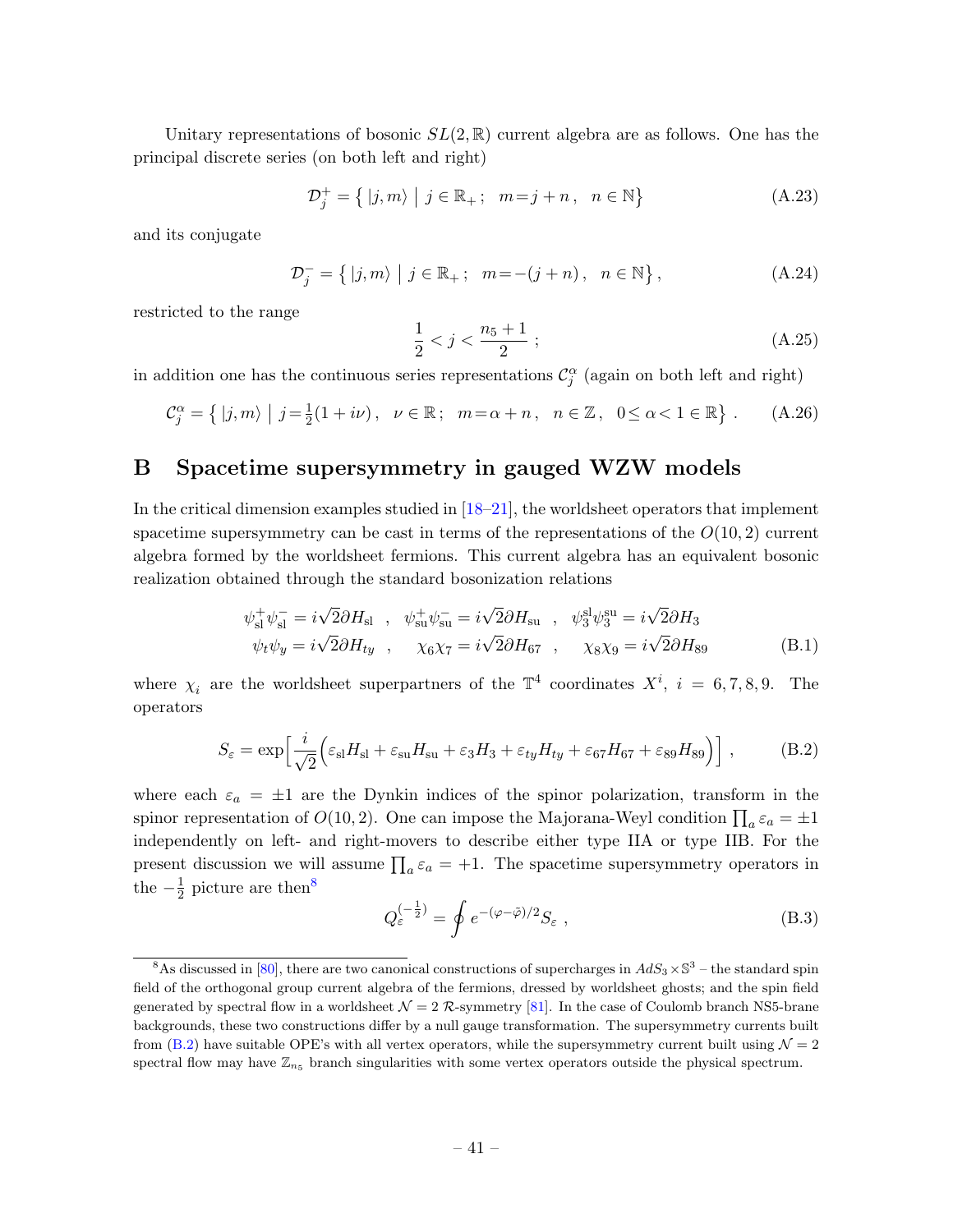Unitary representations of bosonic  $SL(2,\mathbb{R})$  current algebra are as follows. One has the principal discrete series (on both left and right)

$$
\mathcal{D}_j^+ = \{ |j,m\rangle \mid j \in \mathbb{R}_+; \quad m = j + n, \quad n \in \mathbb{N} \}
$$
\n(A.23)

and its conjugate

$$
\mathcal{D}_j^- = \{ |j, m\rangle \mid j \in \mathbb{R}_+; \ \ m = -(j + n), \ n \in \mathbb{N} \}, \tag{A.24}
$$

restricted to the range

$$
\frac{1}{2} < j < \frac{n_5 + 1}{2} \tag{A.25}
$$

in addition one has the continuous series representations  $\mathcal{C}^{\alpha}_{j}$  (again on both left and right)

$$
\mathcal{C}_j^{\alpha} = \{ |j, m\rangle \mid j = \frac{1}{2}(1 + i\nu), \quad \nu \in \mathbb{R}; \quad m = \alpha + n, \quad n \in \mathbb{Z}, \quad 0 \le \alpha < 1 \in \mathbb{R} \} \tag{A.26}
$$

# <span id="page-41-0"></span>B Spacetime supersymmetry in gauged WZW models

In the critical dimension examples studied in [\[18–](#page-46-13)[21\]](#page-47-0), the worldsheet operators that implement spacetime supersymmetry can be cast in terms of the representations of the  $O(10, 2)$  current algebra formed by the worldsheet fermions. This current algebra has an equivalent bosonic realization obtained through the standard bosonization relations

$$
\psi_{\rm sl}^+ \psi_{\rm sl}^- = i\sqrt{2}\partial H_{\rm sl} \ , \quad \psi_{\rm su}^+ \psi_{\rm su}^- = i\sqrt{2}\partial H_{\rm su} \ , \quad \psi_3^{\rm sl} \psi_3^{\rm su} = i\sqrt{2}\partial H_3
$$
  

$$
\psi_t \psi_y = i\sqrt{2}\partial H_{t y} \ , \quad \chi_6 \chi_7 = i\sqrt{2}\partial H_{67} \ , \quad \chi_8 \chi_9 = i\sqrt{2}\partial H_{89}
$$
 (B.1)

where  $\chi_i$  are the worldsheet superpartners of the  $\mathbb{T}^4$  coordinates  $X^i$ ,  $i = 6, 7, 8, 9$ . The operators

<span id="page-41-2"></span>
$$
S_{\varepsilon} = \exp\left[\frac{i}{\sqrt{2}}\Big(\varepsilon_{\rm sl}H_{\rm sl} + \varepsilon_{\rm su}H_{\rm su} + \varepsilon_3H_3 + \varepsilon_{ty}H_{ty} + \varepsilon_{67}H_{67} + \varepsilon_{89}H_{89}\Big)\right],\tag{B.2}
$$

where each  $\varepsilon_a = \pm 1$  are the Dynkin indices of the spinor polarization, transform in the spinor representation of  $O(10, 2)$ . One can impose the Majorana-Weyl condition  $\prod_a \varepsilon_a = \pm 1$ independently on left- and right-movers to describe either type IIA or type IIB. For the present discussion we will assume  $\prod_a \varepsilon_a = +1$ . The spacetime supersymmetry operators in the  $-\frac{1}{2}$  $\frac{1}{2}$  picture are then<sup>[8](#page-41-1)</sup>

<span id="page-41-3"></span>
$$
Q_{\varepsilon}^{(-\frac{1}{2})} = \oint e^{-(\varphi - \tilde{\varphi})/2} S_{\varepsilon} , \qquad (B.3)
$$

<span id="page-41-1"></span><sup>&</sup>lt;sup>8</sup>As discussed in [\[80\]](#page-50-0), there are two canonical constructions of supercharges in  $AdS_3 \times \mathbb{S}^3$  – the standard spin field of the orthogonal group current algebra of the fermions, dressed by worldsheet ghosts; and the spin field generated by spectral flow in a worldsheet  $\mathcal{N} = 2 \mathcal{R}$ -symmetry [\[81\]](#page-50-1). In the case of Coulomb branch NS5-brane backgrounds, these two constructions differ by a null gauge transformation. The supersymmetry currents built from [\(B.2\)](#page-41-2) have suitable OPE's with all vertex operators, while the supersymmetry current built using  $\mathcal{N} = 2$ spectral flow may have  $\mathbb{Z}_{n_5}$  branch singularities with some vertex operators outside the physical spectrum.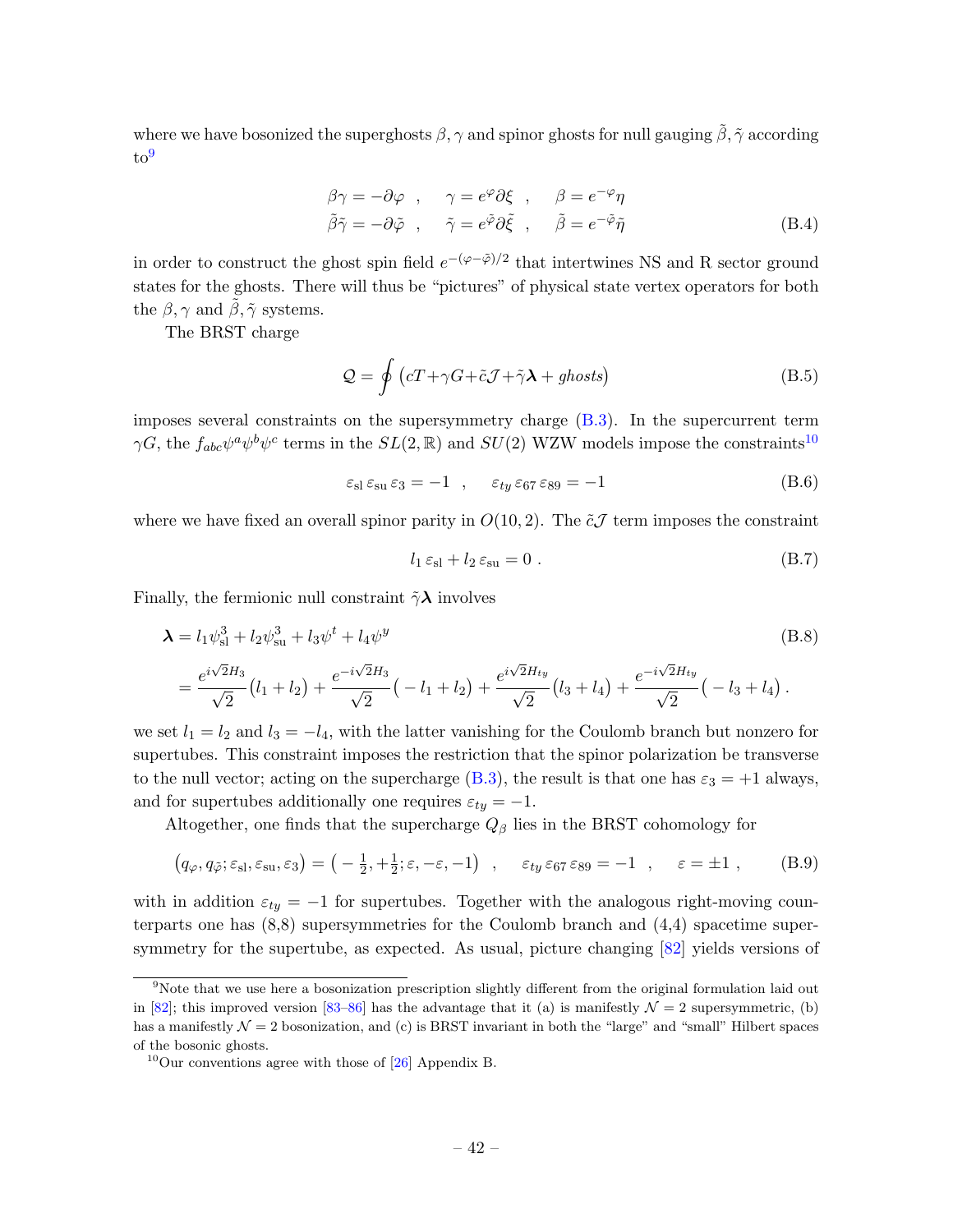where we have bosonized the superghosts  $\beta$ ,  $\gamma$  and spinor ghosts for null gauging  $\tilde{\beta}$ ,  $\tilde{\gamma}$  according to[9](#page-42-0)

$$
\beta \gamma = -\partial \varphi \ , \quad \gamma = e^{\varphi} \partial \xi \ , \quad \beta = e^{-\varphi} \eta
$$
  

$$
\tilde{\beta} \tilde{\gamma} = -\partial \tilde{\varphi} \ , \quad \tilde{\gamma} = e^{\tilde{\varphi}} \partial \tilde{\xi} \ , \quad \tilde{\beta} = e^{-\tilde{\varphi}} \tilde{\eta}
$$
 (B.4)

in order to construct the ghost spin field  $e^{-(\varphi-\tilde{\varphi})/2}$  that intertwines NS and R sector ground states for the ghosts. There will thus be "pictures" of physical state vertex operators for both the  $\beta$ ,  $\gamma$  and  $\beta$ ,  $\tilde{\gamma}$  systems.

The BRST charge

$$
\mathcal{Q} = \oint \left( cT + \gamma G + \tilde{c}\mathcal{J} + \tilde{\gamma}\lambda + ghosts \right) \tag{B.5}
$$

imposes several constraints on the supersymmetry charge [\(B.3\)](#page-41-3). In the supercurrent term  $\gamma G$ , the  $f_{abc}\psi^a\psi^b\psi^c$  terms in the  $SL(2,\mathbb{R})$  and  $SU(2)$  WZW models impose the constraints<sup>[10](#page-42-1)</sup>

$$
\varepsilon_{\rm sl} \varepsilon_{\rm su} \varepsilon_3 = -1 \quad , \quad \varepsilon_{ty} \varepsilon_{67} \varepsilon_{89} = -1 \tag{B.6}
$$

where we have fixed an overall spinor parity in  $O(10, 2)$ . The  $\tilde{\epsilon} \mathcal{J}$  term imposes the constraint

$$
l_1 \varepsilon_{\rm sl} + l_2 \varepsilon_{\rm su} = 0 \tag{B.7}
$$

Finally, the fermionic null constraint  $\tilde{\gamma} \lambda$  involves

$$
\mathbf{\lambda} = l_1 \psi_{\rm sl}^3 + l_2 \psi_{\rm su}^3 + l_3 \psi^t + l_4 \psi^y
$$
\n(B.8)  
\n
$$
= \frac{e^{i\sqrt{2}H_3}}{\sqrt{2}} \left( l_1 + l_2 \right) + \frac{e^{-i\sqrt{2}H_3}}{\sqrt{2}} \left( -l_1 + l_2 \right) + \frac{e^{i\sqrt{2}H_{ty}}}{\sqrt{2}} \left( l_3 + l_4 \right) + \frac{e^{-i\sqrt{2}H_{ty}}}{\sqrt{2}} \left( -l_3 + l_4 \right).
$$

we set  $l_1 = l_2$  and  $l_3 = -l_4$ , with the latter vanishing for the Coulomb branch but nonzero for supertubes. This constraint imposes the restriction that the spinor polarization be transverse to the null vector; acting on the supercharge [\(B.3\)](#page-41-3), the result is that one has  $\varepsilon_3 = +1$  always, and for supertubes additionally one requires  $\varepsilon_{ty} = -1$ .

Altogether, one finds that the supercharge  $Q_{\beta}$  lies in the BRST cohomology for

<span id="page-42-2"></span>
$$
(q_{\varphi}, q_{\tilde{\varphi}}; \varepsilon_{\rm sl}, \varepsilon_{\rm su}, \varepsilon_3) = (-\frac{1}{2}, +\frac{1}{2}; \varepsilon, -\varepsilon, -1) , \quad \varepsilon_{ty} \varepsilon_{67} \varepsilon_{89} = -1 , \quad \varepsilon = \pm 1 , \quad (B.9)
$$

with in addition  $\varepsilon_{ty} = -1$  for supertubes. Together with the analogous right-moving counterparts one has  $(8,8)$  supersymmetries for the Coulomb branch and  $(4,4)$  spacetime supersymmetry for the supertube, as expected. As usual, picture changing [\[82\]](#page-50-2) yields versions of

<span id="page-42-0"></span><sup>9</sup>Note that we use here a bosonization prescription slightly different from the original formulation laid out in [\[82\]](#page-50-2); this improved version [\[83–](#page-50-3)[86\]](#page-50-4) has the advantage that it (a) is manifestly  $\mathcal{N}=2$  supersymmetric, (b) has a manifestly  $\mathcal{N} = 2$  bosonization, and (c) is BRST invariant in both the "large" and "small" Hilbert spaces of the bosonic ghosts.

<span id="page-42-1"></span> $10$ Our conventions agree with those of [\[26\]](#page-47-3) Appendix B.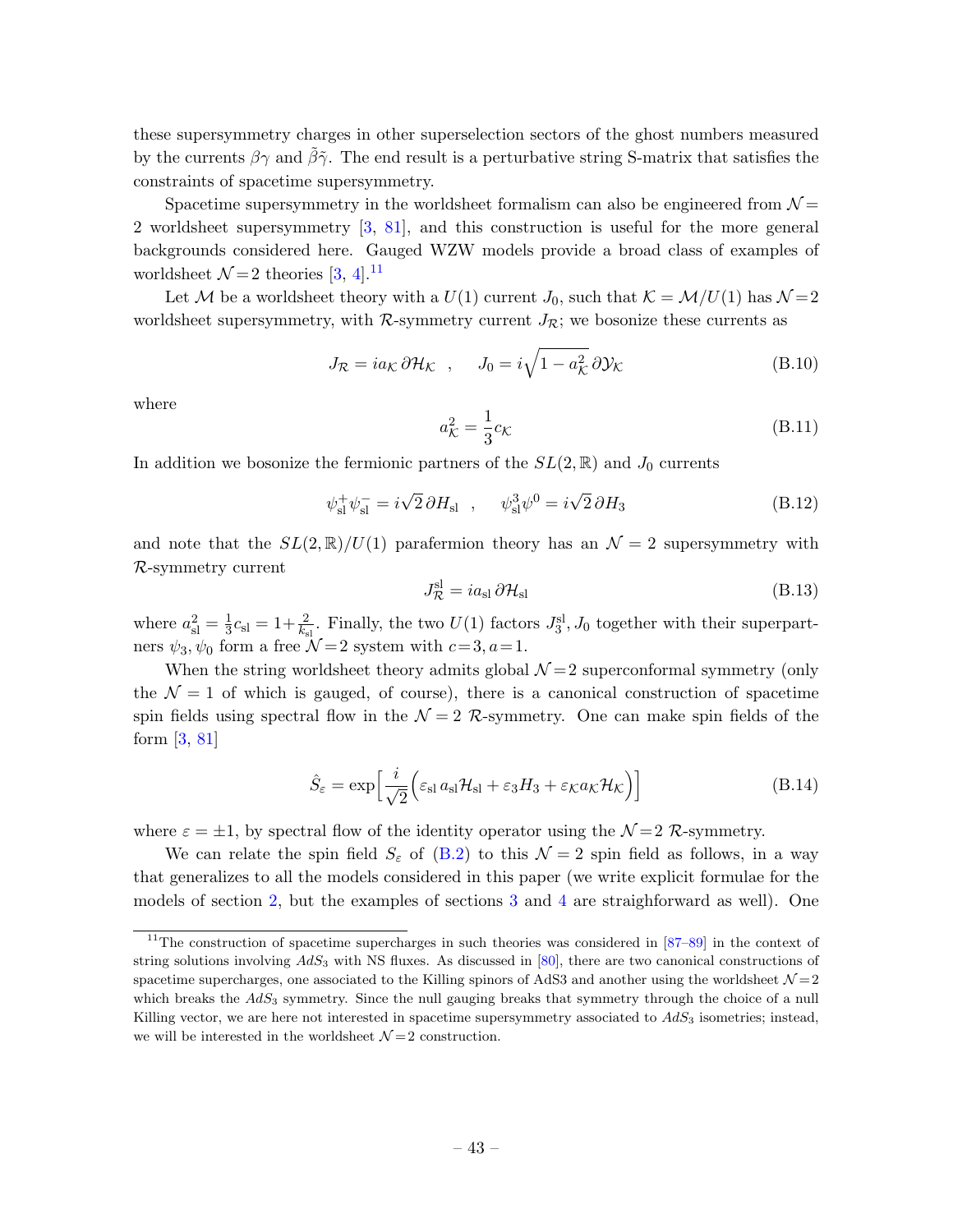these supersymmetry charges in other superselection sectors of the ghost numbers measured by the currents  $\beta\gamma$  and  $\tilde{\beta}\tilde{\gamma}$ . The end result is a perturbative string S-matrix that satisfies the constraints of spacetime supersymmetry.

Spacetime supersymmetry in the worldsheet formalism can also be engineered from  $\mathcal{N} =$ 2 worldsheet supersymmetry [\[3,](#page-46-3) [81\]](#page-50-1), and this construction is useful for the more general backgrounds considered here. Gauged WZW models provide a broad class of examples of worldsheet  $\mathcal{N}=2$  theories [\[3,](#page-46-3) [4\]](#page-46-2).<sup>[11](#page-43-0)</sup>

Let M be a worldsheet theory with a  $U(1)$  current  $J_0$ , such that  $\mathcal{K} = \mathcal{M}/U(1)$  has  $\mathcal{N} = 2$ worldsheet supersymmetry, with  $\mathcal{R}$ -symmetry current  $J_{\mathcal{R}}$ ; we bosonize these currents as

$$
J_{\mathcal{R}} = i a_{\mathcal{K}} \, \partial \mathcal{H}_{\mathcal{K}} \quad , \qquad J_0 = i \sqrt{1 - a_{\mathcal{K}}^2} \, \partial \mathcal{Y}_{\mathcal{K}} \tag{B.10}
$$

where

$$
a_{\mathcal{K}}^2 = \frac{1}{3}c_{\mathcal{K}}
$$
 (B.11)

In addition we bosonize the fermionic partners of the  $SL(2,\mathbb{R})$  and  $J_0$  currents

$$
\psi_{\rm sl}^+ \psi_{\rm sl}^- = i\sqrt{2} \,\partial H_{\rm sl} \quad , \quad \psi_{\rm sl}^3 \psi^0 = i\sqrt{2} \,\partial H_3 \tag{B.12}
$$

and note that the  $SL(2,\mathbb{R})/U(1)$  parafermion theory has an  $\mathcal{N}=2$  supersymmetry with R-symmetry current

$$
J_{\mathcal{R}}^{\rm sl} = i a_{\rm sl} \, \partial \mathcal{H}_{\rm sl} \tag{B.13}
$$

where  $a_{\rm{sl}}^2 = \frac{1}{3}$  $\frac{1}{3}c_{\rm sl}=1+\frac{2}{k_{\rm sl}}$ . Finally, the two  $U(1)$  factors  $J_3^{\rm sl}, J_0$  together with their superpartners  $\psi_3, \psi_0$  form a free  $\mathcal{N}=2$  system with  $c=3, a=1$ .

When the string worldsheet theory admits global  $\mathcal{N}=2$  superconformal symmetry (only the  $\mathcal{N} = 1$  of which is gauged, of course), there is a canonical construction of spacetime spin fields using spectral flow in the  $\mathcal{N} = 2$  R-symmetry. One can make spin fields of the form [\[3,](#page-46-3) [81\]](#page-50-1)

$$
\hat{S}_{\varepsilon} = \exp\left[\frac{i}{\sqrt{2}}\left(\varepsilon_{\rm sl}a_{\rm sl}\mathcal{H}_{\rm sl} + \varepsilon_3 H_3 + \varepsilon_{\mathcal{K}}a_{\mathcal{K}}\mathcal{H}_{\mathcal{K}}\right)\right]
$$
(B.14)

where  $\varepsilon = \pm 1$ , by spectral flow of the identity operator using the  $\mathcal{N}=2$  R-symmetry.

We can relate the spin field  $S_{\varepsilon}$  of [\(B.2\)](#page-41-2) to this  $\mathcal{N}=2$  spin field as follows, in a way that generalizes to all the models considered in this paper (we write explicit formulae for the models of section [2,](#page-4-0) but the examples of sections [3](#page-14-0) and [4](#page-16-0) are straighforward as well). One

<span id="page-43-0"></span><sup>&</sup>lt;sup>11</sup>The construction of spacetime supercharges in such theories was considered in  $[87-89]$  $[87-89]$  in the context of string solutions involving  $AdS_3$  with NS fluxes. As discussed in [\[80\]](#page-50-0), there are two canonical constructions of spacetime supercharges, one associated to the Killing spinors of AdS3 and another using the worldsheet  $\mathcal{N}=2$ which breaks the  $AdS_3$  symmetry. Since the null gauging breaks that symmetry through the choice of a null Killing vector, we are here not interested in spacetime supersymmetry associated to  $AdS<sub>3</sub>$  isometries; instead, we will be interested in the worldsheet  $\mathcal{N}=2$  construction.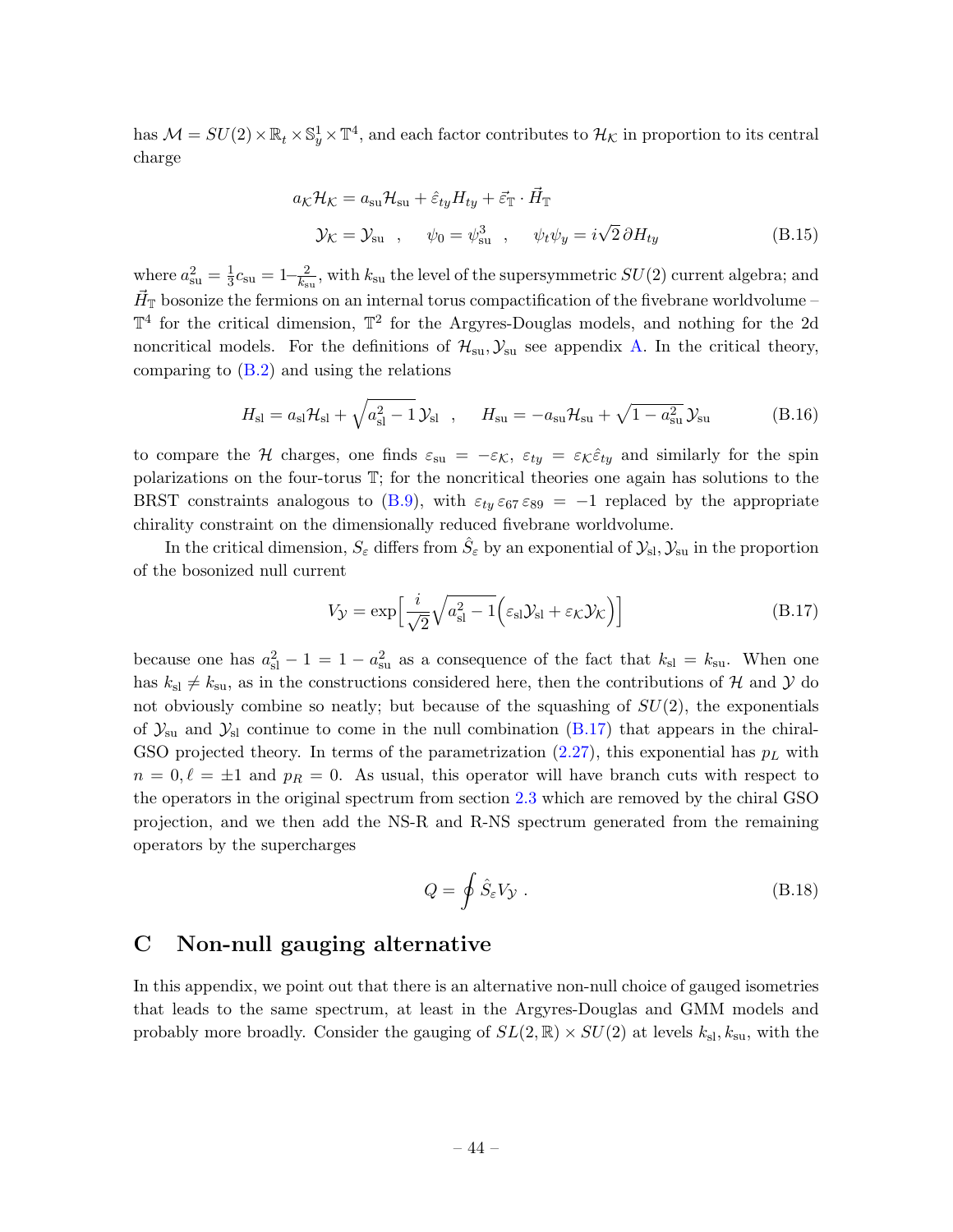has  $\mathcal{M} = SU(2) \times \mathbb{R}_t \times \mathbb{S}_y^1 \times \mathbb{T}^4$ , and each factor contributes to  $\mathcal{H}_\mathcal{K}$  in proportion to its central charge

$$
a_{\mathcal{K}}\mathcal{H}_{\mathcal{K}} = a_{su}\mathcal{H}_{su} + \hat{\varepsilon}_{ty}H_{ty} + \vec{\varepsilon}_{\mathbb{T}} \cdot \vec{H}_{\mathbb{T}}
$$
  

$$
\mathcal{Y}_{\mathcal{K}} = \mathcal{Y}_{su} , \quad \psi_0 = \psi_{su}^3 , \quad \psi_t \psi_y = i\sqrt{2} \partial H_{ty}
$$
 (B.15)

where  $a_{\text{su}}^2 = \frac{1}{3}$  $\frac{1}{3}c_{\rm su} = 1 - \frac{2}{k_{\rm s}}$  $\frac{2}{k_{\text{su}}}$ , with  $k_{\text{su}}$  the level of the supersymmetric  $SU(2)$  current algebra; and  $\vec{H}_{\mathbb{T}}$  bosonize the fermions on an internal torus compactification of the fivebrane worldvolume –  $\mathbb{T}^4$  for the critical dimension,  $\mathbb{T}^2$  for the Argyres-Douglas models, and nothing for the 2d noncritical models. For the definitions of  $\mathcal{H}_{su}$ ,  $\mathcal{Y}_{su}$  see appendix [A.](#page-37-0) In the critical theory, comparing to [\(B.2\)](#page-41-2) and using the relations

$$
H_{\rm sl} = a_{\rm sl} \mathcal{H}_{\rm sl} + \sqrt{a_{\rm sl}^2 - 1} \mathcal{Y}_{\rm sl} \quad , \quad H_{\rm su} = -a_{\rm su} \mathcal{H}_{\rm su} + \sqrt{1 - a_{\rm su}^2} \mathcal{Y}_{\rm su} \tag{B.16}
$$

to compare the H charges, one finds  $\varepsilon_{su} = -\varepsilon_{\mathcal{K}}$ ,  $\varepsilon_{ty} = \varepsilon_{\mathcal{K}}\hat{\varepsilon}_{ty}$  and similarly for the spin polarizations on the four-torus T; for the noncritical theories one again has solutions to the BRST constraints analogous to [\(B.9\)](#page-42-2), with  $\varepsilon_{t} \varepsilon_{67} \varepsilon_{89} = -1$  replaced by the appropriate chirality constraint on the dimensionally reduced fivebrane worldvolume.

In the critical dimension,  $S_\varepsilon$  differs from  $\hat{S}_\varepsilon$  by an exponential of  $\mathcal{Y}_{\rm sl}, \mathcal{Y}_{\rm su}$  in the proportion of the bosonized null current

<span id="page-44-1"></span>
$$
V_{\mathcal{Y}} = \exp\left[\frac{i}{\sqrt{2}}\sqrt{a_{\rm sl}^2 - 1}\left(\varepsilon_{\rm sl}\mathcal{Y}_{\rm sl} + \varepsilon_{\mathcal{K}}\mathcal{Y}_{\mathcal{K}}\right)\right]
$$
(B.17)

because one has  $a_{\rm sl}^2 - 1 = 1 - a_{\rm su}^2$  as a consequence of the fact that  $k_{\rm sl} = k_{\rm su}$ . When one has  $k_{\rm sl} \neq k_{\rm su}$ , as in the constructions considered here, then the contributions of H and Y do not obviously combine so neatly; but because of the squashing of  $SU(2)$ , the exponentials of  $\mathcal{Y}_{\rm su}$  and  $\mathcal{Y}_{\rm sl}$  continue to come in the null combination [\(B.17\)](#page-44-1) that appears in the chiral-GSO projected theory. In terms of the parametrization  $(2.27)$ , this exponential has  $p<sub>L</sub>$  with  $n = 0, \ell = \pm 1$  and  $p_R = 0$ . As usual, this operator will have branch cuts with respect to the operators in the original spectrum from section [2.3](#page-7-0) which are removed by the chiral GSO projection, and we then add the NS-R and R-NS spectrum generated from the remaining operators by the supercharges

$$
Q = \oint \hat{S}_{\varepsilon} V_{\mathcal{Y}} . \tag{B.18}
$$

# <span id="page-44-0"></span>C Non-null gauging alternative

In this appendix, we point out that there is an alternative non-null choice of gauged isometries that leads to the same spectrum, at least in the Argyres-Douglas and GMM models and probably more broadly. Consider the gauging of  $SL(2,\mathbb{R}) \times SU(2)$  at levels  $k_{\rm sl}, k_{\rm su}$ , with the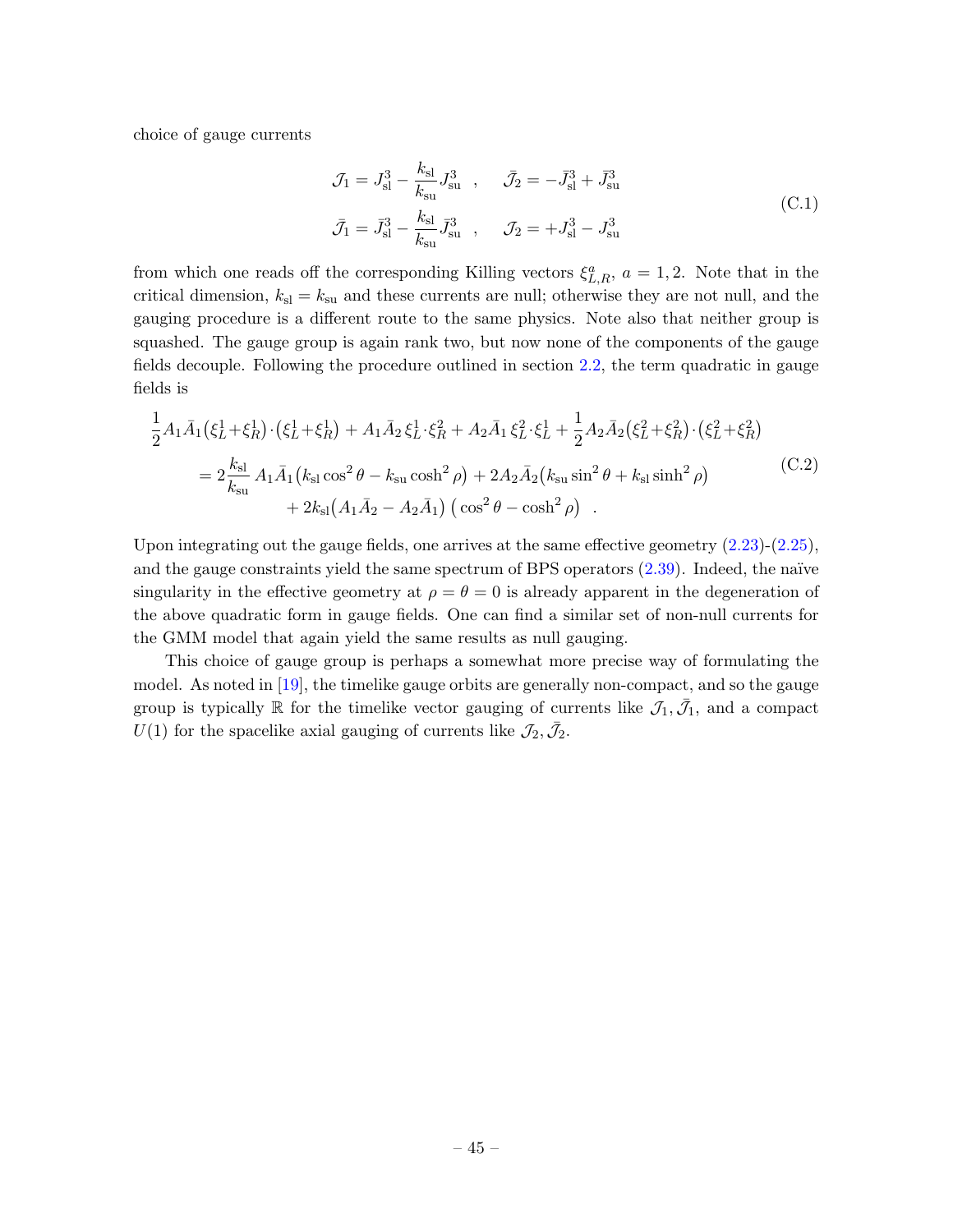choice of gauge currents

$$
\mathcal{J}_1 = J_{\rm sl}^3 - \frac{k_{\rm sl}}{k_{\rm su}} J_{\rm su}^3 \ , \quad \bar{\mathcal{J}}_2 = -\bar{J}_{\rm sl}^3 + \bar{J}_{\rm su}^3
$$
  

$$
\bar{\mathcal{J}}_1 = \bar{J}_{\rm sl}^3 - \frac{k_{\rm sl}}{k_{\rm su}} \bar{J}_{\rm su}^3 \ , \quad \mathcal{J}_2 = +J_{\rm sl}^3 - J_{\rm su}^3 \ . \tag{C.1}
$$

from which one reads off the corresponding Killing vectors  $\xi_{L,R}^a$ ,  $a = 1,2$ . Note that in the critical dimension,  $k_{\rm sl} = k_{\rm su}$  and these currents are null; otherwise they are not null, and the gauging procedure is a different route to the same physics. Note also that neither group is squashed. The gauge group is again rank two, but now none of the components of the gauge fields decouple. Following the procedure outlined in section [2.2,](#page-6-0) the term quadratic in gauge fields is

$$
\frac{1}{2}A_1\bar{A}_1(\xi_L^1 + \xi_R^1) \cdot (\xi_L^1 + \xi_R^1) + A_1\bar{A}_2\xi_L^1 \cdot \xi_R^2 + A_2\bar{A}_1\xi_L^2 \cdot \xi_L^1 + \frac{1}{2}A_2\bar{A}_2(\xi_L^2 + \xi_R^2) \cdot (\xi_L^2 + \xi_R^2)
$$
\n
$$
= 2\frac{k_{\rm sl}}{k_{\rm su}}A_1\bar{A}_1(k_{\rm sl}\cos^2\theta - k_{\rm su}\cosh^2\rho) + 2A_2\bar{A}_2(k_{\rm su}\sin^2\theta + k_{\rm sl}\sinh^2\rho) + 2k_{\rm sl}(A_1\bar{A}_2 - A_2\bar{A}_1) (\cos^2\theta - \cosh^2\rho) \quad .
$$
\n(C.2)

Upon integrating out the gauge fields, one arrives at the same effective geometry [\(2.23\)](#page-7-2)-[\(2.25\)](#page-7-3), and the gauge constraints yield the same spectrum of BPS operators  $(2.39)$ . Indeed, the naïve singularity in the effective geometry at  $\rho = \theta = 0$  is already apparent in the degeneration of the above quadratic form in gauge fields. One can find a similar set of non-null currents for the GMM model that again yield the same results as null gauging.

This choice of gauge group is perhaps a somewhat more precise way of formulating the model. As noted in [\[19\]](#page-46-16), the timelike gauge orbits are generally non-compact, and so the gauge group is typically  $\mathbb R$  for the timelike vector gauging of currents like  $\mathcal{J}_1, \bar{\mathcal{J}}_1$ , and a compact  $U(1)$  for the spacelike axial gauging of currents like  $\mathcal{J}_2, \bar{\mathcal{J}}_2$ .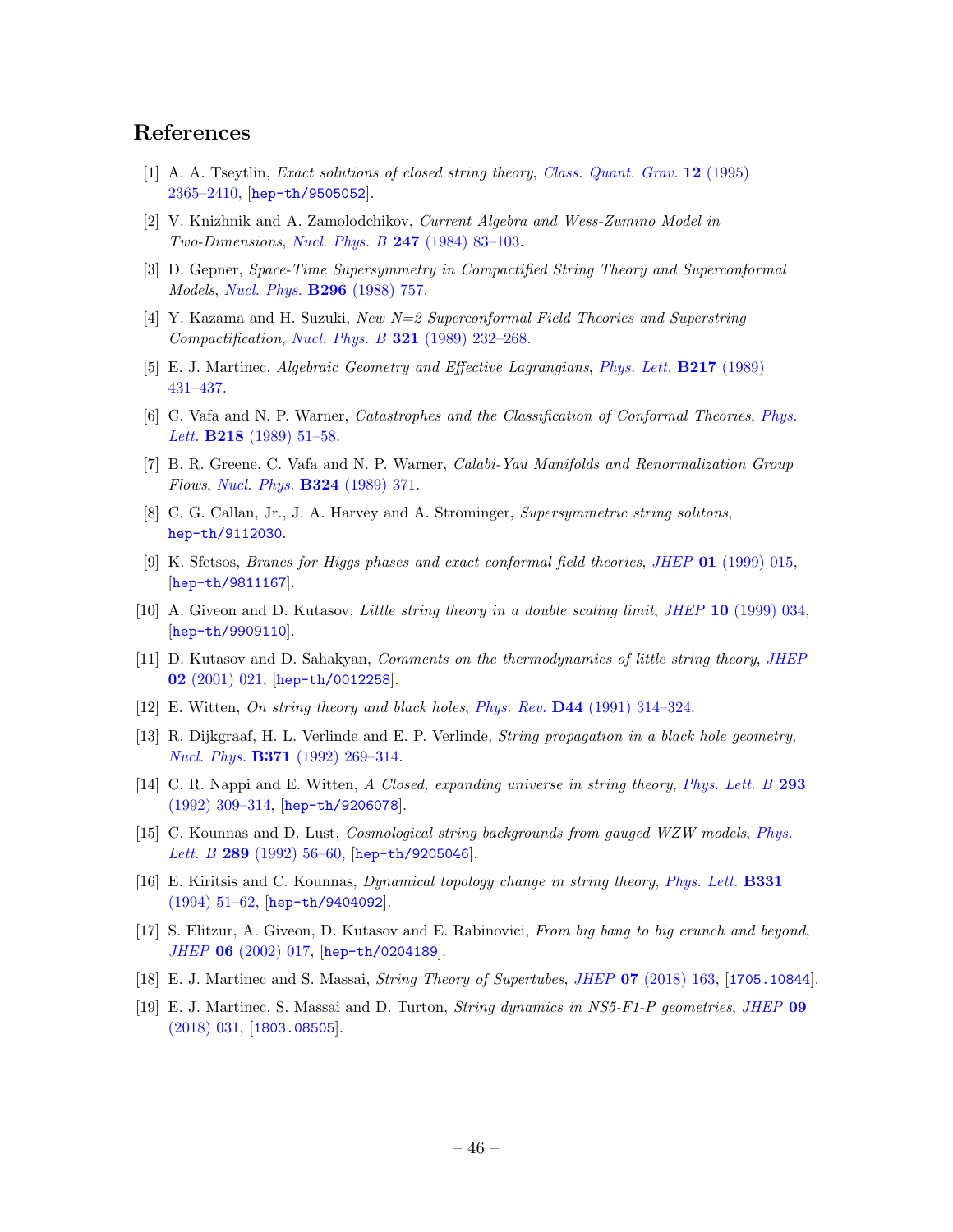# References

- <span id="page-46-0"></span>[1] A. A. Tseytlin, *Exact solutions of closed string theory, [Class. Quant. Grav.](http://dx.doi.org/10.1088/0264-9381/12/10/003)* **12** (1995) [2365–2410,](http://dx.doi.org/10.1088/0264-9381/12/10/003) [[hep-th/9505052](https://arxiv.org/abs/hep-th/9505052)].
- <span id="page-46-1"></span>[2] V. Knizhnik and A. Zamolodchikov, Current Algebra and Wess-Zumino Model in Two-Dimensions, Nucl. Phys. B 247 [\(1984\) 83–103.](http://dx.doi.org/10.1016/0550-3213(84)90374-2)
- <span id="page-46-3"></span>[3] D. Gepner, Space-Time Supersymmetry in Compactified String Theory and Superconformal Models, [Nucl. Phys.](http://dx.doi.org/10.1016/0550-3213(88)90397-5) B296 (1988) 757.
- <span id="page-46-2"></span>[4] Y. Kazama and H. Suzuki, New N=2 Superconformal Field Theories and Superstring Compactification, Nucl. Phys. B  $321$  (1989) 232-268.
- <span id="page-46-4"></span>[5] E. J. Martinec, Algebraic Geometry and Effective Lagrangians, [Phys. Lett.](http://dx.doi.org/10.1016/0370-2693(89)90074-9) B217 (1989) [431–437.](http://dx.doi.org/10.1016/0370-2693(89)90074-9)
- <span id="page-46-15"></span>[6] C. Vafa and N. P. Warner, Catastrophes and the Classification of Conformal Theories, [Phys.](http://dx.doi.org/10.1016/0370-2693(89)90473-5) Lett. **B218** (1989) 51-58.
- <span id="page-46-5"></span>[7] B. R. Greene, C. Vafa and N. P. Warner, Calabi-Yau Manifolds and Renormalization Group Flows, [Nucl. Phys.](http://dx.doi.org/10.1016/0550-3213(89)90471-9) B324 (1989) 371.
- <span id="page-46-6"></span>[8] C. G. Callan, Jr., J. A. Harvey and A. Strominger, Supersymmetric string solitons, [hep-th/9112030](https://arxiv.org/abs/hep-th/9112030).
- <span id="page-46-14"></span>[9] K. Sfetsos, Branes for Higgs phases and exact conformal field theories, JHEP 01 [\(1999\) 015,](http://dx.doi.org/10.1088/1126-6708/1999/01/015) [[hep-th/9811167](https://arxiv.org/abs/hep-th/9811167)].
- <span id="page-46-7"></span>[10] A. Giveon and D. Kutasov, Little string theory in a double scaling limit, JHEP 10 [\(1999\) 034,](http://dx.doi.org/10.1088/1126-6708/1999/10/034) [[hep-th/9909110](https://arxiv.org/abs/hep-th/9909110)].
- <span id="page-46-8"></span>[11] D. Kutasov and D. Sahakyan, *Comments on the thermodynamics of little string theory*, *[JHEP](http://dx.doi.org/10.1088/1126-6708/2001/02/021)* 02 [\(2001\) 021,](http://dx.doi.org/10.1088/1126-6708/2001/02/021) [[hep-th/0012258](https://arxiv.org/abs/hep-th/0012258)].
- <span id="page-46-9"></span>[12] E. Witten, On string theory and black holes, Phys. Rev. D44 [\(1991\) 314–324.](http://dx.doi.org/10.1103/PhysRevD.44.314)
- <span id="page-46-10"></span>[13] R. Dijkgraaf, H. L. Verlinde and E. P. Verlinde, String propagation in a black hole geometry, Nucl. Phys. B371 [\(1992\) 269–314.](http://dx.doi.org/10.1016/0550-3213(92)90237-6)
- <span id="page-46-11"></span>[14] C. R. Nappi and E. Witten, A Closed, expanding universe in string theory, [Phys. Lett. B](http://dx.doi.org/10.1016/0370-2693(92)90888-B) 293 [\(1992\) 309–314,](http://dx.doi.org/10.1016/0370-2693(92)90888-B) [[hep-th/9206078](https://arxiv.org/abs/hep-th/9206078)].
- [15] C. Kounnas and D. Lust, Cosmological string backgrounds from gauged WZW models, [Phys.](http://dx.doi.org/10.1016/0370-2693(92)91361-C) Lett. B 289 (1992) 56-60, [[hep-th/9205046](https://arxiv.org/abs/hep-th/9205046)].
- [16] E. Kiritsis and C. Kounnas, Dynamical topology change in string theory, [Phys. Lett.](http://dx.doi.org/10.1016/0370-2693(94)90942-3) B331 [\(1994\) 51–62,](http://dx.doi.org/10.1016/0370-2693(94)90942-3) [[hep-th/9404092](https://arxiv.org/abs/hep-th/9404092)].
- <span id="page-46-12"></span>[17] S. Elitzur, A. Giveon, D. Kutasov and E. Rabinovici, From big bang to big crunch and beyond, JHEP 06 [\(2002\) 017,](http://dx.doi.org/10.1088/1126-6708/2002/06/017) [[hep-th/0204189](https://arxiv.org/abs/hep-th/0204189)].
- <span id="page-46-13"></span>[18] E. J. Martinec and S. Massai, String Theory of Supertubes, JHEP 07 [\(2018\) 163,](http://dx.doi.org/10.1007/JHEP07(2018)163) [[1705.10844](https://arxiv.org/abs/1705.10844)].
- <span id="page-46-16"></span>[19] E. J. Martinec, S. Massai and D. Turton, String dynamics in NS5-F1-P geometries, [JHEP](http://dx.doi.org/10.1007/JHEP09(2018)031) 09 [\(2018\) 031,](http://dx.doi.org/10.1007/JHEP09(2018)031) [[1803.08505](https://arxiv.org/abs/1803.08505)].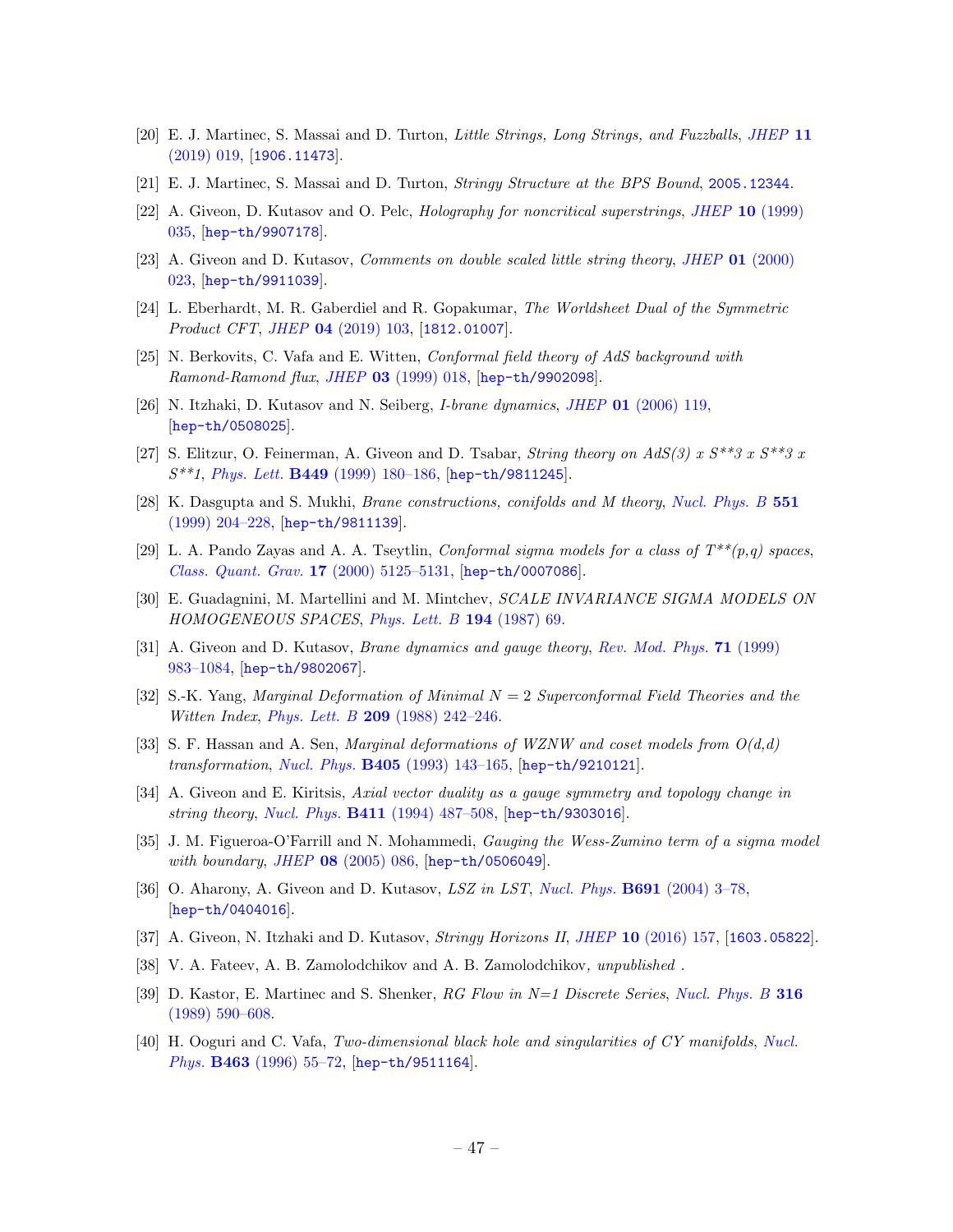- <span id="page-47-18"></span>[20] E. J. Martinec, S. Massai and D. Turton, Little Strings, Long Strings, and Fuzzballs, [JHEP](http://dx.doi.org/10.1007/JHEP11(2019)019) 11  $(2019)$  019, [[1906.11473](https://arxiv.org/abs/1906.11473)].
- <span id="page-47-0"></span>[21] E. J. Martinec, S. Massai and D. Turton, Stringy Structure at the BPS Bound, [2005.12344](https://arxiv.org/abs/2005.12344).
- <span id="page-47-1"></span>[22] A. Giveon, D. Kutasov and O. Pelc, Holography for noncritical superstrings, JHEP 10 [\(1999\)](http://dx.doi.org/10.1088/1126-6708/1999/10/035) [035,](http://dx.doi.org/10.1088/1126-6708/1999/10/035) [[hep-th/9907178](https://arxiv.org/abs/hep-th/9907178)].
- <span id="page-47-2"></span>[23] A. Giveon and D. Kutasov, *Comments on double scaled little string theory*, *JHEP* 01 [\(2000\)](http://dx.doi.org/10.1088/1126-6708/2000/01/023) [023,](http://dx.doi.org/10.1088/1126-6708/2000/01/023) [[hep-th/9911039](https://arxiv.org/abs/hep-th/9911039)].
- <span id="page-47-8"></span>[24] L. Eberhardt, M. R. Gaberdiel and R. Gopakumar, The Worldsheet Dual of the Symmetric Product CFT, JHEP 04 [\(2019\) 103,](http://dx.doi.org/10.1007/JHEP04(2019)103) [[1812.01007](https://arxiv.org/abs/1812.01007)].
- <span id="page-47-9"></span>[25] N. Berkovits, C. Vafa and E. Witten, Conformal field theory of AdS background with Ramond-Ramond flux, JHEP 03 [\(1999\) 018,](http://dx.doi.org/10.1088/1126-6708/1999/03/018) [[hep-th/9902098](https://arxiv.org/abs/hep-th/9902098)].
- <span id="page-47-3"></span>[26] N. Itzhaki, D. Kutasov and N. Seiberg, I-brane dynamics, JHEP 01 [\(2006\) 119,](http://dx.doi.org/10.1088/1126-6708/2006/01/119) [[hep-th/0508025](https://arxiv.org/abs/hep-th/0508025)].
- [27] S. Elitzur, O. Feinerman, A. Giveon and D. Tsabar, String theory on  $AdS(3)$  x  $S^{**}3$  x  $S^{**}3$  x  $S^{**}$ 1, Phys. Lett. **B449** (1999) 180-186, [[hep-th/9811245](https://arxiv.org/abs/hep-th/9811245)].
- <span id="page-47-7"></span>[28] K. Dasgupta and S. Mukhi, *Brane constructions, conifolds and M theory, [Nucl. Phys. B](http://dx.doi.org/10.1016/S0550-3213(99)00206-0)* 551 [\(1999\) 204–228,](http://dx.doi.org/10.1016/S0550-3213(99)00206-0) [[hep-th/9811139](https://arxiv.org/abs/hep-th/9811139)].
- <span id="page-47-4"></span>[29] L. A. Pando Zayas and A. A. Tseytlin, *Conformal sigma models for a class of*  $T^{**}(p,q)$  spaces, [Class. Quant. Grav.](http://dx.doi.org/10.1088/0264-9381/17/24/312) 17 (2000) 5125–5131, [[hep-th/0007086](https://arxiv.org/abs/hep-th/0007086)].
- <span id="page-47-5"></span>[30] E. Guadagnini, M. Martellini and M. Mintchev, SCALE INVARIANCE SIGMA MODELS ON HOMOGENEOUS SPACES, [Phys. Lett. B](http://dx.doi.org/10.1016/0370-2693(87)90771-4) 194 (1987) 69.
- <span id="page-47-6"></span>[31] A. Giveon and D. Kutasov, Brane dynamics and gauge theory, [Rev. Mod. Phys.](http://dx.doi.org/10.1103/RevModPhys.71.983) 71 (1999) [983–1084,](http://dx.doi.org/10.1103/RevModPhys.71.983) [[hep-th/9802067](https://arxiv.org/abs/hep-th/9802067)].
- <span id="page-47-10"></span>[32] S.-K. Yang, Marginal Deformation of Minimal  $N = 2$  Superconformal Field Theories and the Witten Index, Phys. Lett. B 209 [\(1988\) 242–246.](http://dx.doi.org/10.1016/0370-2693(88)90940-9)
- [33] S. F. Hassan and A. Sen, *Marginal deformations of WZNW and coset models from*  $O(d,d)$ transformation, Nucl. Phys. B405 [\(1993\) 143–165,](http://dx.doi.org/10.1016/0550-3213(93)90429-S) [[hep-th/9210121](https://arxiv.org/abs/hep-th/9210121)].
- <span id="page-47-11"></span>[34] A. Giveon and E. Kiritsis, Axial vector duality as a gauge symmetry and topology change in string theory, Nucl. Phys. B411 [\(1994\) 487–508,](http://dx.doi.org/10.1016/0550-3213(94)90460-X) [[hep-th/9303016](https://arxiv.org/abs/hep-th/9303016)].
- <span id="page-47-12"></span>[35] J. M. Figueroa-O'Farrill and N. Mohammedi, Gauging the Wess-Zumino term of a sigma model with boundary, JHEP 08 [\(2005\) 086,](http://dx.doi.org/10.1088/1126-6708/2005/08/086) [[hep-th/0506049](https://arxiv.org/abs/hep-th/0506049)].
- <span id="page-47-13"></span>[36] O. Aharony, A. Giveon and D. Kutasov, LSZ in LST, Nucl. Phys. B691 [\(2004\) 3–78,](http://dx.doi.org/10.1016/j.nuclphysb.2004.05.015) [[hep-th/0404016](https://arxiv.org/abs/hep-th/0404016)].
- <span id="page-47-14"></span>[37] A. Giveon, N. Itzhaki and D. Kutasov, Stringy Horizons II, JHEP 10 [\(2016\) 157,](http://dx.doi.org/10.1007/JHEP10(2016)157) [[1603.05822](https://arxiv.org/abs/1603.05822)].
- <span id="page-47-15"></span>[38] V. A. Fateev, A. B. Zamolodchikov and A. B. Zamolodchikov, unpublished .
- <span id="page-47-16"></span>[39] D. Kastor, E. Martinec and S. Shenker, RG Flow in N=1 Discrete Series, [Nucl. Phys. B](http://dx.doi.org/10.1016/0550-3213(89)90060-6) 316 [\(1989\) 590–608.](http://dx.doi.org/10.1016/0550-3213(89)90060-6)
- <span id="page-47-17"></span>[40] H. Ooguri and C. Vafa, Two-dimensional black hole and singularities of CY manifolds, [Nucl.](http://dx.doi.org/10.1016/0550-3213(96)00008-9) Phys. **B463** [\(1996\) 55–72,](http://dx.doi.org/10.1016/0550-3213(96)00008-9) [[hep-th/9511164](https://arxiv.org/abs/hep-th/9511164)].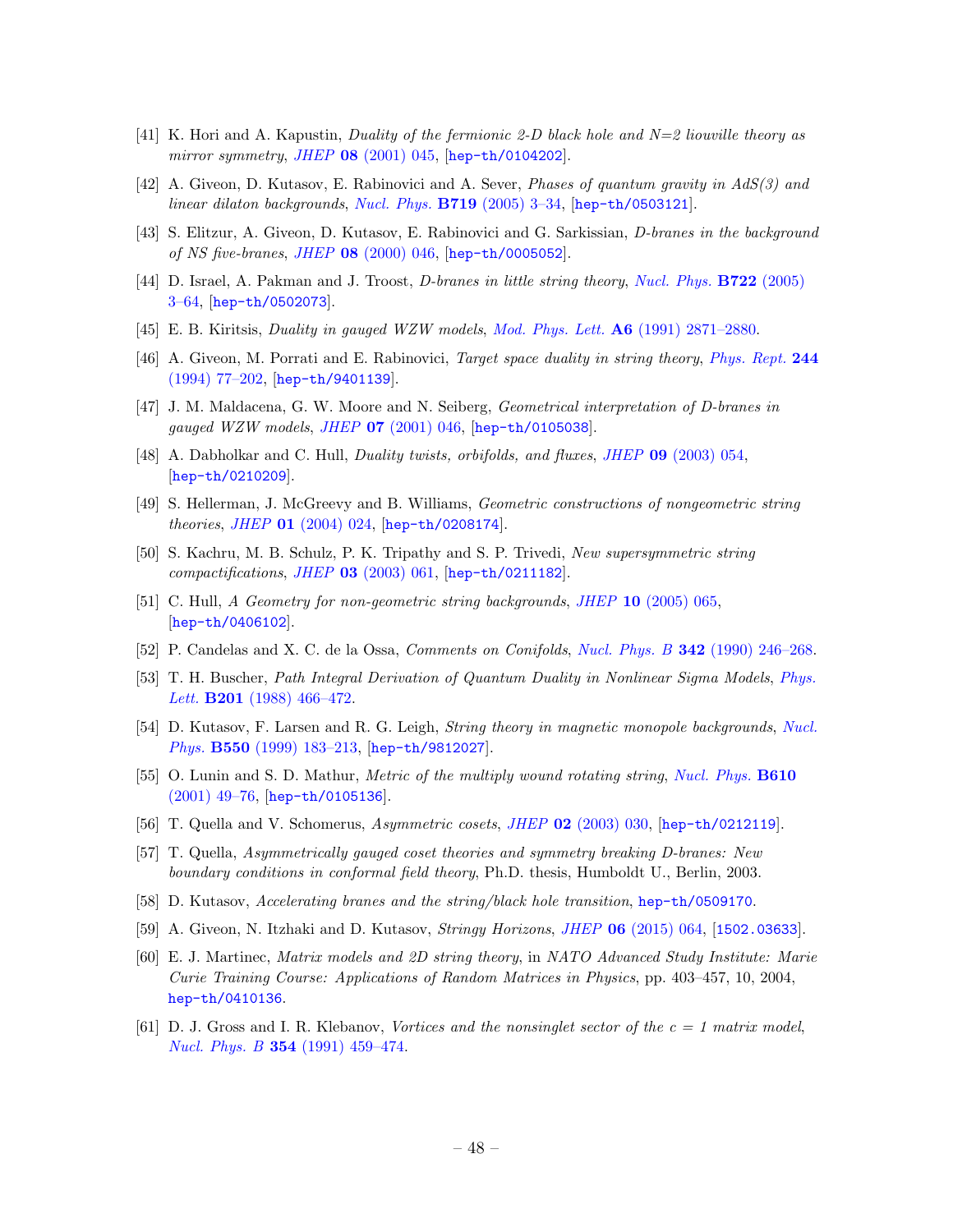- <span id="page-48-0"></span>[41] K. Hori and A. Kapustin, Duality of the fermionic 2-D black hole and  $N=2$  liouville theory as mirror symmetry, JHEP 08 [\(2001\) 045,](http://dx.doi.org/10.1088/1126-6708/2001/08/045) [[hep-th/0104202](https://arxiv.org/abs/hep-th/0104202)].
- <span id="page-48-1"></span>[42] A. Giveon, D. Kutasov, E. Rabinovici and A. Sever, Phases of quantum gravity in AdS(3) and linear dilaton backgrounds, Nucl. Phys. B719 (2005) 3-34, [[hep-th/0503121](https://arxiv.org/abs/hep-th/0503121)].
- <span id="page-48-2"></span>[43] S. Elitzur, A. Giveon, D. Kutasov, E. Rabinovici and G. Sarkissian, D-branes in the background of NS five-branes, JHEP 08 [\(2000\) 046,](http://dx.doi.org/10.1088/1126-6708/2000/08/046) [[hep-th/0005052](https://arxiv.org/abs/hep-th/0005052)].
- <span id="page-48-3"></span>[44] D. Israel, A. Pakman and J. Troost, *D-branes in little string theory, [Nucl. Phys.](http://dx.doi.org/10.1016/j.nuclphysb.2005.05.027)* **B722** (2005) [3–64,](http://dx.doi.org/10.1016/j.nuclphysb.2005.05.027) [[hep-th/0502073](https://arxiv.org/abs/hep-th/0502073)].
- <span id="page-48-4"></span>[45] E. B. Kiritsis, Duality in gauged WZW models, Mod. Phys. Lett.  $\mathbf{A6}$  [\(1991\) 2871–2880.](http://dx.doi.org/10.1142/S0217732391003341)
- [46] A. Giveon, M. Porrati and E. Rabinovici, *Target space duality in string theory, [Phys. Rept.](http://dx.doi.org/10.1016/0370-1573(94)90070-1)* 244 [\(1994\) 77–202,](http://dx.doi.org/10.1016/0370-1573(94)90070-1) [[hep-th/9401139](https://arxiv.org/abs/hep-th/9401139)].
- <span id="page-48-5"></span>[47] J. M. Maldacena, G. W. Moore and N. Seiberg, Geometrical interpretation of D-branes in gauged WZW models, JHEP 07 [\(2001\) 046,](http://dx.doi.org/10.1088/1126-6708/2001/07/046) [[hep-th/0105038](https://arxiv.org/abs/hep-th/0105038)].
- <span id="page-48-6"></span>[48] A. Dabholkar and C. Hull, Duality twists, orbifolds, and fluxes, JHEP 09 [\(2003\) 054,](http://dx.doi.org/10.1088/1126-6708/2003/09/054) [[hep-th/0210209](https://arxiv.org/abs/hep-th/0210209)].
- [49] S. Hellerman, J. McGreevy and B. Williams, Geometric constructions of nongeometric string theories, JHEP 01 [\(2004\) 024,](http://dx.doi.org/10.1088/1126-6708/2004/01/024) [[hep-th/0208174](https://arxiv.org/abs/hep-th/0208174)].
- [50] S. Kachru, M. B. Schulz, P. K. Tripathy and S. P. Trivedi, New supersymmetric string compactifications, JHEP 03 [\(2003\) 061,](http://dx.doi.org/10.1088/1126-6708/2003/03/061) [[hep-th/0211182](https://arxiv.org/abs/hep-th/0211182)].
- <span id="page-48-7"></span>[51] C. Hull, A Geometry for non-geometric string backgrounds, JHEP 10 [\(2005\) 065,](http://dx.doi.org/10.1088/1126-6708/2005/10/065) [[hep-th/0406102](https://arxiv.org/abs/hep-th/0406102)].
- <span id="page-48-8"></span>[52] P. Candelas and X. C. de la Ossa, *Comments on Conifolds, Nucl. Phys. B* 342 (1990) 246-268.
- <span id="page-48-9"></span>[53] T. H. Buscher, Path Integral Derivation of Quantum Duality in Nonlinear Sigma Models, [Phys.](http://dx.doi.org/10.1016/0370-2693(88)90602-8) Lett. **B201** (1988) 466-472.
- <span id="page-48-10"></span>[54] D. Kutasov, F. Larsen and R. G. Leigh, String theory in magnetic monopole backgrounds, [Nucl.](http://dx.doi.org/10.1016/S0550-3213(99)00144-3) Phys. B550 [\(1999\) 183–213,](http://dx.doi.org/10.1016/S0550-3213(99)00144-3) [[hep-th/9812027](https://arxiv.org/abs/hep-th/9812027)].
- <span id="page-48-11"></span>[55] O. Lunin and S. D. Mathur, *Metric of the multiply wound rotating string, [Nucl. Phys.](http://dx.doi.org/10.1016/S0550-3213(01)00321-2)* **B610** [\(2001\) 49–76,](http://dx.doi.org/10.1016/S0550-3213(01)00321-2) [[hep-th/0105136](https://arxiv.org/abs/hep-th/0105136)].
- <span id="page-48-12"></span>[56] T. Quella and V. Schomerus, Asymmetric cosets, JHEP 02 [\(2003\) 030,](http://dx.doi.org/10.1088/1126-6708/2003/02/030) [[hep-th/0212119](https://arxiv.org/abs/hep-th/0212119)].
- <span id="page-48-13"></span>[57] T. Quella, Asymmetrically gauged coset theories and symmetry breaking D-branes: New boundary conditions in conformal field theory, Ph.D. thesis, Humboldt U., Berlin, 2003.
- <span id="page-48-14"></span>[58] D. Kutasov, Accelerating branes and the string/black hole transition, [hep-th/0509170](https://arxiv.org/abs/hep-th/0509170).
- <span id="page-48-15"></span>[59] A. Giveon, N. Itzhaki and D. Kutasov, *Stringy Horizons, JHEP* 06 [\(2015\) 064,](http://dx.doi.org/10.1007/JHEP06(2015)064) [[1502.03633](https://arxiv.org/abs/1502.03633)].
- <span id="page-48-16"></span>[60] E. J. Martinec, Matrix models and 2D string theory, in NATO Advanced Study Institute: Marie Curie Training Course: Applications of Random Matrices in Physics, pp. 403–457, 10, 2004, [hep-th/0410136](https://arxiv.org/abs/hep-th/0410136).
- <span id="page-48-17"></span>[61] D. J. Gross and I. R. Klebanov, Vortices and the nonsinglet sector of the  $c = 1$  matrix model, Nucl. Phys. B 354 [\(1991\) 459–474.](http://dx.doi.org/10.1016/0550-3213(91)90363-3)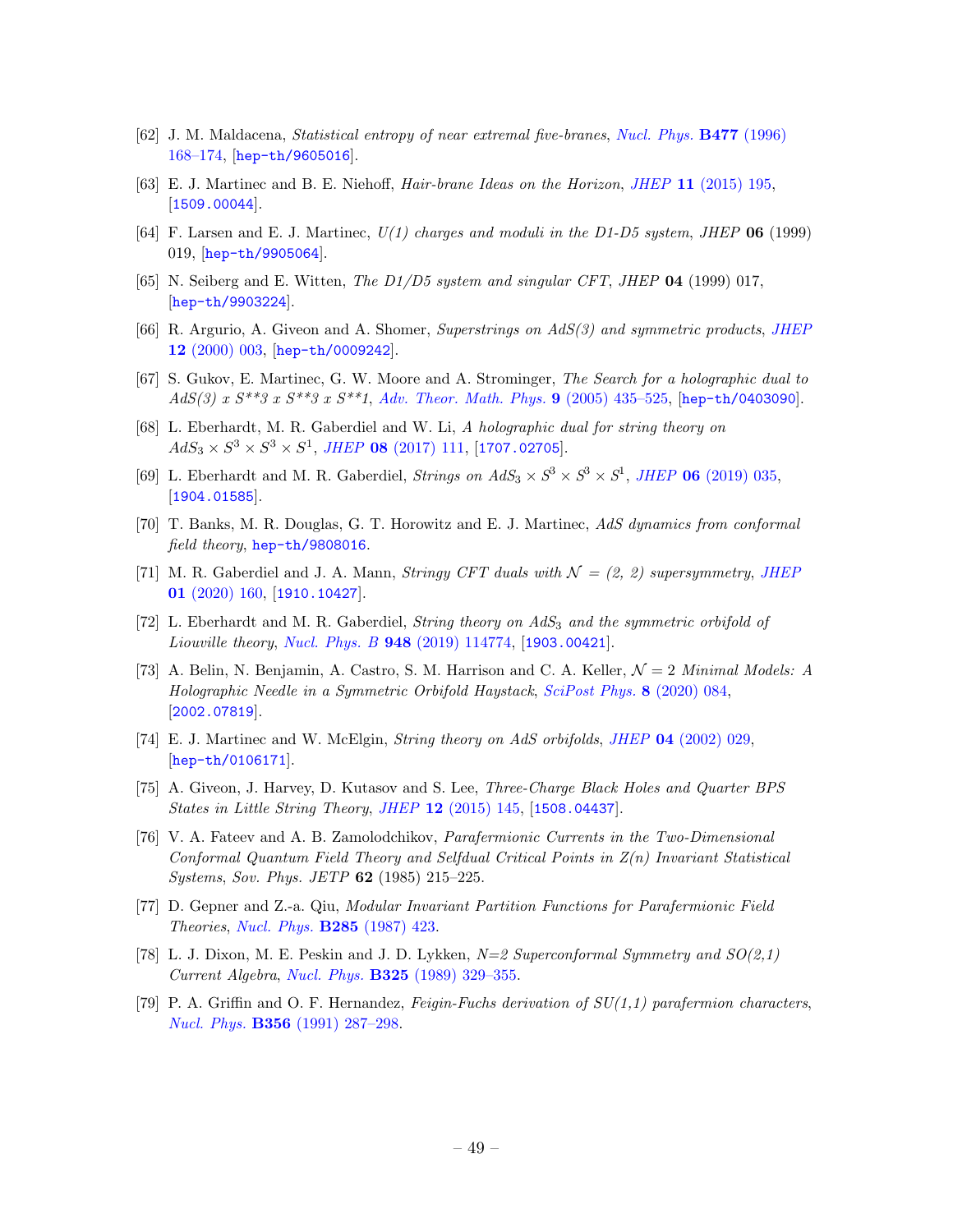- <span id="page-49-0"></span>[62] J. M. Maldacena, Statistical entropy of near extremal five-branes, [Nucl. Phys.](http://dx.doi.org/10.1016/0550-3213(96)00368-9) B477 (1996) [168–174,](http://dx.doi.org/10.1016/0550-3213(96)00368-9) [[hep-th/9605016](https://arxiv.org/abs/hep-th/9605016)].
- <span id="page-49-1"></span>[63] E. J. Martinec and B. E. Niehoff, Hair-brane Ideas on the Horizon, JHEP 11 [\(2015\) 195,](http://dx.doi.org/10.1007/JHEP11(2015)195) [[1509.00044](https://arxiv.org/abs/1509.00044)].
- <span id="page-49-2"></span>[64] F. Larsen and E. J. Martinec,  $U(1)$  charges and moduli in the D1-D5 system, JHEP 06 (1999) 019, [[hep-th/9905064](https://arxiv.org/abs/hep-th/9905064)].
- <span id="page-49-3"></span>[65] N. Seiberg and E. Witten, The  $D1/D5$  system and singular CFT, JHEP 04 (1999) 017, [[hep-th/9903224](https://arxiv.org/abs/hep-th/9903224)].
- <span id="page-49-4"></span>[66] R. Argurio, A. Giveon and A. Shomer, Superstrings on  $AdS(3)$  and symmetric products, [JHEP](http://dx.doi.org/10.1088/1126-6708/2000/12/003) 12 [\(2000\) 003,](http://dx.doi.org/10.1088/1126-6708/2000/12/003) [[hep-th/0009242](https://arxiv.org/abs/hep-th/0009242)].
- <span id="page-49-5"></span>[67] S. Gukov, E. Martinec, G. W. Moore and A. Strominger, The Search for a holographic dual to AdS(3) x  $S^{**}3$  x  $S^{**}3$  x  $S^{**}1$ , [Adv. Theor. Math. Phys.](http://dx.doi.org/10.4310/ATMP.2005.v9.n3.a3) 9 (2005) 435–525, [[hep-th/0403090](https://arxiv.org/abs/hep-th/0403090)].
- [68] L. Eberhardt, M. R. Gaberdiel and W. Li, A holographic dual for string theory on  $AdS_3 \times S^3 \times S^3 \times S^1$ , JHEP 08 [\(2017\) 111,](http://dx.doi.org/10.1007/JHEP08(2017)111) [[1707.02705](https://arxiv.org/abs/1707.02705)].
- <span id="page-49-6"></span>[69] L. Eberhardt and M. R. Gaberdiel, *Strings on AdS*<sub>3</sub>  $\times$   $S^3 \times S^3 \times S^1$ , *JHEP* 06 [\(2019\) 035,](http://dx.doi.org/10.1007/JHEP06(2019)035) [[1904.01585](https://arxiv.org/abs/1904.01585)].
- <span id="page-49-7"></span>[70] T. Banks, M. R. Douglas, G. T. Horowitz and E. J. Martinec, AdS dynamics from conformal field theory, [hep-th/9808016](https://arxiv.org/abs/hep-th/9808016).
- <span id="page-49-8"></span>[71] M. R. Gaberdiel and J. A. Mann, *Stringy CFT duals with*  $\mathcal{N} = (2, 2)$  supersymmetry, *[JHEP](http://dx.doi.org/10.1007/JHEP01(2020)160)* 01 [\(2020\) 160,](http://dx.doi.org/10.1007/JHEP01(2020)160) [[1910.10427](https://arxiv.org/abs/1910.10427)].
- [72] L. Eberhardt and M. R. Gaberdiel, *String theory on AdS<sub>3</sub> and the symmetric orbifold of* Liouville theory, Nucl. Phys. B 948 [\(2019\) 114774,](http://dx.doi.org/10.1016/j.nuclphysb.2019.114774) [[1903.00421](https://arxiv.org/abs/1903.00421)].
- <span id="page-49-9"></span>[73] A. Belin, N. Benjamin, A. Castro, S. M. Harrison and C. A. Keller,  $\mathcal{N}=2$  *Minimal Models: A* Holographic Needle in a Symmetric Orbifold Haystack, [SciPost Phys.](http://dx.doi.org/10.21468/SciPostPhys.8.6.084) 8 (2020) 084, [[2002.07819](https://arxiv.org/abs/2002.07819)].
- <span id="page-49-12"></span>[74] E. J. Martinec and W. McElgin, String theory on AdS orbifolds, JHEP 04 [\(2002\) 029,](http://dx.doi.org/10.1088/1126-6708/2002/04/029) [[hep-th/0106171](https://arxiv.org/abs/hep-th/0106171)].
- <span id="page-49-13"></span>[75] A. Giveon, J. Harvey, D. Kutasov and S. Lee, Three-Charge Black Holes and Quarter BPS States in Little String Theory, JHEP 12 [\(2015\) 145,](http://dx.doi.org/10.1007/JHEP12(2015)145) [[1508.04437](https://arxiv.org/abs/1508.04437)].
- <span id="page-49-10"></span>[76] V. A. Fateev and A. B. Zamolodchikov, Parafermionic Currents in the Two-Dimensional Conformal Quantum Field Theory and Selfdual Critical Points in Z(n) Invariant Statistical Systems, Sov. Phys. JETP 62 (1985) 215–225.
- <span id="page-49-11"></span>[77] D. Gepner and Z.-a. Qiu, Modular Invariant Partition Functions for Parafermionic Field Theories, [Nucl. Phys.](http://dx.doi.org/10.1016/0550-3213(87)90348-8) B285 (1987) 423.
- <span id="page-49-14"></span>[78] L. J. Dixon, M. E. Peskin and J. D. Lykken,  $N=2$  Superconformal Symmetry and  $SO(2,1)$ Current Algebra, Nucl. Phys. B325 [\(1989\) 329–355.](http://dx.doi.org/10.1016/0550-3213(89)90459-8)
- <span id="page-49-15"></span>[79] P. A. Griffin and O. F. Hernandez, Feigin-Fuchs derivation of  $SU(1,1)$  parafermion characters, Nucl. Phys. B356 [\(1991\) 287–298.](http://dx.doi.org/10.1016/0550-3213(91)90150-V)